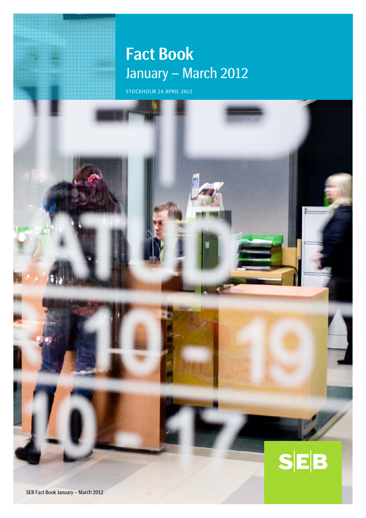# Fact Book January – March 2012

STOCKHOLM 24 APRIL 2012

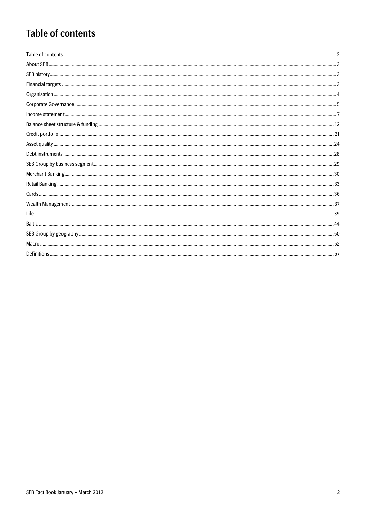# **Table of contents**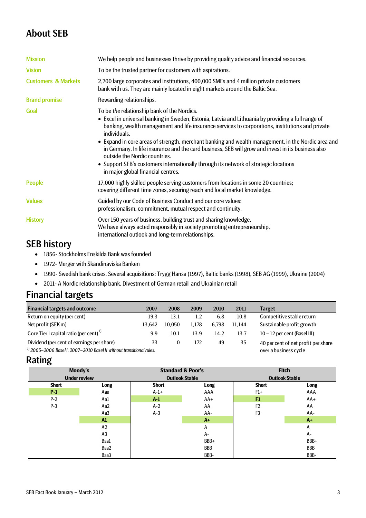# About SEB

| <b>Mission</b>                 | We help people and businesses thrive by providing quality advice and financial resources.                                                                                                                                                                                                                                                                                                                                                                                                                                                                                                                                                        |
|--------------------------------|--------------------------------------------------------------------------------------------------------------------------------------------------------------------------------------------------------------------------------------------------------------------------------------------------------------------------------------------------------------------------------------------------------------------------------------------------------------------------------------------------------------------------------------------------------------------------------------------------------------------------------------------------|
| <b>Vision</b>                  | To be the trusted partner for customers with aspirations.                                                                                                                                                                                                                                                                                                                                                                                                                                                                                                                                                                                        |
| <b>Customers &amp; Markets</b> | 2,700 large corporates and institutions, 400,000 SMEs and 4 million private customers<br>bank with us. They are mainly located in eight markets around the Baltic Sea.                                                                                                                                                                                                                                                                                                                                                                                                                                                                           |
| <b>Brand promise</b>           | Rewarding relationships.                                                                                                                                                                                                                                                                                                                                                                                                                                                                                                                                                                                                                         |
| Goal                           | To be the relationship bank of the Nordics.<br>• Excel in universal banking in Sweden, Estonia, Latvia and Lithuania by providing a full range of<br>banking, wealth management and life insurance services to corporations, institutions and private<br>individuals.<br>• Expand in core areas of strength, merchant banking and wealth management, in the Nordic area and<br>in Germany. In life insurance and the card business, SEB will grow and invest in its business also<br>outside the Nordic countries.<br>• Support SEB's customers internationally through its network of strategic locations<br>in major global financial centres. |
| <b>People</b>                  | 17,000 highly skilled people serving customers from locations in some 20 countries;<br>covering different time zones, securing reach and local market knowledge.                                                                                                                                                                                                                                                                                                                                                                                                                                                                                 |
| <b>Values</b>                  | Guided by our Code of Business Conduct and our core values:<br>professionalism, commitment, mutual respect and continuity.                                                                                                                                                                                                                                                                                                                                                                                                                                                                                                                       |
| <b>History</b>                 | Over 150 years of business, building trust and sharing knowledge.<br>We have always acted responsibly in society promoting entrepreneurship,<br>international outlook and long-term relationships.                                                                                                                                                                                                                                                                                                                                                                                                                                               |

# SEB history

- 1856- Stockholms Enskilda Bank was founded
- 1972- Merger with Skandinaviska Banken
- 1990- Swedish bank crises. Several acquisitions: Trygg Hansa (1997), Baltic banks (1998), SEB AG (1999), Ukraine (2004)
- 2011- A Nordic relationship bank. Divestment of German retail and Ukrainian retail

# Financial targets

| <b>Financial targets and outcome</b>                                     | 2007                  | 2008     | 2009             | 2010  | 2011   | Target                              |
|--------------------------------------------------------------------------|-----------------------|----------|------------------|-------|--------|-------------------------------------|
| Return on equity (per cent)                                              | 19.3                  | 13.1     | $1.2\phantom{0}$ | 6.8   | 10.8   | Competitive stable return           |
| Net profit (SEK m)                                                       | 13.642                | 10.050   | 1.178            | 6.798 | 11.144 | Sustainable profit growth           |
| Core Tier I capital ratio (per cent) <sup>1)</sup>                       | 9.9                   | 10.1     | 13.9             | 14.2  | 13.7   | $10 - 12$ per cent (Basel III)      |
| Dividend (per cent of earnings per share)                                | 33                    | $\Omega$ | 172              | 49    | 35     | 40 per cent of net profit per share |
| $^{1}$ 2005–2006 Basel I. 2007–2010 Basel II without transitional rules. | over a business cycle |          |                  |       |        |                                     |

# Rating

|              | Moody's<br><b>Under review</b> | <b>Standard &amp; Poor's</b><br><b>Outlook Stable</b> |            | <b>Fitch</b><br><b>Outlook Stable</b> |       |  |  |
|--------------|--------------------------------|-------------------------------------------------------|------------|---------------------------------------|-------|--|--|
| <b>Short</b> | Long                           | <b>Short</b>                                          | Long       | <b>Short</b>                          | Long  |  |  |
| $P-1$        | Aaa                            | $A-1+$                                                | AAA        | $F1+$                                 | AAA   |  |  |
| $P-2$        | Aa1                            | $A-1$                                                 | $AA+$      | F1                                    | $AA+$ |  |  |
| $P-3$        | Aa2                            | $A-2$                                                 | AA         | F <sub>2</sub>                        | AA    |  |  |
|              | Aa3                            | $A-3$                                                 | AA-        | F <sub>3</sub>                        | AA-   |  |  |
|              | A1                             |                                                       | $A+$       |                                       | $A+$  |  |  |
|              | A2                             |                                                       | Α          |                                       | А     |  |  |
|              | A <sub>3</sub>                 |                                                       | $A -$      |                                       | A-    |  |  |
|              | Baa1                           |                                                       | BBB+       |                                       | BBB+  |  |  |
|              | Baa2                           |                                                       | <b>BBB</b> |                                       | BBB   |  |  |
|              | Baa3                           |                                                       | BBB-       |                                       | BBB-  |  |  |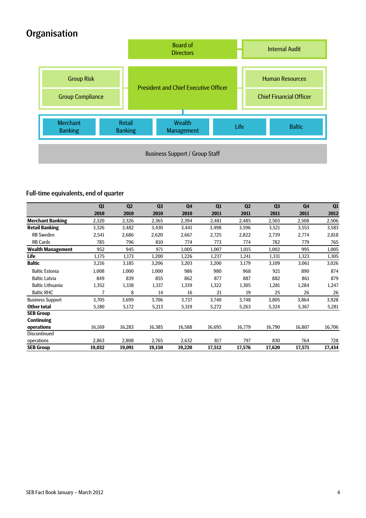# **Organisation**



# Full-time equivalents, end of quarter

|                          | Q1     | Q <sub>2</sub> | Q <sub>3</sub> | Q <sub>4</sub> | Q1     | Q <sub>2</sub> | Q <sub>3</sub> | Q <sub>4</sub> | Q1     |
|--------------------------|--------|----------------|----------------|----------------|--------|----------------|----------------|----------------|--------|
|                          | 2010   | 2010           | 2010           | 2010           | 2011   | 2011           | 2011           | 2011           | 2012   |
| <b>Merchant Banking</b>  | 2,320  | 2,326          | 2,365          | 2,394          | 2,481  | 2,485          | 2,503          | 2,508          | 2,506  |
| <b>Retail Banking</b>    | 3,326  | 3,482          | 3,430          | 3,441          | 3,498  | 3,596          | 3,521          | 3,553          | 3,583  |
| <b>RB Sweden</b>         | 2,541  | 2,686          | 2,620          | 2,667          | 2,725  | 2,822          | 2,739          | 2,774          | 2,818  |
| <b>RB Cards</b>          | 785    | 796            | 810            | 774            | 773    | 774            | 782            | 779            | 765    |
| <b>Wealth Management</b> | 952    | 945            | 971            | 1,005          | 1,007  | 1,015          | 1,002          | 995            | 1,005  |
| <b>Life</b>              | 1,175  | 1,173          | 1,200          | 1,226          | 1,237  | 1,241          | 1,331          | 1,323          | 1,305  |
| <b>Baltic</b>            | 3,216  | 3,185          | 3,206          | 3,203          | 3,200  | 3,179          | 3,109          | 3,061          | 3,026  |
| <b>Baltic Estonia</b>    | 1,008  | 1,000          | 1,000          | 986            | 980    | 968            | 921            | 890            | 874    |
| <b>Baltic Latvia</b>     | 849    | 839            | 855            | 862            | 877    | 887            | 882            | 861            | 879    |
| <b>Baltic Lithuania</b>  | 1,352  | 1,338          | 1,337          | 1,339          | 1,322  | 1,305          | 1,281          | 1,284          | 1,247  |
| <b>Baltic RHC</b>        | 7      | 8              | 14             | 16             | 21     | 19             | 25             | 26             | 26     |
| <b>Business Support</b>  | 3,705  | 3,699          | 3,706          | 3,737          | 3,740  | 3,748          | 3,805          | 3,864          | 3,928  |
| <b>Other total</b>       | 5,180  | 5,172          | 5,213          | 5,319          | 5,272  | 5,263          | 5,324          | 5,367          | 5,281  |
| <b>SEB Group</b>         |        |                |                |                |        |                |                |                |        |
| <b>Continuing</b>        |        |                |                |                |        |                |                |                |        |
| operations               | 16,169 | 16,283         | 16,385         | 16,588         | 16,695 | 16,779         | 16,790         | 16,807         | 16,706 |
| Discontinued             |        |                |                |                |        |                |                |                |        |
| operations               | 2,863  | 2,808          | 2,765          | 2,632          | 817    | 797            | 830            | 764            | 728    |
| <b>SEB Group</b>         | 19,032 | 19,091         | 19,150         | 19,220         | 17,512 | 17,576         | 17,620         | 17,571         | 17,434 |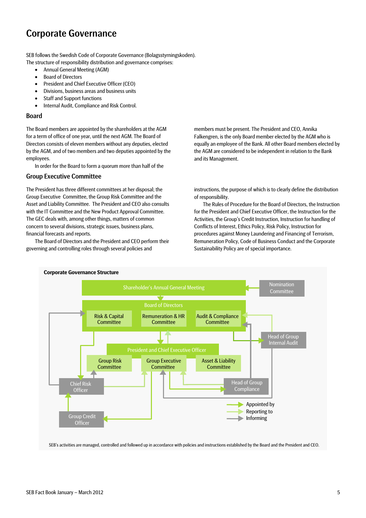# Corporate Governance

SEB follows the Swedish Code of Corporate Governance (Bolagsstyrningskoden).

- The structure of responsibility distribution and governance comprises:
	- Annual General Meeting (AGM) • Board of Directors
	- President and Chief Executive Officer (CEO)
	- Divisions, business areas and business units
	- Staff and Support functions
	- Internal Audit, Compliance and Risk Control.

#### Board

The Board members are appointed by the shareholders at the AGM for a term of office of one year, until the next AGM. The Board of Directors consists of eleven members without any deputies, elected by the AGM, and of two members and two deputies appointed by the employees.

In order for the Board to form a quorum more than half of the

#### Group Executive Committee

The President has three different committees at her disposal; the Group Executive Committee, the Group Risk Committee and the Asset and Liability Committee. The President and CEO also consults with the IT Committee and the New Product Approval Committee. The GEC deals with, among other things, matters of common concern to several divisions, strategic issues, business plans, financial forecasts and reports.

The Board of Directors and the President and CEO perform their governing and controlling roles through several policies and

members must be present. The President and CEO, Annika Falkengren, is the only Board member elected by the AGM who is equally an employee of the Bank. All other Board members elected by the AGM are considered to be independent in relation to the Bank and its Management.

instructions, the purpose of which is to clearly define the distribution of responsibility.

The Rules of Procedure for the Board of Directors, the Instruction for the President and Chief Executive Officer, the Instruction for the Activities, the Group's Credit Instruction, Instruction for handling of Conflicts of Interest, Ethics Policy, Risk Policy, Instruction for procedures against Money Laundering and Financing of Terrorism, Remuneration Policy, Code of Business Conduct and the Corporate Sustainability Policy are of special importance.



SEB's activities are managed, controlled and followed up in accordance with policies and instructions established by the Board and the President and CEO.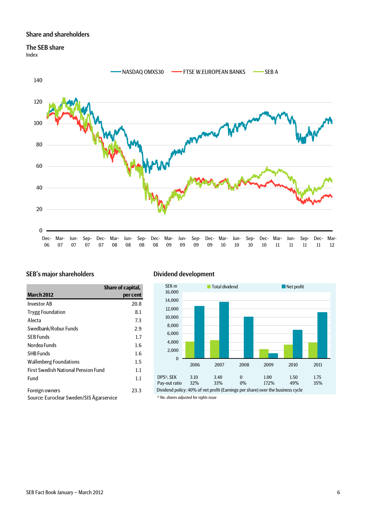## Share and shareholders

# The SEB share

Index



# SEB's major shareholders Dividend development

|                                          | Share of capital, |
|------------------------------------------|-------------------|
| <b>March 2012</b>                        | per cent          |
| <b>Investor AB</b>                       | 20.8              |
| <b>Trygg Foundation</b>                  | 8.1               |
| Alecta                                   | 7.3               |
| Swedbank/Robur Funds                     | 2.9               |
| SEB Funds                                | 1.7               |
| Nordea Funds                             | $1.6\,$           |
| <b>SHB Funds</b>                         | 1.6               |
| Wallenberg Foundations                   | $1.5\,$           |
| First Swedish National Pension Fund      | 1.1               |
| Fund                                     | 1.1               |
| Foreign owners                           | 23.3              |
| Source: Euroclear Sweden/SIS Agarservice |                   |



*1) No. shares adjusted for rights issue* Dividend policy: 40% of net profit (Earnings per share) over the business cycle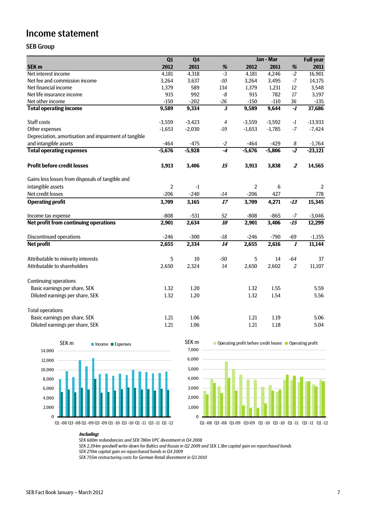# Income statement

## SEB Group

|                                                       | Q1         | Q <sub>4</sub> |                         |            | Jan - Mar |                         | <b>Full year</b> |
|-------------------------------------------------------|------------|----------------|-------------------------|------------|-----------|-------------------------|------------------|
| SEK <sub>m</sub>                                      | 2012       | 2011           | $\%$                    | 2012       | 2011      | %                       | 2011             |
| Net interest income                                   | 4,181      | 4,318          | $-3$                    | 4,181      | 4,246     | $-2$                    | 16,901           |
| Net fee and commission income                         | 3,264      | 3,637          | $-10$                   | 3,264      | 3,495     | $-7$                    | 14,175           |
| Net financial income                                  | 1,379      | 589            | 134                     | 1,379      | 1,231     | 12                      | 3,548            |
| Net life insurance income                             | 915        | 992            | $\mbox{-}8$             | 915        | 782       | 17                      | 3,197            |
| Net other income                                      | $-150$     | $-202$         | $-26$                   | $-150$     | $-110$    | 36                      | $-135$           |
| <b>Total operating income</b>                         | 9,589      | 9,334          | $\overline{\mathbf{3}}$ | 9,589      | 9,644     | $-1$                    | 37,686           |
| Staff costs                                           | $-3,559$   | $-3,423$       | $\overline{4}$          | $-3,559$   | $-3,592$  | $-1$                    | $-13,933$        |
| Other expenses                                        | $-1,653$   | $-2,030$       | $-19$                   | $-1,653$   | $-1,785$  | $-7$                    | $-7,424$         |
| Depreciation, amortisation and impairment of tangible |            |                |                         |            |           |                         |                  |
| and intangible assets                                 | $-464$     | $-475$         | $-2$                    | $-464$     | $-429$    | 8                       | $-1,764$         |
| <b>Total operating expenses</b>                       | $-5,676$   | $-5,928$       | $-4$                    | $-5,676$   | $-5,806$  | $-2$                    | $-23,121$        |
| <b>Profit before credit losses</b>                    | 3,913      | 3,406          | 15                      | 3,913      | 3,838     | $\overline{\mathbf{z}}$ | 14,565           |
| Gains less losses from disposals of tangible and      |            |                |                         |            |           |                         |                  |
| intangible assets                                     | $\sqrt{2}$ | $-1$           |                         | $\sqrt{2}$ | 6         |                         | 2                |
| Net credit losses                                     | $-206$     | $-240$         | $-14$                   | $-206$     | 427       |                         | 778              |
| <b>Operating profit</b>                               | 3,709      | 3,165          | 17                      | 3,709      | 4,271     | $-13$                   | 15,345           |
| Income tax expense                                    | $-808$     | $-531$         | 52                      | $-808$     | $-865$    | $-7$                    | $-3,046$         |
| Net profit from continuing operations                 | 2,901      | 2,634          | 10                      | 2,901      | 3,406     | $-15$                   | 12,299           |
| <b>Discontinued operations</b>                        | $-246$     | $-300$         | $-18$                   | $-246$     | $-790$    | $-69$                   | $-1,155$         |
| <b>Net profit</b>                                     | 2,655      | 2,334          | 14                      | 2,655      | 2,616     | $\overline{\mathbf{I}}$ | 11,144           |
| Attributable to minority interests                    | 5          | 10             | $-50$                   | 5          | 14        | $-64$                   | 37               |
| Attributable to shareholders                          | 2,650      | 2,324          | 14                      | 2,650      | 2,602     | $\overline{2}$          | 11,107           |
| <b>Continuing operations</b>                          |            |                |                         |            |           |                         |                  |
| Basic earnings per share, SEK                         | 1.32       | 1.20           |                         | 1.32       | 1.55      |                         | 5.59             |
| Diluted earnings per share, SEK                       | 1.32       | 1.20           |                         | 1.32       | 1.54      |                         | 5.56             |
| <b>Total operations</b>                               |            |                |                         |            |           |                         |                  |
| Basic earnings per share, SEK                         | 1.21       | 1.06           |                         | 1.21       | 1.19      |                         | 5.06             |
| Diluted earnings per share, SEK                       | 1.21       | 1.06           |                         | 1.21       | 1.18      |                         | 5.04             |







#### **Including:**

*SEK 600m redundancies and SEK 780m VPC divestment in Q4 2008*

*SEK 2,394m goodwill write-down for Baltics and Russia in Q2 2009 and SEK 1,3bn capital gain on repurchased bonds*

*SEK 270m capital gain on repurchased bonds in Q4 2009*

*SEK 755m restructuring costs for German Retail divestment in Q3 2010*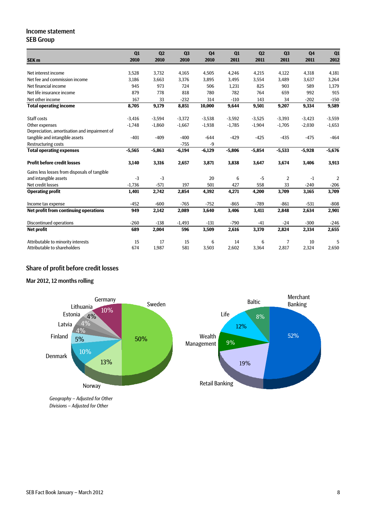## Income statement SEB Group

|                                              | Q1       | Q <sub>2</sub> | Q <sub>3</sub> | Q <sub>4</sub> | Q1       | Q <sub>2</sub> | Q <sub>3</sub> | Q <sub>4</sub> | Q1             |
|----------------------------------------------|----------|----------------|----------------|----------------|----------|----------------|----------------|----------------|----------------|
| <b>SEK m</b>                                 | 2010     | 2010           | 2010           | 2010           | 2011     | 2011           | 2011           | 2011           | 2012           |
|                                              |          |                |                |                |          |                |                |                |                |
| Net interest income                          | 3,528    | 3,732          | 4,165          | 4,505          | 4,246    | 4,215          | 4,122          | 4,318          | 4,181          |
| Net fee and commission income                | 3.186    | 3,663          | 3,376          | 3,895          | 3,495    | 3,554          | 3,489          | 3,637          | 3,264          |
| Net financial income                         | 945      | 973            | 724            | 506            | 1,231    | 825            | 903            | 589            | 1,379          |
| Net life insurance income                    | 879      | 778            | 818            | 780            | 782      | 764            | 659            | 992            | 915            |
| Net other income                             | 167      | 33             | $-232$         | 314            | $-110$   | 143            | 34             | $-202$         | $-150$         |
| <b>Total operating income</b>                | 8,705    | 9,179          | 8,851          | 10,000         | 9,644    | 9,501          | 9,207          | 9,334          | 9,589          |
| Staff costs                                  | $-3,416$ | $-3,594$       | $-3,372$       | $-3,538$       | $-3,592$ | $-3,525$       | $-3,393$       | $-3,423$       | $-3,559$       |
| Other expenses                               | $-1,748$ | $-1,860$       | $-1,667$       | $-1,938$       | $-1,785$ | $-1,904$       | $-1,705$       | $-2,030$       | $-1,653$       |
| Depreciation, amortisation and impairment of |          |                |                |                |          |                |                |                |                |
| tangible and intangible assets               | $-401$   | $-409$         | $-400$         | $-644$         | $-429$   | $-425$         | $-435$         | $-475$         | $-464$         |
| <b>Restructuring costs</b>                   |          |                | $-755$         | $-9$           |          |                |                |                |                |
| <b>Total operating expenses</b>              | $-5,565$ | $-5,863$       | $-6,194$       | $-6,129$       | $-5,806$ | $-5,854$       | $-5,533$       | $-5,928$       | $-5,676$       |
| <b>Profit before credit losses</b>           | 3,140    | 3,316          | 2,657          | 3,871          | 3,838    | 3,647          | 3,674          | 3,406          | 3,913          |
| Gains less losses from disposals of tangible |          |                |                |                |          |                |                |                |                |
| and intangible assets                        | $-3$     | $-3$           |                | 20             | 6        | $-5$           | $\overline{2}$ | $-1$           | $\overline{2}$ |
| Net credit losses                            | $-1,736$ | $-571$         | 197            | 501            | 427      | 558            | 33             | $-240$         | $-206$         |
| <b>Operating profit</b>                      | 1,401    | 2,742          | 2,854          | 4,392          | 4,271    | 4,200          | 3,709          | 3,165          | 3,709          |
| Income tax expense                           | $-452$   | $-600$         | $-765$         | $-752$         | $-865$   | $-789$         | $-861$         | $-531$         | $-808$         |
| Net profit from continuing operations        | 949      | 2,142          | 2,089          | 3,640          | 3,406    | 3,411          | 2,848          | 2,634          | 2,901          |
| <b>Discontinued operations</b>               | $-260$   | $-138$         | $-1,493$       | $-131$         | $-790$   | $-41$          | $-24$          | $-300$         | $-246$         |
| <b>Net profit</b>                            | 689      | 2,004          | 596            | 3,509          | 2,616    | 3,370          | 2,824          | 2,334          | 2,655          |
| Attributable to minority interests           | 15       | 17             | 15             | 6              | 14       | 6              | 7              | 10             | 5              |
| Attributable to shareholders                 | 674      | 1,987          | 581            | 3,503          | 2,602    | 3,364          | 2,817          | 2,324          | 2,650          |

# Share of profit before credit losses

Mar 2012, 12 months rolling



*Geography – Adjusted for Other Divisions – Adjusted for Other*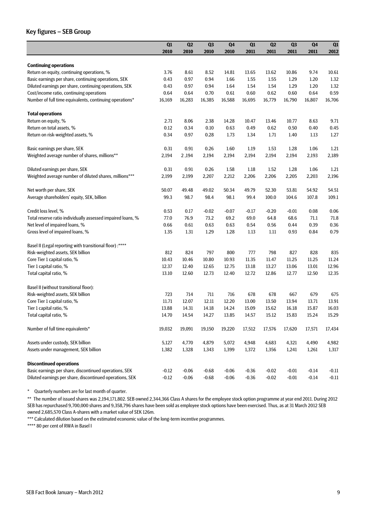### Key figures – SEB Group

|                                                             | Q1      | Q2      | Q <sub>3</sub> | Q <sub>4</sub> | Q1      | Q2      | Q <sub>3</sub> | Q <sub>4</sub> | Q1      |
|-------------------------------------------------------------|---------|---------|----------------|----------------|---------|---------|----------------|----------------|---------|
|                                                             | 2010    | 2010    | 2010           | 2010           | 2011    | 2011    | 2011           | 2011           | 2012    |
|                                                             |         |         |                |                |         |         |                |                |         |
| <b>Continuing operations</b>                                |         |         |                |                |         |         |                |                |         |
| Return on equity, continuing operations, %                  | 3.76    | 8.61    | 8.52           | 14.81          | 13.65   | 13.62   | 10.86          | 9.74           | 10.61   |
| Basic earnings per share, continuing operations, SEK        | 0.43    | 0.97    | 0.94           | 1.66           | 1.55    | 1.55    | 1.29           | 1.20           | 1.32    |
| Diluted earnings per share, continuing operations, SEK      | 0.43    | 0.97    | 0.94           | 1.64           | 1.54    | 1.54    | 1.29           | 1.20           | 1.32    |
| Cost/income ratio, continuing operations                    | 0.64    | 0.64    | 0.70           | 0.61           | 0.60    | 0.62    | 0.60           | 0.64           | 0.59    |
| Number of full time equivalents, continuing operations*     | 16,169  | 16,283  | 16,385         | 16,588         | 16,695  | 16,779  | 16,790         | 16,807         | 16,706  |
| <b>Total operations</b>                                     |         |         |                |                |         |         |                |                |         |
| Return on equity, %                                         | 2.71    | 8.06    | 2.38           | 14.28          | 10.47   | 13.46   | 10.77          | 8.63           | 9.71    |
| Return on total assets, %                                   | 0.12    | 0.34    | 0.10           | 0.63           | 0.49    | 0.62    | 0.50           | 0.40           | 0.45    |
| Return on risk-weighted assets, %                           | 0.34    | 0.97    | 0.28           | 1.73           | 1.34    | 1.71    | 1.40           | 1.13           | 1.27    |
| Basic earnings per share, SEK                               | 0.31    | 0.91    | 0.26           | 1.60           | 1.19    | 1.53    | 1.28           | 1.06           | 1.21    |
| Weighted average number of shares, millions**               | 2,194   | 2,194   | 2,194          | 2,194          | 2,194   | 2,194   | 2,194          | 2,193          | 2,189   |
| Diluted earnings per share, SEK                             | 0.31    | 0.91    | 0.26           | 1.58           | 1.18    | 1.52    | 1.28           | 1.06           | 1.21    |
| Weighted average number of diluted shares, millions***      | 2,199   | 2,199   | 2,207          | 2,212          | 2,206   | 2,206   | 2,205          | 2,203          | 2,196   |
| Net worth per share, SEK                                    | 50.07   | 49.48   | 49.02          | 50.34          | 49.79   | 52.30   | 53.81          | 54.92          | 54.51   |
| Average shareholders' equity, SEK, billion                  | 99.3    | 98.7    | 98.4           | 98.1           | 99.4    | 100.0   | 104.6          | 107.8          | 109.1   |
| Credit loss level, %                                        | 0.53    | 0.17    | $-0.02$        | -0.07          | $-0.17$ | $-0.20$ | $-0.01$        | 0.08           | 0.06    |
| Total reserve ratio individually assessed impaired loans, % | 77.0    | 76.9    | 73.2           | 69.2           | 69.0    | 64.8    | 68.6           | 71.1           | 71.8    |
| Net level of impaired loans, %                              | 0.66    | 0.61    | 0.63           | 0.63           | 0.54    | 0.56    | 0.44           | 0.39           | 0.36    |
| Gross level of impaired loans, %                            | 1.35    | 1.31    | 1.29           | 1.28           | 1.13    | 1.11    | 0.93           | 0.84           | 0.79    |
| Basel II (Legal reporting with transitional floor) :****    |         |         |                |                |         |         |                |                |         |
| Risk-weighted assets, SEK billion                           | 812     | 824     | 797            | 800            | 777     | 798     | 827            | 828            | 835     |
| Core Tier 1 capital ratio, %                                | 10.43   | 10.46   | 10.80          | 10.93          | 11.35   | 11.47   | 11.25          | 11.25          | 11.24   |
| Tier 1 capital ratio, %                                     | 12.37   | 12.40   | 12.65          | 12.75          | 13.18   | 13.27   | 13.06          | 13.01          | 12.96   |
| Total capital ratio, %                                      | 13.10   | 12.60   | 12.73          | 12.40          | 12.72   | 12.86   | 12.77          | 12.50          | 12.35   |
| Basel II (without transitional floor):                      |         |         |                |                |         |         |                |                |         |
| Risk-weighted assets, SEK billion                           | 723     | 714     | 711            | 716            | 678     | 678     | 667            | 679            | 675     |
| Core Tier 1 capital ratio, %                                | 11.71   | 12.07   | 12.11          | 12.20          | 13.00   | 13.50   | 13.94          | 13.71          | 13.91   |
| Tier 1 capital ratio, %                                     | 13.88   | 14.31   | 14.18          | 14.24          | 15.09   | 15.62   | 16.18          | 15.87          | 16.03   |
| Total capital ratio, %                                      | 14.70   | 14.54   | 14.27          | 13.85          | 14.57   | 15.12   | 15.83          | 15.24          | 15.29   |
| Number of full time equivalents*                            | 19,032  | 19,091  | 19,150         | 19,220         | 17,512  | 17,576  | 17,620         | 17,571         | 17,434  |
| Assets under custody, SEK billion                           | 5,127   | 4,770   | 4,879          | 5,072          | 4,948   | 4,683   | 4,321          | 4,490          | 4,982   |
| Assets under management, SEK billion                        | 1,382   | 1,328   | 1,343          | 1,399          | 1,372   | 1,356   | 1,241          | 1,261          | 1,317   |
| <b>Discontinued operations</b>                              |         |         |                |                |         |         |                |                |         |
| Basic earnings per share, discontinued operations, SEK      | $-0.12$ | $-0.06$ | $-0.68$        | $-0.06$        | $-0.36$ | $-0.02$ | $-0.01$        | $-0.14$        | $-0.11$ |
| Diluted earnings per share, discontinued operations, SEK    | $-0.12$ | $-0.06$ | $-0.68$        | $-0.06$        | $-0.36$ | $-0.02$ | $-0.01$        | $-0.14$        | $-0.11$ |

\* Quarterly numbers are for last month of quarter.

\*\* The number of issued shares was 2,194,171,802. SEB owned 2,344,366 Class A shares for the employee stock option programme at year end 2011. During 2012 SEB has repurchased 9,700,000 shares and 9,358,796 shares have been sold as employee stock options have been exercised. Thus, as at 31 March 2012 SEB owned 2,685,570 Class A-shares with a market value of SEK 126m.

\*\*\* Calculated dilution based on the estimated economic value of the long-term incentive programmes.

\*\*\*\* 80 per cent of RWA in Basel I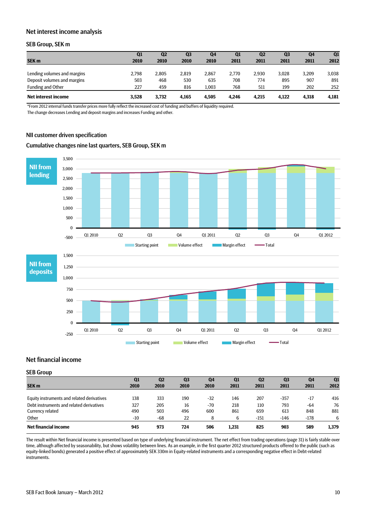#### Net interest income analysis

### SEB Group, SEK m

|                             | Q1    | Q <sub>2</sub> | Q <sub>3</sub> | Q <sub>4</sub> | Q1    | Q <sub>2</sub> | Q <sub>3</sub> | Q4    | Q1    |
|-----------------------------|-------|----------------|----------------|----------------|-------|----------------|----------------|-------|-------|
| <b>SEK m</b>                | 2010  | 2010           | 2010           | 2010           | 2011  | 2011           | 2011           | 2011  | 2012  |
|                             |       |                |                |                |       |                |                |       |       |
| Lending volumes and margins | 2.798 | 2.805          | 2,819          | 2.867          | 2.770 | 2.930          | 3,028          | 3,209 | 3,038 |
| Deposit volumes and margins | 503   | 468            | 530            | 635            | 708   | 774            | 895            | 907   | 891   |
| Funding and Other           | 227   | 459            | 816            | 1,003          | 768   | 511            | 199            | 202   | 252   |
| Net interest income         | 3.528 | 3.732          | 4.165          | 4.505          | 4.246 | 4.215          | 4.122          | 4,318 | 4,181 |

\*From 2012 internal funds transfer prices more fully reflect the increased cost of funding and buffers of liquidity required.

The change decreases Lending and deposit margins and increases Funding and other.

#### NII customer driven specification

#### Cumulative changes nine last quarters, SEB Group, SEK m



## Net financial income

| - -- - - -                                 |       |                |                |                |       |                |                |       |       |
|--------------------------------------------|-------|----------------|----------------|----------------|-------|----------------|----------------|-------|-------|
|                                            | Q1    | Q <sub>2</sub> | Q <sub>3</sub> | Q <sub>4</sub> | Q1    | Q <sub>2</sub> | Q <sub>3</sub> | Q4    | Q1    |
| SEK <sub>m</sub>                           | 2010  | 2010           | 2010           | 2010           | 2011  | 2011           | 2011           | 2011  | 2012  |
|                                            |       |                |                |                |       |                |                |       |       |
| Equity instruments and related derivatives | 138   | 333            | 190            | $-32$          | 146   | 207            | $-357$         | $-17$ | 416   |
| Debt instruments and related derivatives   | 327   | 205            | 16             | $-70$          | 218   | 110            | 793            | -64   | 76    |
| Currency related                           | 490   | 503            | 496            | 600            | 861   | 659            | 613            | 848   | 881   |
| Other                                      | $-10$ | -68            | 22             |                | 6     | $-151$         | $-146$         | -178  | 6     |
| Net financial income                       | 945   | 973            | 724            | 506            | 1,231 | 825            | 903            | 589   | 1,379 |

The result within Net financial income is presented based on type of underlying financial instrument. The net effect from trading operations (page 31) is fairly stable over time, although affected by seasonability, but shows volatility between lines. As an example, in the first quarter 2012 structured products offered to the public (such as equity-linked bonds) generated a positive effect of approximately SEK 330m in Equity-related instruments and a corresponding negative effect in Debt-related instruments.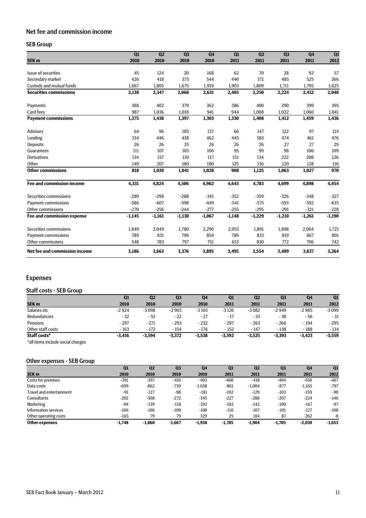# Net fee and commission income

## SEB Group

|                                   | Q1       | Q2       | Q <sub>3</sub> | Q <sub>4</sub> | Q1       | Q2       | Q <sub>3</sub> | Q <sub>4</sub> | Q1       |
|-----------------------------------|----------|----------|----------------|----------------|----------|----------|----------------|----------------|----------|
| SEK <sub>m</sub>                  | 2010     | 2010     | 2010           | 2010           | 2011     | 2011     | 2011           | 2011           | 2012     |
| Issue of securities               | 45       | 124      | 20             | 168            | 62       | 70       | 28             | 92             | 57       |
| Secondary market                  | 426      | 418      | 373            | 544            | 440      | 371      | 485            | 525            | 366      |
| Custody and mutual funds          | 1,667    | 1,805    | 1,675          | 1,919          | 1,903    | 1,809    | 1,711          | 1,795          | 1,625    |
| <b>Securities commissions</b>     | 2,138    | 2,347    | 2,068          | 2,631          | 2,405    | 2,250    | 2,224          | 2,412          | 2,048    |
| Payments                          | 388      | 402      | 379            | 362            | 386      | 400      | 390            | 399            | 395      |
| Card fees                         | 987      | 1,036    | 1,018          | 941            | 944      | 1,008    | 1,022          | 1,060          | 1,041    |
| <b>Payment commissions</b>        | 1,375    | 1,438    | 1,397          | 1,303          | 1,330    | 1,408    | 1,412          | 1,459          | 1,436    |
| Advisory                          | 64       | 96       | 185            | 137            | 66       | 147      | 122            | 97             | 114      |
| Lending                           | 334      | 446      | 438            | 462            | 445      | 583      | 474            | 461            | 476      |
| <b>Deposits</b>                   | 26       | 26       | 25             | 26             | 26       | 26       | 27             | 27             | 29       |
| Guarantees                        | 111      | 107      | 103            | 106            | 95       | 99       | 98             | 106            | 109      |
| <b>Derivatives</b>                | 134      | 157      | 110            | 117            | 151      | 134      | 222            | 208            | 126      |
| Other                             | 149      | 207      | 180            | 180            | 125      | 136      | 120            | 128            | 116      |
| <b>Other commissions</b>          | 818      | 1,039    | 1,041          | 1,028          | 908      | 1,125    | 1,063          | 1,027          | 970      |
| <b>Fee and commission income</b>  | 4.331    | 4.824    | 4,506          | 4,962          | 4,643    | 4,783    | 4,699          | 4,898          | 4,454    |
| Securities commissions            | $-289$   | $-298$   | $-288$         | $-341$         | $-352$   | $-359$   | $-326$         | $-348$         | $-327$   |
| <b>Payment commissions</b>        | $-586$   | $-607$   | $-598$         | $-449$         | $-541$   | $-575$   | $-593$         | $-592$         | $-635$   |
| Other commissions                 | $-270$   | $-256$   | $-244$         | $-277$         | $-255$   | $-295$   | $-291$         | $-321$         | $-228$   |
| <b>Fee and commission expense</b> | $-1,145$ | $-1,161$ | $-1,130$       | $-1,067$       | $-1,148$ | $-1,229$ | $-1,210$       | $-1,261$       | $-1,190$ |
| Securities commissions            | 1.849    | 2,049    | 1.780          | 2,290          | 2,053    | 1,891    | 1,898          | 2,064          | 1,721    |
| <b>Payment commissions</b>        | 789      | 831      | 799            | 854            | 789      | 833      | 819            | 867            | 801      |
| Other commissions                 | 548      | 783      | 797            | 751            | 653      | 830      | 772            | 706            | 742      |
| Net fee and commission income     | 3,186    | 3,663    | 3,376          | 3,895          | 3,495    | 3,554    | 3,489          | 3,637          | 3,264    |

# Expenses

### Staff costs - SEB Group

|                   | Q1       | Q <sub>2</sub> | Q <sub>3</sub> | Q <sub>4</sub> | Q <sub>1</sub> | Q <sub>2</sub> | Q <sub>3</sub> | Q <sub>4</sub> | Q <sub>1</sub> |
|-------------------|----------|----------------|----------------|----------------|----------------|----------------|----------------|----------------|----------------|
| SEK <sub>m</sub>  | 2010     | 2010           | 2010           | 2010           | 2011           | 2011           | 2011           | 2011           | 2012           |
| Salaries etc      | $-2924$  | $-3098$        | $-2903$        | $-3103$        | $-3126$        | $-3082$        | $-2949$        | $-2985$        | $-3099$        |
| Redundancies      | $-32$    | $-53$          | $-22$          | $-27$          | $-17$          | $-33$          | $-30$          | - 56           | $-31$          |
| Pensions          | $-297$   | $-271$         | $-293$         | $-232$         | $-297$         | $-263$         | $-266$         | - 194          | $-295$         |
| Other staff costs | - 163    | $-172$         | $-154$         | $-176$         | $-152$         | $-147$         | $-148$         | $-188$         | $-134$         |
| Staff costs*      | $-3,416$ | $-3,594$       | $-3,372$       | $-3.538$       | $-3,592$       | $-3.525$       | $-3.393$       | $-3.423$       | $-3,559$       |

\*all items include social charges

# Other expenses - SEB Group

|                                 | Q1       | Q <sub>2</sub> | Q <sub>3</sub> | Q <sub>4</sub> | Q1       | Q <sub>2</sub> | Q <sub>3</sub> | Q <sub>4</sub> | Q1       |
|---------------------------------|----------|----------------|----------------|----------------|----------|----------------|----------------|----------------|----------|
| SEK <sub>m</sub>                | 2010     | 2010           | 2010           | 2010           | 2011     | 2011           | 2011           | 2011           | 2012     |
| Costs for premises              | $-391$   | $-397$         | $-410$         | $-403$         | $-408$   | $-418$         | -404           | $-450$         | $-407$   |
| Data costs                      | $-699$   | $-862$         | $-739$         | $-1,038$       | $-861$   | $-1.004$       | $-877$         | $-1,165$       | $-797$   |
| <b>Travel and entertainment</b> | -91      | $-127$         | $-98$          | $-181$         | $-102$   | $-129$         | $-103$         | $-159$         | $-90$    |
| Consultants                     | $-202$   | $-308$         | $-272$         | $-345$         | $-227$   | $-288$         | $-207$         | $-224$         | $-146$   |
| Marketing                       | -94      | $-139$         | $-118$         | $-192$         | $-102$   | $-142$         | $-100$         | $-167$         | $-97$    |
| Information services            | $-106$   | $-106$         | $-109$         | $-108$         | $-110$   | $-107$         | -101           | $-127$         | $-108$   |
| Other operating costs           | $-165$   | 79             | 79             | 329            | 25       | 184            | 87             | 262            | -8       |
| Other expenses                  | $-1.748$ | $-1.860$       | $-1.667$       | $-1.938$       | $-1.785$ | $-1.904$       | $-1.705$       | $-2.030$       | $-1,653$ |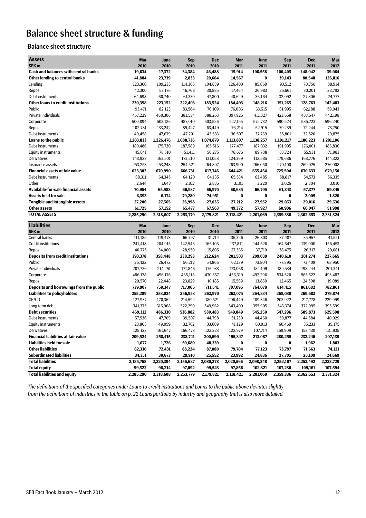# Balance sheet structure & funding

# Balance sheet structure

| <b>Assets</b>                                              |                     |                     |                     |                     |                     |                      |                      |                      |                      |
|------------------------------------------------------------|---------------------|---------------------|---------------------|---------------------|---------------------|----------------------|----------------------|----------------------|----------------------|
| SEK <sub>m</sub>                                           | <b>Mar</b><br>2010  | June<br>2010        | <b>Sep</b><br>2010  | <b>Dec</b><br>2010  | <b>Mar</b><br>2011  | June<br>2011         | <b>Sep</b><br>2011   | <b>Dec</b><br>2011   | Mar<br>2012          |
| <b>Cash and balances with central banks</b>                | 19,634              | 17,372              | 34,384              | 46,488              | 15,914              | 106,558              | 100,405              | 148,042              | 39,064               |
| <b>Other lending to central banks</b>                      | 41,884              | 23,739              | 2,833               | 20,664              | 14,567              | $\bf{0}$             | 39,143               | 80,548               | 126,816              |
| Lending                                                    | 123,360             | 109,235             | 114,305             | 104,839             | 126,400             | 85,069               | 93,512               | 70,756               | 88,914               |
| Repos                                                      | 42,300              | 53,176              | 46,768              | 30,885              | 17,464              | 26,983               | 25,661               | 30,201               | 28,792               |
| Debt instruments                                           | 64,698              | 60,740              | 61,330              | 47,800              | 40,629              | 36,164               | 32,092               | 27,806               | 24,777               |
| <b>Other loans to credit institutions</b>                  | 230,358             | 223,152             | 222,403             | 183,524             | 184,493             | 148,216              | 151,265              | 128,763              | 142,483              |
| Public                                                     | 93,471              | 82,123              | 83,564              | 76,109              | 76,006              | 63,515               | 61,995               | 62,188               | 59,043               |
| Private Individuals                                        | 457,229             | 460,306             | 381,534             | 388,263             | 397,925             | 411,327              | 423,658              | 433,547              | 442,198              |
| Corporate                                                  | 500,894             | 503,126             | 487,010             | 503,526             | 527,155             | 572,732              | 590,524              | 585,723              | 596,240              |
| Repos                                                      | 102,781             | 133,242             | 89,427              | 63,449              | 76,214              | 52,915               | 79,239               | 72,244               | 73,750               |
| Debt instruments                                           | 49,458              | 47,679              | 47,201              | 43,533              | 36,507              | 37,769               | 35,801               | 32,520               | 29,875               |
| <b>Loans to the public</b>                                 | 1,203,833           | 1,226,476           | 1,088,736           | 1,074,879           | 1,113,807           | 1,138,257            | 1,191,217            | 1,186,223            | 1,201,106            |
| Debt instruments                                           | 180,486             | 175,730             | 187,589             | 165,516             | 177,477             | 187,032              | 191,995              | 176,001              | 186,836              |
| <b>Equity instruments</b>                                  | 45,641              | 78,510              | 51,411              | 56,275              | 78,676              | 89,788               | 83,724               | 55,931               | 71,983               |
| Derivatives                                                | 143,923             | 163,501             | 173,210             | 131,058             | 124,369             | 112,585              | 179,686              | 168,776              | 144,322              |
| Insurance assets                                           | 253,253             | 253,248             | 254,521             | 264,897             | 263,900             | 266,050              | 270,100              | 269,925              | 276,008              |
| <b>Financial assets at fair value</b>                      | 623,302             | 670,990             | 666,731             | 617,746             | 644,421             | 655,454              | 725,504              | 670,633              | 679,150              |
| Debt instruments                                           | 68,311              | 64,345              | 64,120              | 64,135              | 65,534              | 63,485               | 58,817               | 54,573               | 56,335               |
| Other                                                      | 2,644               | 1,643               | 2,817               | 2,835               | 3,101               | 3,220                | 3,026                | 2,804                | 3,010                |
| <b>Available-for-sale financial assets</b>                 | 70,954              | 65,988              | 66,937              | 66,970              | 68,635              | 66,705               | 61,843               | 57,377               | 59,345               |
| <b>Assets held for sale</b>                                | 6,393               | 6,174               | 79,280              | 74,951              | $\bf{0}$            | $\bf{0}$             | $\bf{0}$             | 2,005                | 1,826                |
| <b>Tangible and intangible assets</b>                      | 27,206              | 27,565              | 26,998              | 27,035              | 27,212              | 27,952               | 29,053               | 29,016               | 29,536               |
| <b>Other assets</b>                                        | 61,725              | 57,152              | 65,477              | 67,563              | 49,372              | 57,927               | 60,906               | 60,047               | 51,998               |
| <b>TOTAL ASSETS</b>                                        | 2,285,290           | 2,318,607           | 2,253,779           | 2,179,821           | 2,118,421           | 2,201,069            | 2,359,336            | 2,362,653            | 2,331,324            |
| <b>Liabilities</b>                                         | Mar                 | June                | <b>Sep</b>          | <b>Dec</b>          | <b>Mar</b>          | June                 | <b>Sep</b>           | <b>Dec</b>           | <b>Mar</b>           |
| SEK <sub>m</sub>                                           | 2010                | 2010                | 2010                | 2010                | 2011                | 2011                 | 2011                 | 2011                 | 2012                 |
| Central banks                                              | 111,185             | 119,473             | 66,797              | 31,714              | 36,326              | 26,803               | 37,487               | 35,957               | 41,551               |
| <b>Credit institutions</b>                                 | 241,418             | 204,915             | 142,546             | 165,105             | 137,811             | 144,526              | 164,647              | 139,000              | 156,453              |
| Repos                                                      | 40,775              | 34,060              | 28,950              | 15,805              | 27,365              | 37,710               | 38,475               | 26,317               | 29,661               |
| <b>Deposits from credit institutions</b>                   | 393,378             | 358,448             | 238,293             | 212,624             | 201,503             | 209,039              | 240,610              | 201,274              | 227,665              |
| Public                                                     | 25,422              | 26,472              | 56,212              | 54,866              | 62,139              | 73,804               | 77,895               | 73,409               | 68,950               |
| Private Individuals                                        | 207,736             | 214,251             | 171,846             | 175,933             | 173,068             | 184,109              | 189,534              | 198,244              | 201,341              |
| Corporate                                                  | 486,178             | 496,176             | 465,118             | 470,557             | 456,319             | 492,296              | 534,520              | 565,522              | 493,482              |
| Repos                                                      | 20,570              | 22,448              | 23,829              | 10,185              | 15,569              | 13,869               | 12,465               | 24,508               | 19,089               |
| Deposits and borrowings from the public                    | 739,907             | 759,347             | 717,005             | 711,541             | 707,095             | 764,078              | 814,415              | 861,682              | 782,861              |
| <b>Liabilities to policyholders</b>                        | 255,289             | 253,024             | 256,953             | 263,970             | 263,075             | 264,834              | 268,030              | 269,683              | 279,874              |
| CP/CD                                                      | 127,937             | 170,362             | 214,592             | 180,521             | 206,449             | 189,346              | 203,922              | 217,778              | 229,999              |
| Long term debt                                             | 341,375             | 315,968             | 322,290             | 349,962             | 343,400             | 355,905              | 343,374              | 372,095              | 395,599              |
| <b>Debt securities</b>                                     | 469,312             | 486,330             | 536,882             | 530,483             | 549,849             | 545,250              | 547,296              | 589,873              | 625,598              |
| Debt instruments                                           | 57,536              | 47,709              | 39,507              | 44,798              | 31,239              | 44,460               | 59,877               | 44,584               | 40,029               |
| <b>Equity instruments</b>                                  |                     |                     |                     | 33,669              | 41,129              | 60,913               | 60,469               | 35,233               | 35,175               |
| <b>Derivatives</b>                                         | 23,865              | 49,059              | 32,762              |                     |                     |                      |                      |                      |                      |
|                                                            | 128,123             | 161,647             | 166,473             | 122,223             | 122,979             | 107,714              | 159,909              | 152,430              | 131,935              |
| <b>Financial liabilities at fair value</b>                 | 209,524             | 258,415             | 238,741             | 200,690             | 195,347             | 213,087              | 280,255              | 232,246              | 207,139              |
| <b>Liabilities held for sale</b>                           | 1,677               | 1,726               | 50,680              | 48,339              | $\bf{0}$            | $\bf{0}$             | $\bf{0}$             | 1,962                | 1,803                |
| <b>Other liabilities</b>                                   | 82,330              | 72,431              | 88,224              | 87,080              | 79,704              | 77,123               | 73,797               | 71,663               | 74,121               |
| <b>Subordinated liabilities</b>                            | 34,351              | 30,673              | 29,910              | 25,552              | 23,992              | 24,836               | 27,705               | 25,109               | 24,669               |
| <b>Total liabilities</b>                                   | 2,185,768           | 2,220,394           | 2,156,687           | 2,080,278           | 2,020,566           | 2,098,248            | 2,252,107            | 2,253,492            | 2,223,729            |
| <b>Total equity</b><br><b>Total liabilities and equity</b> | 99,522<br>2,285,290 | 98,214<br>2,318,608 | 97,092<br>2,253,779 | 99,543<br>2,179,821 | 97,856<br>2,118,421 | 102,821<br>2,201,069 | 107,230<br>2,359,336 | 109,161<br>2,362,653 | 107,594<br>2,331,324 |

*The definitions of the specified categories under Loans to credit institutions and Loans to the public above deviates slightly from the definitions of industries in the table on p. 22 Loans portfolio by industry and geography that is also more detailed.*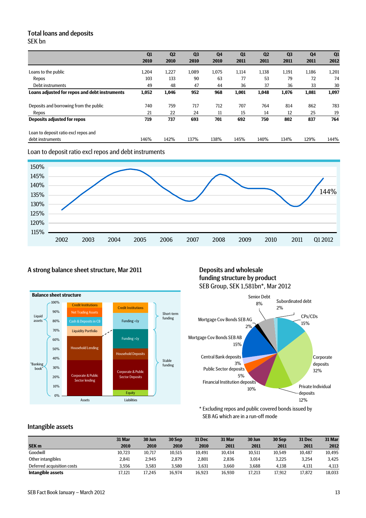## Total loans and deposits SEK bn

|                                               | Q1    | Q <sub>2</sub> | Q <sub>3</sub> | Q <sub>4</sub> | Q1    | Q <sub>2</sub> | Q <sub>3</sub> | Q <sub>4</sub> | Q1    |
|-----------------------------------------------|-------|----------------|----------------|----------------|-------|----------------|----------------|----------------|-------|
|                                               | 2010  | 2010           | 2010           | 2010           | 2011  | 2011           | 2011           | 2011           | 2012  |
| Loans to the public                           | 1,204 | 1,227          | 1,089          | 1,075          | 1,114 | 1,138          | 1,191          | 1,186          | 1,201 |
| Repos                                         | 103   | 133            | 90             | 63             | 77    | 53             | 79             | 72             | 74    |
| Debt instruments                              | 49    | 48             | 47             | 44             | 36    | 37             | 36             | 33             | 30    |
| Loans adjusted for repos and debt instruments | 1,052 | 1,046          | 952            | 968            | 1,001 | 1,048          | 1,076          | 1,081          | 1,097 |
| Deposits and borrowing from the public        | 740   | 759            | 717            | 712            | 707   | 764            | 814            | 862            | 783   |
| Repos                                         | 21    | 22             | 24             | 11             | 15    | 14             | 12             | 25             | 19    |
| <b>Deposits adjusted for repos</b>            | 719   | 737            | 693            | 701            | 692   | 750            | 802            | 837            | 764   |
| Loan to deposit ratio excl repos and          |       |                |                |                |       |                |                |                |       |
| debt instruments                              | 146%  | 142%           | 137%           | 138%           | 145%  | 140%           | 134%           | 129%           | 144%  |





# A strong balance sheet structure, Mar 2011 Deposits and wholesale



# funding structure by product SEB Group, SEK 1,581bn\*, Mar 2012



\* Excluding repos and public covered bonds issued by SEB AG which are in a run-off mode

## Intangible assets

|                            | 31 Mar | 30 Jun | 30 Sep | <b>31 Dec</b> | 31 Mar | 30 Jun | 30 Sep | <b>31 Dec</b> | 31 Mar |
|----------------------------|--------|--------|--------|---------------|--------|--------|--------|---------------|--------|
| <b>SEK m</b>               | 2010   | 2010   | 2010   | 2010          | 2011   | 2011   | 2011   | 2011          | 2012   |
| Goodwill                   | 10,723 | 10,717 | 10,515 | 10,491        | 10.434 | 10,511 | 10.549 | 10.487        | 10,495 |
| Other intangibles          | 2.841  | 2.945  | 2.879  | 2.801         | 2,836  | 3.014  | 3.225  | 3.254         | 3.425  |
| Deferred acquisition costs | 3.556  | 3.583  | 3.580  | 3.631         | 3.660  | 3.688  | 4.138  | 4.131         | 4,113  |
| Intangible assets          | 17,121 | 17.245 | 16.974 | 16.923        | 16.930 | 17,213 | 17.912 | 17.872        | 18,033 |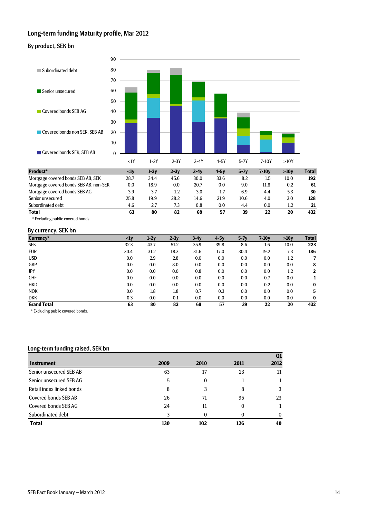## Long-term funding Maturity profile, Mar 2012

#### By product, SEK bn



#### By currency, SEK bn

| Currency*          | $\langle$ 1y | $1-2y$ | $2-3y$ | $3-4y$ | $4-5y$ | $5-7y$ | $7-10y$ | >10v | <b>Total</b> |
|--------------------|--------------|--------|--------|--------|--------|--------|---------|------|--------------|
| <b>SEK</b>         | 32.3         | 43.7   | 51.2   | 35.9   | 39.8   | 8.6    | 1.6     | 10.0 | 223          |
| <b>EUR</b>         | 30.4         | 31.2   | 18.3   | 31.6   | 17.0   | 30.4   | 19.2    | 7.3  | 186          |
| <b>USD</b>         | 0.0          | 2.9    | 2.8    | 0.0    | 0.0    | 0.0    | 0.0     | 1.2  |              |
| GBP                | 0.0          | 0.0    | 8.0    | 0.0    | 0.0    | 0.0    | 0.0     | 0.0  | 8            |
| JPY                | 0.0          | 0.0    | 0.0    | 0.8    | 0.0    | 0.0    | 0.0     | 1.2  | $\mathbf{2}$ |
| <b>CHF</b>         | 0.0          | 0.0    | 0.0    | 0.0    | 0.0    | 0.0    | 0.7     | 0.0  |              |
| <b>HKD</b>         | 0.0          | 0.0    | 0.0    | 0.0    | 0.0    | 0.0    | 0.2     | 0.0  | $\bf{0}$     |
| <b>NOK</b>         | 0.0          | 1.8    | 1.8    | 0.7    | 0.3    | 0.0    | 0.0     | 0.0  | 5            |
| <b>DKK</b>         | 0.3          | 0.0    | 0.1    | 0.0    | 0.0    | 0.0    | 0.0     | 0.0  | $\bf{0}$     |
| <b>Grand Total</b> | 63           | 80     | 82     | 69     | 57     | 39     | 22      | 20   | 432          |

\* Excluding public covered bonds.

#### Long-term funding raised, SEK bn

|                           |      |              |              | Q <sub>1</sub> |
|---------------------------|------|--------------|--------------|----------------|
| <b>Instrument</b>         | 2009 | <b>2010</b>  | 2011         | 2012           |
| Senior unsecured SEB AB   | 63   | 17           | 23           | 11             |
| Senior unsecured SEB AG   | 5    | $\mathbf{0}$ |              |                |
| Retail index linked bonds | 8    | 3            | 8            | 3              |
| Covered bonds SEB AB      | 26   | 71           | 95           | 23             |
| Covered bonds SEB AG      | 24   | 11           | $\mathbf{0}$ |                |
| Subordinated debt         | 3    | 0            | 0            | $\Omega$       |
| <b>Total</b>              | 130  | 102          | 126          | 40             |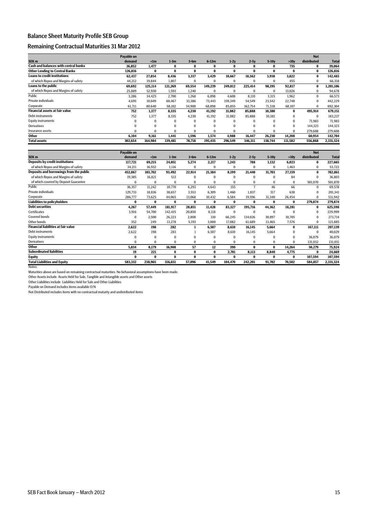### Balance Sheet Maturity Profile SEB Group

#### Remaining Contractual Maturities 31 Mar 2012

|                                             | Payable on |           |          |          |          |          |          |          |          | <b>Not</b>  |              |
|---------------------------------------------|------------|-----------|----------|----------|----------|----------|----------|----------|----------|-------------|--------------|
| SEK <sub>m</sub>                            | demand     | $\leq$ lm | $1-3m$   | $3-6m$   | $6-12m$  | $1-2y$   | $2-5y$   | $5-10y$  | >10y     | distributed | <b>Total</b> |
| <b>Cash and balances with central banks</b> | 36,852     | 1,477     | 0        | 0        | 0        | 0        | $\bf{0}$ | $\bf{0}$ | 735      | 0           | 39,064       |
| <b>Other Lending to Central Banks</b>       | 126,816    | 0         | 0        | 0        | 0        | 0        | $\bf{0}$ | $\Omega$ | $\bf{0}$ | 0           | 126,816      |
| <b>Loans to credit institutions</b>         | 62,437     | 27,854    | 8,436    | 3,337    | 3,429    | 10,667   | 18,562   | 3,938    | 3.822    | 0           | 142,483      |
| of which Repos and Margins of safety        | 44.212     | 19,844    | 1,807    | $\Omega$ | $\Omega$ | $\Omega$ | $\bf{0}$ | $\Omega$ | 455      | $\Omega$    | 66,318       |
| Loans to the public                         | 69,692     | 125,114   | 121,269  | 69,554   | 149,239  | 249,812  | 225,414  | 98,195   | 92,817   | 0           | 1,201,106    |
| of which Repos and Margins of safety        | 25.889     | 52.930    | 1.593    | 1.240    | $\Omega$ | $\Omega$ | $\bf{0}$ | $\Omega$ | 13.026   | $\bf{0}$    | 94.678       |
| Public                                      | 3,286      | 34.425    | 2,700    | 1,268    | 6,898    | 4.608    | 8,110    | 3,315    | 1,962    | $\Omega$    | 66,573       |
| Private individuals                         | 4,695      | 10.049    | 60,467   | 33.386   | 73.443   | 159,349  | 54,549   | 23,542   | 22,748   |             | 442,229      |
| Corporate                                   | 61,711     | 80,640    | 58,102   | 34,900   | 68,898   | 85,855   | 162,754  | 71,338   | 68,107   | $\Omega$    | 692,304      |
| <b>Financial assets at fair value</b>       | 752        | 1,377     | 8,335    | 4,230    | 41,192   | 31,082   | 85,888   | 10,380   | $\bf{0}$ | 495,914     | 679,151      |
| Debt instruments                            | 752        | 1,377     | 8,335    | 4,230    | 41,192   | 31,082   | 85,888   | 10,381   | $\Omega$ | $\Omega$    | 183,237      |
| <b>Equity instruments</b>                   | $\Omega$   | $\Omega$  | $\Omega$ | $\Omega$ | $\Omega$ | $\Omega$ | $\Omega$ | $\Omega$ | $\bf{0}$ | 71,983      | 71,983       |
| <b>Derivatives</b>                          | O          | $\Omega$  | $\Omega$ | $\Omega$ | $\Omega$ | $\Omega$ | $\Omega$ | $\Omega$ | $\Omega$ | 144.323     | 144,323      |
| Insurance assets                            | O          | $\Omega$  | $\Omega$ | 0        | $\Omega$ | $\Omega$ | $\Omega$ | $\Omega$ | $\Omega$ | 279.608     | 279,608      |
| Other                                       | 6,104      | 9,161     | 1,441    | 1,596    | 1,574    | 4,988    | 16,447   | 26,230   | 14,208   | 60,954      | 142,704      |
| <b>Total assets</b>                         | 302.654    | 164,984   | 139,481  | 78,718   | 195,435  | 296,549  | 346,311  | 138,744  | 111,582  | 556,868     | 2,331,324    |

|                                            | Payable on |           |          |        |          |          |          |          |          | <b>Not</b>  |              |
|--------------------------------------------|------------|-----------|----------|--------|----------|----------|----------|----------|----------|-------------|--------------|
| SEK <sub>m</sub>                           | demand     | $\leq$ lm | $1-3m$   | $3-6m$ | $6-12m$  | $1-2y$   | $2-5y$   | $5-10y$  | >10v     | distributed | <b>Total</b> |
| <b>Deposits by credit institutions</b>     | 117,721    | 69,215    | 24,051   | 5,274  | 2,217    | 1.243    | 788      | 1,132    | 6,023    | $\bf{0}$    | 227,665      |
| of which Repos and Margins of safety       | 34,211     | 16,932    | 1,116    | 0      | $\Omega$ | $\Omega$ | $\bf{0}$ | $\Omega$ | 1,463    | $\bf{0}$    | 53,722       |
| Deposits and borrowings from the public    | 452,867    | 103,702   | 93,492   | 22,914 | 21,384   | 8,199    | 21,440   | 31,703   | 27,159   | 0           | 782,861      |
| of which Repos and Margins of safety       | 19,385     | 16,821    | 513      | 0      | $\bf{0}$ | $\Omega$ | $\bf{0}$ | $\Omega$ | 84       | $\Omega$    | 36,803       |
| of which covered by Deposit Guarantee      |            | $\Omega$  | $\Omega$ | 0      |          |          | $\Omega$ | $\Omega$ | $\Omega$ | 501,070     | 501,070      |
| Public                                     | 36,357     | 11,242    | 10,770   | 6,293  | 4,643    | 155      |          | 46       | 66       | 0           | 69,578       |
| Private individuals                        | 129.733    | 18,836    | 38,657   | 3,553  | 6.309    | 1.460    | 1,837    | 317      | 638      |             | 201,341      |
| Corporate                                  | 286,777    | 73,625    | 44,065   | 13,068 | 10,432   | 6,584    | 19,596   | 31,340   | 26,454   | $\Omega$    | 511,942      |
| <b>Liabilities to policyholders</b>        | 0          | 0         | $\bf{0}$ | 0      | $\bf{0}$ | 0        | $\bf{0}$ | 0        | $\bf{0}$ | 279,874     | 279,874      |
| <b>Debt securities</b>                     | 4,267      | 57,449    | 181,917  | 28,851 | 11,428   | 83,327   | 195,716  | 44,362   | 18,281   | $\bf{0}$    | 625,598      |
| <b>Certificates</b>                        | 3,916      | 54,700    | 142,415  | 20,850 | 8,118    | $\bf{0}$ | $\bf{0}$ | $\Omega$ | $\Omega$ | $\Omega$    | 229,999      |
| <b>Covered bonds</b>                       | $\Omega$   | 2,500     | 26,223   | 2,808  | 310      | 66,245   | 134,026  | 30,897   | 10,705   |             | 273,714      |
| Other bonds                                | 352        | 249       | 13,278   | 5,193  | 3,000    | 17,082   | 61,689   | 13,465   | 7,576    | $\Omega$    | 121,885      |
| <b>Financial liabilities at fair value</b> | 2,622      | 198       | 282      |        | 6,507    | 8,610    | 16,145   | 5,664    | $\bf{0}$ | 167,111     | 207,139      |
| Debt instruments                           | 2,622      | 198       | 283      |        | 6,507    | 8,610    | 16,145   | 5,664    | $\Omega$ | $\Omega$    | 40,029       |
| <b>Equity instruments</b>                  | O          | $\bf{0}$  | $\Omega$ | 0      | $\Omega$ | $\Omega$ | $\bf{0}$ | $\Omega$ | $\Omega$ | 36,079      | 36,079       |
| <b>Derivatives</b>                         |            | $\Omega$  | $\Omega$ | 0      | $\Omega$ | $\Omega$ | $\Omega$ | $\Omega$ | $\Omega$ | 131,032     | 131,031      |
| <b>Other</b>                               | 5,834      | 8,179     | 16,908   | 57     | 12       | 390      | $\bf{0}$ | 0        | 14,264   | 30,279      | 75,924       |
| <b>Subordinated liabilities</b>            | 19         | 221       | $\bf{0}$ | 0      | $\bf{0}$ | 2,701    | 8,113    | 8,840    | 4,775    | 0           | 24,669       |
| <b>Equity</b>                              | 0          | $\bf{0}$  | $\bf{0}$ | 0      | 0        | $\bf{0}$ | $\bf{0}$ | 0        | $\bf{0}$ | 107,594     | 107,594      |
| <b>Total Liabilities and Equity</b>        | 583,332    | 238,965   | 316.651  | 57,096 | 41,549   | 104,470  | 242,201  | 91,702   | 70,502   | 584.857     | 2,331,324    |

Notes:

Maturities above are based on remaining contractual maturities. No behavioral assumptions have been made.

Other Assets include Assets Held for Sale, Tangible and Intangible assets and Other assets

Other Liabilities include Liabilities Held for Sale and Other Liabilities

Payable on Demand includes items available O/N

Not Distributed includes items with no contractual maturity and undistributed items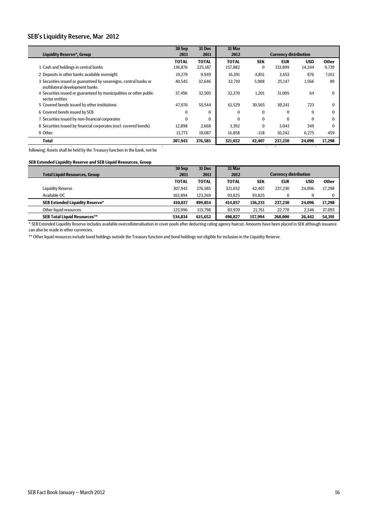#### SEB's Liquidity Reserve, Mar 2012

l,

|                                                                                                     | 30 Sep       | 31 Dec       | 31 Mar       |            |                              |            |              |
|-----------------------------------------------------------------------------------------------------|--------------|--------------|--------------|------------|------------------------------|------------|--------------|
| <b>Liquidity Reserve*, Group</b>                                                                    | 2011         | 2011         | 2012         |            | <b>Currency distribution</b> |            |              |
|                                                                                                     | <b>TOTAL</b> | <b>TOTAL</b> | <b>TOTAL</b> | <b>SEK</b> | <b>EUR</b>                   | <b>USD</b> | <b>Other</b> |
| 1 Cash and holdings in central banks                                                                | 136,876      | 225,187      | 157,882      | $\bf{0}$   | 133,899                      | 14,244     | 9,739        |
| 2 Deposits in other banks available overnight                                                       | 19,279       | 9,949        | 16,391       | 4,851      | 3,653                        | 876        | 7,011        |
| 3 Securities issued or guaranteed by sovereigns, central banks or<br>multilateral development banks | 40,545       | 32,646       | 32,710       | 5,908      | 25,147                       | 1,566      | 89           |
| 4 Securities issued or guaranteed by municipalities or other public<br>sector entities              | 37.496       | 32,505       | 32,270       | 1,201      | 31,005                       | 64         |              |
| 5 Covered bonds issued by other institutions                                                        | 47.076       | 55,544       | 61,529       | 30,565     | 30.241                       | 723        | ŋ            |
| 6 Covered bonds issued by SEB                                                                       | $\Omega$     | $\Omega$     | $\bf{0}$     | $\bf{0}$   | $\Omega$                     | $\Omega$   |              |
| 7 Securities issued by non-financial corporates                                                     | $\Omega$     | $\Omega$     | $\Omega$     | $\Omega$   | $\Omega$                     | $\theta$   |              |
| 8 Securities issued by financial corporates (excl. covered bonds)                                   | 12.898       | 2,668        | 3.392        | $\bf{0}$   | 3.043                        | 349        | 0            |
| 9 Other                                                                                             | 13,773       | 18,087       | 16,858       | $-118$     | 10,242                       | 6,275      | 459          |
| <b>Total</b>                                                                                        | 307,943      | 376,585      | 321,032      | 42,407     | 237,230                      | 24,096     | 17,298       |

following: Assets shall be held by the Treasury function in the bank, not be

#### **SEB Extended Liquidity Reserve and SEB Liquid Resources, Group**

|                                        | 30 Sep       | <b>31 Dec</b> | 31 Mar       |            |                              |            |              |  |
|----------------------------------------|--------------|---------------|--------------|------------|------------------------------|------------|--------------|--|
| <b>Total Liquid Resources, Group</b>   | 2011         | 2011          | 2012         |            | <b>Currency distribution</b> |            |              |  |
|                                        | <b>TOTAL</b> | <b>TOTAL</b>  | <b>TOTAL</b> | <b>SEK</b> | <b>EUR</b>                   | <b>USD</b> | <b>Other</b> |  |
| Liquidity Reserve                      | 307.943      | 376.585       | 321.032      | 42.407     | 237.230                      | 24.096     | 17.298       |  |
| Available OC                           | 102.894      | 123,269       | 93.825       | 93.825     |                              |            | $\Omega$     |  |
| <b>SEB Extended Liquidity Reserve*</b> | 410.837      | 499.854       | 414.857      | 136.233    | 237.230                      | 24.096     | 17.298       |  |
| Other liquid resources                 | 123.996      | 115,798       | 83.970       | 21.761     | 22.770                       | 2.346      | 37,093       |  |
| <b>SEB Total Liquid Resources**</b>    | 534.834      | 615.652       | 498.827      | 157.994    | 260,000                      | 26.442     | 54.391       |  |

\* SEB Extended Liquidity Reserve includes available overcollateralisation in cover pools after deducting rating agency haircut. Amounts have been placed in SEK although issuance can also be made in other currencies.

\*\* Other liquid resources include bond holdings outside the Treasury function and bond holdings not eligible for inclusion in the Liquidity Reserve.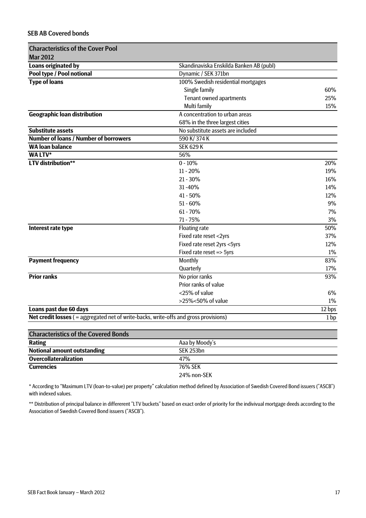# SEB AB Covered bonds

| <b>Mar 2012</b><br>Skandinaviska Enskilda Banken AB (publ)<br>Loans originated by<br>Pool type / Pool notional<br>Dynamic / SEK 371bn<br><b>Type of loans</b><br>100% Swedish residential mortgages<br>Single family<br><b>Tenant owned apartments</b><br>Multi family<br><b>Geographic loan distribution</b><br>A concentration to urban areas<br>68% in the three largest cities<br><b>Substitute assets</b><br>No substitute assets are included<br><b>Number of loans / Number of borrowers</b><br>590 K/374 K<br><b>SEK 629 K</b><br><b>WA loan balance</b><br>WA LTV*<br>56%<br><b>LTV</b> distribution**<br>$0 - 10%$<br>$11 - 20%$<br>$21 - 30\%$<br>31-40%<br>41 - 50%<br>$51 - 60\%$<br>$61 - 70%$<br>7%<br>71 - 75%<br>Interest rate type<br><b>Floating rate</b><br>Fixed rate reset <2yrs<br>Fixed rate reset 2yrs <5yrs<br>12%<br>1%<br>Fixed rate reset => 5yrs<br><b>Payment frequency</b><br>Monthly<br>Quarterly<br>17%<br><b>Prior ranks</b><br>No prior ranks<br>Prior ranks of value<br><25% of value<br>6%<br>>25%<50% of value<br>1%<br>Loans past due 60 days<br>12 bps<br>Net credit losses ( = aggregated net of write-backs, write-offs and gross provisions) | <b>Characteristics of the Cover Pool</b> |      |
|------------------------------------------------------------------------------------------------------------------------------------------------------------------------------------------------------------------------------------------------------------------------------------------------------------------------------------------------------------------------------------------------------------------------------------------------------------------------------------------------------------------------------------------------------------------------------------------------------------------------------------------------------------------------------------------------------------------------------------------------------------------------------------------------------------------------------------------------------------------------------------------------------------------------------------------------------------------------------------------------------------------------------------------------------------------------------------------------------------------------------------------------------------------------------------------|------------------------------------------|------|
|                                                                                                                                                                                                                                                                                                                                                                                                                                                                                                                                                                                                                                                                                                                                                                                                                                                                                                                                                                                                                                                                                                                                                                                          |                                          |      |
|                                                                                                                                                                                                                                                                                                                                                                                                                                                                                                                                                                                                                                                                                                                                                                                                                                                                                                                                                                                                                                                                                                                                                                                          |                                          |      |
|                                                                                                                                                                                                                                                                                                                                                                                                                                                                                                                                                                                                                                                                                                                                                                                                                                                                                                                                                                                                                                                                                                                                                                                          |                                          |      |
|                                                                                                                                                                                                                                                                                                                                                                                                                                                                                                                                                                                                                                                                                                                                                                                                                                                                                                                                                                                                                                                                                                                                                                                          |                                          |      |
|                                                                                                                                                                                                                                                                                                                                                                                                                                                                                                                                                                                                                                                                                                                                                                                                                                                                                                                                                                                                                                                                                                                                                                                          |                                          | 60%  |
|                                                                                                                                                                                                                                                                                                                                                                                                                                                                                                                                                                                                                                                                                                                                                                                                                                                                                                                                                                                                                                                                                                                                                                                          |                                          | 25%  |
|                                                                                                                                                                                                                                                                                                                                                                                                                                                                                                                                                                                                                                                                                                                                                                                                                                                                                                                                                                                                                                                                                                                                                                                          |                                          | 15%  |
|                                                                                                                                                                                                                                                                                                                                                                                                                                                                                                                                                                                                                                                                                                                                                                                                                                                                                                                                                                                                                                                                                                                                                                                          |                                          |      |
|                                                                                                                                                                                                                                                                                                                                                                                                                                                                                                                                                                                                                                                                                                                                                                                                                                                                                                                                                                                                                                                                                                                                                                                          |                                          |      |
|                                                                                                                                                                                                                                                                                                                                                                                                                                                                                                                                                                                                                                                                                                                                                                                                                                                                                                                                                                                                                                                                                                                                                                                          |                                          |      |
|                                                                                                                                                                                                                                                                                                                                                                                                                                                                                                                                                                                                                                                                                                                                                                                                                                                                                                                                                                                                                                                                                                                                                                                          |                                          |      |
|                                                                                                                                                                                                                                                                                                                                                                                                                                                                                                                                                                                                                                                                                                                                                                                                                                                                                                                                                                                                                                                                                                                                                                                          |                                          |      |
|                                                                                                                                                                                                                                                                                                                                                                                                                                                                                                                                                                                                                                                                                                                                                                                                                                                                                                                                                                                                                                                                                                                                                                                          |                                          |      |
|                                                                                                                                                                                                                                                                                                                                                                                                                                                                                                                                                                                                                                                                                                                                                                                                                                                                                                                                                                                                                                                                                                                                                                                          |                                          | 20%  |
|                                                                                                                                                                                                                                                                                                                                                                                                                                                                                                                                                                                                                                                                                                                                                                                                                                                                                                                                                                                                                                                                                                                                                                                          |                                          | 19%  |
|                                                                                                                                                                                                                                                                                                                                                                                                                                                                                                                                                                                                                                                                                                                                                                                                                                                                                                                                                                                                                                                                                                                                                                                          |                                          | 16%  |
|                                                                                                                                                                                                                                                                                                                                                                                                                                                                                                                                                                                                                                                                                                                                                                                                                                                                                                                                                                                                                                                                                                                                                                                          |                                          | 14%  |
|                                                                                                                                                                                                                                                                                                                                                                                                                                                                                                                                                                                                                                                                                                                                                                                                                                                                                                                                                                                                                                                                                                                                                                                          |                                          | 12%  |
|                                                                                                                                                                                                                                                                                                                                                                                                                                                                                                                                                                                                                                                                                                                                                                                                                                                                                                                                                                                                                                                                                                                                                                                          |                                          | 9%   |
|                                                                                                                                                                                                                                                                                                                                                                                                                                                                                                                                                                                                                                                                                                                                                                                                                                                                                                                                                                                                                                                                                                                                                                                          |                                          |      |
|                                                                                                                                                                                                                                                                                                                                                                                                                                                                                                                                                                                                                                                                                                                                                                                                                                                                                                                                                                                                                                                                                                                                                                                          |                                          | 3%   |
|                                                                                                                                                                                                                                                                                                                                                                                                                                                                                                                                                                                                                                                                                                                                                                                                                                                                                                                                                                                                                                                                                                                                                                                          |                                          | 50%  |
|                                                                                                                                                                                                                                                                                                                                                                                                                                                                                                                                                                                                                                                                                                                                                                                                                                                                                                                                                                                                                                                                                                                                                                                          |                                          | 37%  |
|                                                                                                                                                                                                                                                                                                                                                                                                                                                                                                                                                                                                                                                                                                                                                                                                                                                                                                                                                                                                                                                                                                                                                                                          |                                          |      |
|                                                                                                                                                                                                                                                                                                                                                                                                                                                                                                                                                                                                                                                                                                                                                                                                                                                                                                                                                                                                                                                                                                                                                                                          |                                          |      |
|                                                                                                                                                                                                                                                                                                                                                                                                                                                                                                                                                                                                                                                                                                                                                                                                                                                                                                                                                                                                                                                                                                                                                                                          |                                          | 83%  |
|                                                                                                                                                                                                                                                                                                                                                                                                                                                                                                                                                                                                                                                                                                                                                                                                                                                                                                                                                                                                                                                                                                                                                                                          |                                          |      |
|                                                                                                                                                                                                                                                                                                                                                                                                                                                                                                                                                                                                                                                                                                                                                                                                                                                                                                                                                                                                                                                                                                                                                                                          |                                          | 93%  |
|                                                                                                                                                                                                                                                                                                                                                                                                                                                                                                                                                                                                                                                                                                                                                                                                                                                                                                                                                                                                                                                                                                                                                                                          |                                          |      |
|                                                                                                                                                                                                                                                                                                                                                                                                                                                                                                                                                                                                                                                                                                                                                                                                                                                                                                                                                                                                                                                                                                                                                                                          |                                          |      |
|                                                                                                                                                                                                                                                                                                                                                                                                                                                                                                                                                                                                                                                                                                                                                                                                                                                                                                                                                                                                                                                                                                                                                                                          |                                          |      |
|                                                                                                                                                                                                                                                                                                                                                                                                                                                                                                                                                                                                                                                                                                                                                                                                                                                                                                                                                                                                                                                                                                                                                                                          |                                          |      |
|                                                                                                                                                                                                                                                                                                                                                                                                                                                                                                                                                                                                                                                                                                                                                                                                                                                                                                                                                                                                                                                                                                                                                                                          |                                          | 1 bp |

| <b>Characteristics of the Covered Bonds</b> |                  |
|---------------------------------------------|------------------|
| <b>Rating</b>                               | Aaa by Moody's   |
| <b>Notional amount outstanding</b>          | <b>SEK 253bn</b> |
| <b>Overcollateralization</b>                | 47%              |
| <b>Currencies</b>                           | 76% SEK          |
|                                             | 24% non-SEK      |

\* According to "Maximum LTV (loan-to-value) per property" calculation method defined by Association of Swedish Covered Bond issuers ("ASCB") with indexed values.

\*\* Distribution of principal balance in differerent "LTV buckets" based on exact order of priority for the indivivual mortgage deeds according to the Association of Swedish Covered Bond issuers ("ASCB").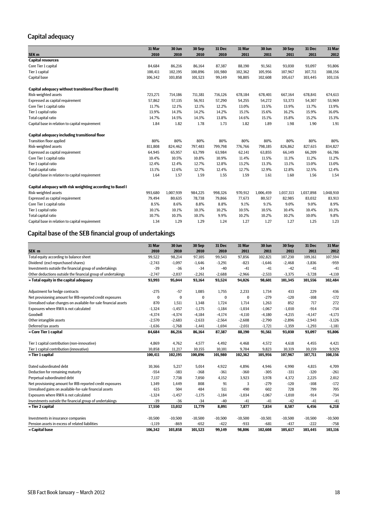# Capital adequacy

|                                                           | 31 Mar  | 30 Jun    | 30 Sep  | 31 Dec  | 31 Mar  | 30 Jun    | 30 Sep    | 31 Dec    | 31 Mar    |
|-----------------------------------------------------------|---------|-----------|---------|---------|---------|-----------|-----------|-----------|-----------|
| SEK <sub>m</sub>                                          | 2010    | 2010      | 2010    | 2010    | 2011    | 2011      | 2011      | 2011      | 2012      |
| <b>Capital resources</b>                                  |         |           |         |         |         |           |           |           |           |
| Core Tier 1 capital                                       | 84,684  | 86,216    | 86,164  | 87,387  | 88,190  | 91,561    | 93,030    | 93,097    | 93,806    |
| Tier 1 capital                                            | 100,411 | 102,195   | 100,896 | 101,980 | 102,362 | 105,956   | 107,967   | 107,711   | 108,156   |
| Capital base                                              | 106,342 | 103,858   | 101,523 | 99,149  | 98,805  | 102,608   | 105,617   | 103,445   | 103,116   |
| Capital adequacy without transitional floor (Basel II)    |         |           |         |         |         |           |           |           |           |
| Risk-weighted assets                                      | 723,271 | 714,186   | 711,381 | 716,126 | 678,184 | 678,401   | 667,164   | 678,841   | 674,613   |
| Expressed as capital requirement                          | 57.862  | 57,135    | 56,911  | 57,290  | 54,255  | 54,272    | 53,373    | 54,307    | 53,969    |
| Core Tier 1 capital ratio                                 | 11.7%   | 12.1%     | 12.1%   | 12.2%   | 13.0%   | 13.5%     | 13.9%     | 13.7%     | 13.9%     |
| Tier 1 capital ratio                                      | 13.9%   | 14.3%     | 14.2%   | 14.2%   | 15.1%   | 15.6%     | 16.2%     | 15.9%     | 16.0%     |
| Total capital ratio                                       | 14.7%   | 14.5%     | 14.3%   | 13.8%   | 14.6%   | 15.1%     | 15.8%     | 15.2%     | 15.3%     |
| Capital base in relation to capital requirement           | 1.84    | 1.82      | 1.78    | 1.73    | 1.82    | 1.89      | 1.98      | 1.90      | 1.91      |
| Capital adequacy including transitional floor             |         |           |         |         |         |           |           |           |           |
| <b>Transition floor applied</b>                           | 80%     | 80%       | 80%     | 80%     | 80%     | 80%       | 80%       | 80%       | 80%       |
| Risk-weighted assets                                      | 811,808 | 824,462   | 797,483 | 799,798 | 776,766 | 798,185   | 826,862   | 827,615   | 834,827   |
| Expressed as capital requirement                          | 64,945  | 65,957    | 63,799  | 63,984  | 62,141  | 63,855    | 66,149    | 66,209    | 66,786    |
| Core Tier 1 capital ratio                                 | 10.4%   | 10.5%     | 10.8%   | 10.9%   | 11.4%   | 11.5%     | 11.3%     | 11.2%     | 11.2%     |
| Tier 1 capital ratio                                      | 12.4%   | 12.4%     | 12.7%   | 12.8%   | 13.2%   | 13.3%     | 13.1%     | 13.0%     | 13.0%     |
| Total capital ratio                                       | 13.1%   | 12.6%     | 12.7%   | 12.4%   | 12.7%   | 12.9%     | 12.8%     | 12.5%     | 12.4%     |
| Capital base in relation to capital requirement           | 1.64    | 1.57      | 1.59    | 1.55    | 1.59    | 1.61      | 1.60      | 1.56      | 1.54      |
| Capital adequacy with risk weighting according to Basel I |         |           |         |         |         |           |           |           |           |
| Risk-weighted assets                                      | 993,680 | 1,007,939 | 984,225 | 998,326 | 970,912 | 1,006,459 | 1,037,313 | 1,037,898 | 1,048,910 |
| Expressed as capital requirement                          | 79,494  | 80,635    | 78,738  | 79,866  | 77,673  | 80,517    | 82,985    | 83,032    | 83,913    |
| Core Tier 1 capital ratio                                 | 8.5%    | 8.6%      | 8.8%    | 8.8%    | 9.1%    | 9.1%      | 9.0%      | 9.0%      | 8.9%      |
| Tier 1 capital ratio                                      | 10.1%   | 10.1%     | 10.3%   | 10.2%   | 10.5%   | 10.5%     | 10.4%     | 10.4%     | 10.3%     |
| Total capital ratio                                       | 10.7%   | 10.3%     | 10.3%   | 9.9%    | 10.2%   | 10.2%     | 10.2%     | 10.0%     | 9.8%      |
| Capital base in relation to capital requirement           | 1.34    | 1.29      | 1.29    | 1.24    | 1.27    | 1.27      | 1.27      | 1.25      | 1.23      |

# Capital base of the SEB financial group of undertakings

|                                                                 | 31 Mar    | 30 Jun      | 30 Sep    | 31 Dec    | 31 Mar    | 30 Jun    | 30 Sep    | 31 Dec    | 31 Mar    |
|-----------------------------------------------------------------|-----------|-------------|-----------|-----------|-----------|-----------|-----------|-----------|-----------|
| SEK <sub>m</sub>                                                | 2010      | 2010        | 2010      | 2010      | 2011      | 2011      | 2011      | 2011      | 2012      |
| Total equity according to balance sheet                         | 99,522    | 98,214      | 97,105    | 99,543    | 97,856    | 102,821   | 107,230   | 109,161   | 107,594   |
| Dividend (excl repurchased shares)                              | $-2,743$  | $-1,097$    | $-1,646$  | $-3,291$  | $-823$    | $-1,646$  | $-2,468$  | $-3,836$  | $-959$    |
| Investments outside the financial group of undertakings         | $-39$     | $-36$       | $-34$     | $-40$     | $-41$     | $-41$     | $-42$     | $-41$     | $-41$     |
| Other deductions outside the financial group of undertakings    | $-2,747$  | $-2,037$    | $-2,261$  | $-2,688$  | $-2,966$  | $-2,533$  | $-3,375$  | $-3,728$  | $-4,110$  |
| = Total equity in the capital adequacy                          | 93,993    | 95,044      | 93,164    | 93,524    | 94,026    | 98,601    | 101,345   | 101,556   | 102,484   |
| Adjustment for hedge contracts                                  | $-275$    | $-57$       | 1,085     | 1,755     | 2,233     | 1,734     | 433       | 229       | 436       |
| Net provisioning amount for IRB-reported credit exposures       | $\bf{0}$  | $\mathbf 0$ | $\bf{0}$  | $\bf{0}$  | $\bf{0}$  | $-279$    | $-120$    | $-108$    | $-172$    |
| Unrealised value changes on available-for-sale financial assets | 870       | 1,511       | 1,348     | 1,724     | 1,714     | 1,263     | 852       | 717       | 272       |
| Exposures where RWA is not calculated                           | $-1.324$  | $-1.457$    | $-1,175$  | $-1,184$  | $-1.034$  | $-1,067$  | $-1,010$  | $-914$    | $-734$    |
| Goodwill                                                        | $-4,374$  | $-4,374$    | $-4,184$  | $-4,174$  | $-4,110$  | $-4,180$  | $-4,215$  | $-4,147$  | $-4,173$  |
| Other intangible assets                                         | $-2,570$  | $-2,683$    | $-2,633$  | $-2,564$  | $-2,608$  | $-2,790$  | $-2,896$  | $-2,943$  | $-3,126$  |
| Deferred tax assets                                             | $-1,636$  | $-1,768$    | $-1,441$  | $-1,694$  | $-2,031$  | $-1,721$  | $-1,359$  | $-1,293$  | $-1,181$  |
| = Core Tier 1 capital                                           | 84,684    | 86,216      | 86,164    | 87,387    | 88,190    | 91,561    | 93,030    | 93,097    | 93,806    |
| Tier 1 capital contribution (non-innovative)                    | 4,869     | 4,762       | 4,577     | 4,492     | 4,468     | 4,572     | 4,618     | 4,455     | 4,421     |
| Tier 1 capital contribution (innovative)                        | 10,858    | 11,217      | 10,155    | 10,101    | 9,704     | 9,823     | 10,319    | 10,159    | 9,929     |
| = Tier 1 capital                                                | 100,411   | 102.195     | 100,896   | 101,980   | 102,362   | 105,956   | 107,967   | 107.711   | 108,156   |
| Dated subordinated debt                                         | 10,366    | 5,217       | 5,014     | 4,922     | 4,896     | 4,946     | 4,990     | 4,815     | 4,709     |
| Deduction for remaining maturity                                | $-554$    | $-383$      | $-368$    | $-361$    | $-360$    | $-305$    | $-331$    | $-320$    | $-261$    |
| Perpetual subordinated debt                                     | 7.137     | 7.738       | 7,050     | 4,152     | 3,923     | 3,978     | 4,372     | 2,225     | 2,012     |
| Net provisioning amount for IRB-reported credit exposures       | 1,349     | 1,449       | 808       | 91        | 3         | $-279$    | $-120$    | $-108$    | $-172$    |
| Unrealised gains on available-for-sale financial assets         | 615       | 504         | 484       | 511       | 490       | 602       | 728       | 799       | 705       |
| Exposures where RWA is not calculated                           | $-1,324$  | $-1,457$    | $-1,175$  | $-1,184$  | $-1,034$  | $-1,067$  | $-1,010$  | $-914$    | $-734$    |
| Investments outside the financial group of undertakings         | $-39$     | $-36$       | $-34$     | $-40$     | $-41$     | $-41$     | $-42$     | $-41$     | $-41$     |
| = Tier 2 capital                                                | 17,550    | 13,032      | 11,779    | 8,091     | 7,877     | 7,834     | 8,587     | 6,456     | 6,218     |
| Investments in insurance companies                              | $-10.500$ | $-10,500$   | $-10,500$ | $-10,500$ | $-10,500$ | $-10,501$ | $-10,500$ | $-10,500$ | $-10,500$ |
| Pension assets in excess of related liabilities                 | $-1,119$  | $-869$      | $-652$    | $-422$    | $-933$    | $-681$    | $-437$    | $-222$    | $-758$    |
| = Capital base                                                  | 106,342   | 103,858     | 101,523   | 99.149    | 98,806    | 102,608   | 105,617   | 103,445   | 103,116   |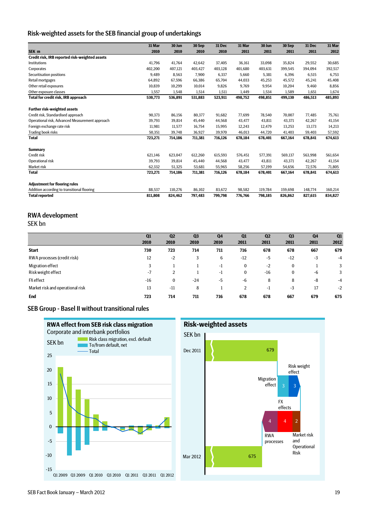### Risk-weighted assets for the SEB financial group of undertakings

|                                                 | 31 Mar  | 30 Jun  | 30 Sep  | 31 Dec  | 31 Mar  | 30 Jun  | 30 Sep  | 31 Dec  | 31 Mar  |
|-------------------------------------------------|---------|---------|---------|---------|---------|---------|---------|---------|---------|
| SEK m                                           | 2010    | 2010    | 2010    | 2010    | 2011    | 2011    | 2011    | 2011    | 2012    |
| Credit risk, IRB reported risk-weighted assets  |         |         |         |         |         |         |         |         |         |
| Institutions                                    | 41,796  | 41,764  | 42,642  | 37,405  | 36,161  | 33,098  | 35,824  | 29,552  | 30,685  |
| Corporates                                      | 402,200 | 407.121 | 403,427 | 403,128 | 401.680 | 403,631 | 399,545 | 394.094 | 392,517 |
| Securitisation positions                        | 9.489   | 8.563   | 7,900   | 6,337   | 5.660   | 5,381   | 6,396   | 6.515   | 6,753   |
| Retail mortgages                                | 64.892  | 67.596  | 66,386  | 65.704  | 44.033  | 45,253  | 45,572  | 45.241  | 45,408  |
| Other retail exposures                          | 10.839  | 10.299  | 10,014  | 9,826   | 9.769   | 9,954   | 10,204  | 9.460   | 8,856   |
| Other exposure classes                          | 1,557   | 1,548   | 1,514   | 1,511   | 1,449   | 1,534   | 1,589   | 1,651   | 1,674   |
| Total for credit risk, IRB approach             | 530,773 | 536,891 | 531,883 | 523,911 | 498,752 | 498,851 | 499,130 | 486,513 | 485,893 |
| <b>Further risk-weighted assets</b>             |         |         |         |         |         |         |         |         |         |
| Credit risk, Standardised approach              | 90,373  | 86,156  | 80,377  | 91,682  | 77,699  | 78,540  | 70,007  | 77,485  | 75,761  |
| Operational risk, Advanced Measurement approach | 39,793  | 39,814  | 45,440  | 44,568  | 43.477  | 43,811  | 43,371  | 42,267  | 41,154  |
| Foreign exchange rate risk                      | 11,981  | 11,577  | 16,754  | 15,995  | 12,243  | 12,479  | 13,253  | 13,173  | 14,213  |
| <b>Trading book risks</b>                       | 50,351  | 39,748  | 36,927  | 39,970  | 46,013  | 44,720  | 41,403  | 59,403  | 57,592  |
| <b>Total</b>                                    | 723,271 | 714,186 | 711,381 | 716,126 | 678,184 | 678,401 | 667,164 | 678,841 | 674,613 |
| <b>Summary</b>                                  |         |         |         |         |         |         |         |         |         |
| Credit risk                                     | 621,146 | 623.047 | 612,260 | 615.593 | 576.451 | 577,391 | 569,137 | 563.998 | 561,654 |
| Operational risk                                | 39.793  | 39,814  | 45,440  | 44.568  | 43.477  | 43,811  | 43,371  | 42.267  | 41,154  |
| Market risk                                     | 62.332  | 51,325  | 53,681  | 55.965  | 58,256  | 57.199  | 54.656  | 72,576  | 71,805  |
| <b>Total</b>                                    | 723,271 | 714,186 | 711,381 | 716,126 | 678,184 | 678,401 | 667,164 | 678,841 | 674,613 |
| <b>Adjustment for flooring rules</b>            |         |         |         |         |         |         |         |         |         |
| Addition according to transitional flooring     | 88,537  | 110,276 | 86,102  | 83,672  | 98,582  | 119,784 | 159,698 | 148,774 | 160,214 |
| <b>Total reported</b>                           | 811,808 | 824,462 | 797,483 | 799,798 | 776,766 | 798,185 | 826,862 | 827,615 | 834,827 |

# RWA development

SEK bn

|                                  | Q1    | Q <sub>2</sub> | Q <sub>3</sub> | Q <sub>4</sub> | Q1       | Q <sub>2</sub> | Q <sub>3</sub> | Q <sub>4</sub> | Q1   |
|----------------------------------|-------|----------------|----------------|----------------|----------|----------------|----------------|----------------|------|
|                                  | 2010  | 2010           | 2010           | 2010           | 2011     | 2011           | 2011           | 2011           | 2012 |
| <b>Start</b>                     | 730   | 723            | 714            | 711            | 716      | 678            | 678            | 667            | 679  |
| RWA processes (credit risk)      | 12    | $-2$           | 3              | 6              | $-12$    | $-5$           | $-12$          | $-3$           | $-4$ |
| Migration effect                 | 3     |                |                | -1             | $\bf{0}$ | $-2$           | $\bf{0}$       |                | 3    |
| Risk weight effect               | $-7$  |                |                | -1             | 0        | $-16$          | $\bf{0}$       | $-6$           | 3    |
| <b>FX</b> effect                 | $-16$ | $\bf{0}$       | $-24$          | $-5$           | -6       | 8              | 8              | -8             | $-4$ |
| Market risk and operational risk | 13    | $-11$          | 8              |                | 2        | -1             | $-3$           | 17             | $-2$ |
| <b>End</b>                       | 723   | 714            | 711            | 716            | 678      | 678            | 667            | 679            | 675  |
|                                  |       |                |                |                |          |                |                |                |      |

#### SEB Group - Basel II without transitional rules

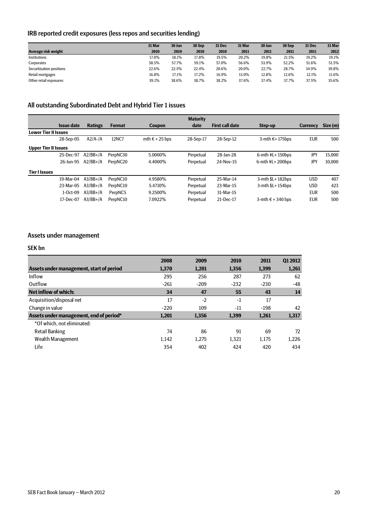# IRB reported credit exposures (less repos and securities lending)

|                          | 31 Mar | 30 Jun | 30 Sep | <b>31 Dec</b> | 31 Mar | 30 Jun | 30 Sep | 31 Dec | 31 Mar |
|--------------------------|--------|--------|--------|---------------|--------|--------|--------|--------|--------|
| Average risk weight      | 2010   | 2010   | 2010   | 2010          | 2011   | 2011   | 2011   | 2011   | 2012   |
| Institutions             | 17.0%  | 18.1%  | 17.8%  | 19.5%         | 20.2%  | 19.8%  | 21.5%  | 19.2%  | 19.1%  |
| Corporates               | 58.5%  | 57.7%  | 59.1%  | 57.0%         | 56.6%  | 53.9%  | 52.2%  | 51.6%  | 51.5%  |
| Securitisation positions | 22.6%  | 22.5%  | 22.4%  | 20.6%         | 20.0%  | 22.7%  | 28.7%  | 34.9%  | 39.8%  |
| Retail mortgages         | 16.8%  | 17.1%  | 17.2%  | 16.9%         | 13.0%  | 12.8%  | 12.6%  | 12.1%  | 11.6%  |
| Other retail exposures   | 39.1%  | 38.6%  | 38.7%  | 38.2%         | 37.6%  | 37.4%  | 37.7%  | 37.5%  | 35.6%  |

# All outstanding Subordinated Debt and Hybrid Tier 1 issues

|                             |                   |                |               |                         | <b>Maturity</b> |                        |                            |                 |          |
|-----------------------------|-------------------|----------------|---------------|-------------------------|-----------------|------------------------|----------------------------|-----------------|----------|
|                             | <b>Issue date</b> | <b>Ratings</b> | <b>Format</b> | <b>Coupon</b>           | date            | <b>First call date</b> | Step-up                    | <b>Currency</b> | Size (m) |
| <b>Lower Tier II Issues</b> |                   |                |               |                         |                 |                        |                            |                 |          |
|                             | 28-Sep-05         | $A2/A$ -/A     | 12NC7         | mth $\epsilon$ + 25 bps | 28-Sep-17       | 28-Sep-12              | 3-mth $\epsilon$ +175bps   | <b>EUR</b>      | 500      |
| <b>Upper Tier II Issues</b> |                   |                |               |                         |                 |                        |                            |                 |          |
|                             | 25-Dec-97         | $A2/BB+/A$     | PerpNC30      | 5.0000%                 | Perpetual       | 28-Jan-28              | $6$ -mth $4L+150$ bps      | JPY             | 15.000   |
|                             | 26-Jun-95         | $A2/BB+/A$     | PerpNC20      | 4.4000%                 | Perpetual       | 24-Nov-15              | 6-mth $4L + 200b$ ps       | JPY             | 10.000   |
| <b>Tier I Issues</b>        |                   |                |               |                         |                 |                        |                            |                 |          |
|                             | 19-Mar-04         | $A3/BB+/A$     | PerpNC10      | 4.9580%                 | Perpetual       | 25-Mar-14              | $3$ -mth $L+182$ bps       | <b>USD</b>      | 407      |
|                             | 23-Mar-05         | $A3/BB+/A$     | PerpNC10      | 5.4710\%                | Perpetual       | 23-Mar-15              | $3$ -mth $L+154$ bps       | <b>USD</b>      | 423      |
|                             | $1-Oct-09$        | $A3/BB+/A$     | PerpNC5       | 9.2500%                 | Perpetual       | 31-Mar-15              |                            | <b>EUR</b>      | 500      |
|                             | 17-Dec-07         | $A3/BB+/A$     | PerpNC10      | 7.0922%                 | Perpetual       | 21-Dec-17              | 3-mth $\epsilon$ + 340 bps | <b>EUR</b>      | 500      |
|                             |                   |                |               |                         |                 |                        |                            |                 |          |

### Assets under management

#### SEK bn

|                                          | 2008   | 2009   | 2010   | 2011   | 012012 |
|------------------------------------------|--------|--------|--------|--------|--------|
| Assets under management, start of period | 1.370  | 1,201  | 1,356  | 1,399  | 1,261  |
| Inflow                                   | 295    | 256    | 287    | 273    | 62     |
| Outflow                                  | $-261$ | $-209$ | $-232$ | $-230$ | $-48$  |
| Net inflow of which:                     | 34     | 47     | 55     | 43     | 14     |
| Acquisition/disposal net                 | 17     | $-2$   | $-1$   | 17     |        |
| Change in value                          | $-220$ | 109    | $-11$  | $-198$ | 42     |
| Assets under management, end of period*  | 1.201  | 1.356  | 1,399  | 1,261  | 1,317  |
| *Of which, not eliminated:               |        |        |        |        |        |
| <b>Retail Banking</b>                    | 74     | 86     | 91     | 69     | 72     |
| Wealth Management                        | 1.142  | 1.275  | 1,321  | 1,175  | 1.226  |
| Life                                     | 354    | 402    | 424    | 420    | 434    |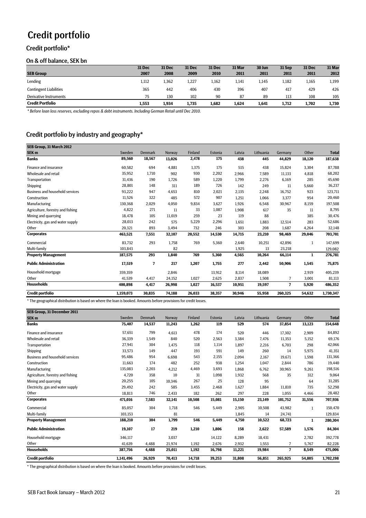# Credit portfolio

# Credit portfolio\*

#### On & off balance, SEK bn

|                               | 31 Dec | 31 Dec | 31 Dec | 31 Dec | 31 Mar | 30 Jun | 31 Sep | 31 Dec | 31 Mar |
|-------------------------------|--------|--------|--------|--------|--------|--------|--------|--------|--------|
| <b>SEB Group</b>              | 2007   | 2008   | 2009   | 2010   | 2011   | 2011   | 2011   | 2011   | 2012   |
| Lending                       | 1,112  | 1,362  | 1,227  | 1,162  | 1.141  | 1.145  | 1,182  | 1,165  | 1,199  |
| <b>Contingent Liabilities</b> | 365    | 442    | 406    | 430    | 396    | 407    | 417    | 429    | 426    |
| Derivative Instruments        | 75     | 130    | 102    | 90     | 87     | 89     | 113    | 108    | 105    |
| <b>Credit Portfolio</b>       | 1.553  | 1.934  | 1,735  | 1,682  | 1,624  | 1,641  | 1,712  | 1,702  | 1,730  |

*\* Before loan loss reserves, excluding repos & debt instruments. Including German Retail until Dec 2010.*

# Credit portfolio by industry and geography\*

| SEB Group, 31 March 2012               |           |                |         |         |         |        |           |         |              |              |
|----------------------------------------|-----------|----------------|---------|---------|---------|--------|-----------|---------|--------------|--------------|
| <b>SEK m</b>                           | Sweden    | <b>Denmark</b> | Norway  | Finland | Estonia | Latvia | Lithuania | Germany | Other        | <b>Total</b> |
| <b>Banks</b>                           | 89,560    | 18,567         | 13,026  | 2,478   | 175     | 438    | 445       | 44,829  | 18,120       | 187,638      |
| Finance and insurance                  | 60,582    | 694            | 4,881   | 1,375   | 175     | 515    | 438       | 15.824  | 3,304        | 87,788       |
| Wholesale and retail                   | 35,952    | 1,710          | 902     | 930     | 2,202   | 2,966  | 7,589     | 11,133  | 4,818        | 68,202       |
| Transportation                         | 31,436    | 190            | 1,726   | 589     | 1,220   | 1,799  | 2,276     | 6,169   | 285          | 45,690       |
| Shipping                               | 28,801    | 148            | 311     | 189     | 726     | 142    | 249       | 11      | 5,660        | 36,237       |
| <b>Business and household services</b> | 93,222    | 947            | 4,653   | 810     | 2,021   | 2,135  | 2,248     | 16,752  | 923          | 123,711      |
| Construction                           | 11,526    | 322            | 485     | 572     | 907     | 1,251  | 1,066     | 3,377   | 954          | 20,460       |
| Manufacturing                          | 130,368   | 2,029          | 4,050   | 9,834   | 3,627   | 1,926  | 6,548     | 30,967  | 8,159        | 197,508      |
| Agriculture, forestry and fishing      | 4,822     | 271            | $_{11}$ | 33      | 1,087   | 1,908  | 617       | 35      | 11           | 8,795        |
| Mining and quarrying                   | 18,478    | 105            | 11,019  | 259     | 23      | 119    | 88        |         | 385          | 30,476       |
| Electricity, gas and water supply      | 28,013    | 242            | 575     | 5,229   | 2,296   | 1,651  | 1,883     | 12,514  | 283          | 52,686       |
| Other                                  | 20,321    | 893            | 3,494   | 732     | 246     | 303    | 208       | 1.687   | 4,264        | 32,148       |
| <b>Corporates</b>                      | 463,521   | 7,551          | 32,107  | 20,552  | 14,530  | 14,715 | 23,210    | 98,469  | 29,046       | 703,701      |
| Commercial                             | 83,732    | 293            | 1,758   | 769     | 5,360   | 2,640  | 10,251    | 42,896  | 1            | 147,699      |
| Multi-family                           | 103.843   |                | 82      |         |         | 1,925  | 13        | 23.218  |              | 129,082      |
| <b>Property Management</b>             | 187,575   | 293            | 1,840   | 769     | 5,360   | 4,565  | 10,264    | 66.114  | $\mathbf{1}$ | 276,781      |
| <b>Public Administration</b>           | 17,519    | 7              | 217     | 1,207   | 1,755   | 277    | 2,442     | 50,906  | 1,545        | 75,875       |
| Household mortgage                     | 359,359   |                | 2,846   |         | 13,912  | 8,114  | 18,089    |         | 2,919        | 405,239      |
| Other                                  | 41,539    | 4,417          | 24,152  | 1,027   | 2,625   | 2,837  | 1,508     | 7       | 3,001        | 81,113       |
| <b>Households</b>                      | 400,898   | 4,417          | 26,998  | 1,027   | 16,537  | 10,951 | 19,597    | 7       | 5,920        | 486,352      |
| <b>Credit portfolio</b>                | 1,159,073 | 30,835         | 74,188  | 26,033  | 38,357  | 30,946 | 55,958    | 260,325 | 54,632       | 1,730,347    |

\* The geographical distribution is based on where the loan is booked. Amounts before provisions for credit losses.

| SEB Group, 31 December 2011            |           |                |        |         |         |        |           |         |        |              |
|----------------------------------------|-----------|----------------|--------|---------|---------|--------|-----------|---------|--------|--------------|
| SEK <sub>m</sub>                       | Sweden    | <b>Denmark</b> | Norway | Finland | Estonia | Latvia | Lithuania | Germany | Other  | <b>Total</b> |
| <b>Banks</b>                           | 75,407    | 14,537         | 11,243 | 1,262   | 119     | 529    | 574       | 37,854  | 13,123 | 154,648      |
| Finance and insurance                  | 57,651    | 799            | 4,613  | 478     | 174     | 520    | 446       | 17.302  | 2,909  | 84,892       |
| Wholesale and retail                   | 36,339    | 1,549          | 840    | 520     | 2,563   | 3,384  | 7,476     | 11,353  | 5,152  | 69,176       |
| Transportation                         | 27,941    | 304            | 1,475  | 118     | 1,114   | 1,897  | 2,216     | 6,703   | 298    | 42,066       |
| Shipping                               | 33,573    | 149            | 447    | 193     | 591     | 149    | 260       | 14      | 5,975  | 41,351       |
| <b>Business and household services</b> | 95,486    | 954            | 6,698  | 543     | 2,155   | 2,094  | 2,167     | 19,671  | 1,598  | 131,366      |
| Construction                           | 11,663    | 174            | 482    | 252     | 938     | 1,254  | 1,047     | 2,844   | 786    | 19,440       |
| Manufacturing                          | 135,083   | 2,203          | 4,212  | 4,469   | 3,693   | 1,868  | 6,762     | 30,965  | 9,261  | 198,516      |
| Agriculture, forestry and fishing      | 4,720     | 358            | 10     | 31      | 1,098   | 1,932  | 568       | 35      | 312    | 9,064        |
| Mining and quarrying                   | 20,255    | 105            | 10,346 | 267     | 25      | 128    | 95        |         | 64     | 31,285       |
| Electricity, gas and water supply      | 29,492    | 242            | 585    | 3,455   | 2,468   | 1,627  | 1,884     | 11,810  | 735    | 52,298       |
| Other                                  | 18,813    | 746            | 2,433  | 182     | 262     | 297    | 228       | 1,055   | 4,466  | 28,482       |
| <b>Corporates</b>                      | 471,016   | 7,583          | 32,141 | 10,508  | 15,081  | 15,150 | 23,149    | 101,752 | 31,556 | 707,936      |
| Commercial                             | 85,057    | 304            | 1,718  | 546     | 5,449   | 2,905  | 10,508    | 43,982  | 1      | 150,470      |
| Multi-family                           | 103.153   |                | 81     |         |         | 1,845  | 14        | 24.741  |        | 129,834      |
| <b>Property Management</b>             | 188,210   | 304            | 1,799  | 546     | 5,449   | 4,750  | 10,522    | 68,723  | 1      | 280,304      |
| <b>Public Administration</b>           | 19,107    | 17             | 219    | 1,210   | 1,806   | 158    | 2,622     | 57,589  | 1,576  | 84,304       |
| Household mortgage                     | 346,117   |                | 3,037  |         | 14,122  | 8,289  | 18,431    |         | 2,782  | 392,778      |
| Other                                  | 41,639    | 4,488          | 21,974 | 1,192   | 2,676   | 2,932  | 1,553     | 7       | 5,767  | 82,228       |
| <b>Households</b>                      | 387,756   | 4,488          | 25,011 | 1,192   | 16,798  | 11,221 | 19,984    | 7       | 8,549  | 475,006      |
| Credit portfolio                       | 1,141,496 | 26,929         | 70,413 | 14,718  | 39,253  | 31,808 | 56,851    | 265,925 | 54,805 | 1,702,198    |

\* The geographical distribution is based on where the loan is booked. Amounts before provisions for credit losses.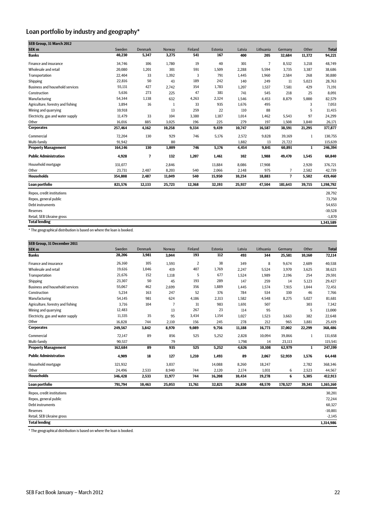# Loan portfolio by industry and geography\*

| SEB Group, 31 March 2012               |         |                          |              |         |         |        |                |                |              |              |
|----------------------------------------|---------|--------------------------|--------------|---------|---------|--------|----------------|----------------|--------------|--------------|
| SEK <sub>m</sub>                       | Sweden  | <b>Denmark</b>           | Norway       | Finland | Estonia | Latvia | Lithuania      | Germany        | Other        | <b>Total</b> |
| <b>Banks</b>                           | 40,230  | 5,347                    | 3,275        | 541     | 167     | 400    | 205            | 32,684         | 11,372       | 94,221       |
| Finance and insurance                  | 34,746  | 106                      | 1,780        | 19      | 40      | 301    | $\overline{7}$ | 8,532          | 3,218        | 48,749       |
| Wholesale and retail                   | 20,080  | 1,201                    | 301          | 591     | 1,509   | 2,288  | 5,594          | 3.735          | 3,387        | 38,686       |
| Transportation                         | 22,404  | 33                       | 1,392        | 3       | 791     | 1,445  | 1,960          | 2,584          | 268          | 30,880       |
| Shipping                               | 22,816  | 50                       | 43           | 189     | 242     | 140    | 249            | 11             | 5,023        | 28,763       |
| <b>Business and household services</b> | 55,131  | 427                      | 2,742        | 354     | 1,783   | 1,207  | 1,537          | 7,581          | 429          | 71,191       |
| Construction                           | 5,636   | 273                      | 225          | 47      | 381     | 741    | 545            | 218            | 25           | 8,091        |
| Manufacturing                          | 54,344  | 1,138                    | 632          | 4,263   | 2,324   | 1,546  | 4,453          | 8,879          | 5,000        | 82,579       |
| Agriculture, forestry and fishing      | 3,894   | 16                       | $\mathbf{1}$ | 33      | 935     | 1,676  | 495            |                | 3            | 7,053        |
| Mining and quarrying                   | 10,918  |                          | 13           | 259     | 22      | 110    | 88             |                | 5            | 11,415       |
| Electricity, gas and water supply      | 11,479  | 33                       | 104          | 3,380   | 1,187   | 1,014  | 1,462          | 5,543          | 97           | 24,299       |
| Other                                  | 16,016  | 885                      | 3,025        | 196     | 225     | 279    | 197            | 1,508          | 3,840        | 26,171       |
| <b>Corporates</b>                      | 257,464 | 4,162                    | 10,258       | 9,334   | 9,439   | 10,747 | 16,587         | 38,591         | 21,295       | 377,877      |
| Commercial                             | 72,204  | 130                      | 929          | 746     | 5,176   | 2,572  | 9,828          | 39,169         | $\mathbf{1}$ | 130,755      |
| Multi-family                           | 91.942  |                          | 80           |         |         | 1,882  | 13             | 21,722         |              | 115,639      |
| <b>Property Management</b>             | 164,146 | 130                      | 1,009        | 746     | 5,176   | 4,454  | 9,841          | 60,891         | 1            | 246,394      |
| <b>Public Administration</b>           | 4,928   | $\overline{\phantom{a}}$ | 132          | 1,207   | 1,461   | 102    | 1,988          | 49,470         | 1,545        | 60,840       |
| Household mortgage                     | 331,077 |                          | 2,846        |         | 13.884  | 8.086  | 17,908         |                | 2,920        | 376,721      |
| Other                                  | 23,731  | 2,487                    | 8,203        | 540     | 2,066   | 2,148  | 975            | $\overline{7}$ | 2,582        | 42,739       |
| <b>Households</b>                      | 354,808 | 2,487                    | 11,049       | 540     | 15,950  | 10,234 | 18,883         | $\overline{7}$ | 5,502        | 419,460      |
| Loan portfolio                         | 821,576 | 12,133                   | 25,723       | 12,368  | 32,193  | 25,937 | 47,504         | 181,643        | 39,715       | 1,198,792    |
| Repos, credit institutions             |         |                          |              |         |         |        |                |                |              | 28,792       |
| Repos, general public                  |         |                          |              |         |         |        |                |                |              | 73,750       |
| <b>Debt instruments</b>                |         |                          |              |         |         |        |                |                |              | 54,653       |
| <b>Reserves</b>                        |         |                          |              |         |         |        |                |                |              | $-10,528$    |
| Retail, SEB Ukraine gross              |         |                          |              |         |         |        |                |                |              | $-1,870$     |
| <b>Total lending</b>                   |         |                          |              |         |         |        |                |                |              | 1,343,589    |

\* The geographical distribution is based on where the loan is booked.

| SEB Group, 31 December 2011            |         |                |        |                |         |        |           |         |              |              |
|----------------------------------------|---------|----------------|--------|----------------|---------|--------|-----------|---------|--------------|--------------|
| SEK <sub>m</sub>                       | Sweden  | <b>Denmark</b> | Norway | Finland        | Estonia | Latvia | Lithuania | Germany | Other        | <b>Total</b> |
| <b>Banks</b>                           | 28,206  | 3,981          | 3,044  | 193            | 112     | 493    | 344       | 25,581  | 10,160       | 72,114       |
| <b>Finance and insurance</b>           | 26,160  | 105            | 1,593  | $\overline{2}$ | 38      | 349    | 8         | 9,674   | 2,609        | 40,538       |
| Wholesale and retail                   | 19,616  | 1,046          | 419    | 407            | 1,769   | 2,247  | 5,524     | 3,970   | 3,625        | 38,623       |
| Transportation                         | 21,676  | 152            | 1,118  | 5              | 677     | 1,524  | 1,989     | 2,196   | 254          | 29,591       |
| Shipping                               | 23,307  | 50             | 45     | 193            | 289     | 147    | 259       | 14      | 5,123        | 29,427       |
| <b>Business and household services</b> | 55,067  | 462            | 2,699  | 356            | 1,889   | 1,445  | 1,574     | 7,915   | 1,044        | 72,451       |
| Construction                           | 5,234   | 163            | 247    | 52             | 376     | 784    | 534       | 330     | 46           | 7,766        |
| Manufacturing                          | 54,145  | 981            | 624    | 4,186          | 2,313   | 1,582  | 4,548     | 8,275   | 5,027        | 81,681       |
| Agriculture, forestry and fishing      | 3,716   | 104            | 7      | 31             | 983     | 1,691  | 507       |         | 303          | 7,342        |
| Mining and quarrying                   | 12,483  |                | 13     | 267            | 23      | 114    | 95        |         | 5            | 13,000       |
| Electricity, gas and water supply      | 11,335  | 35             | 95     | 3,434          | 1,154   | 1,027  | 1,523     | 3,663   | 382          | 22,648       |
| Other                                  | 16,828  | 744            | 2,110  | 156            | 245     | 278    | 212       | 965     | 3,881        | 25,419       |
| <b>Corporates</b>                      | 249,567 | 3,842          | 8,970  | 9,089          | 9,756   | 11,188 | 16,773    | 37,002  | 22,299       | 368,486      |
| Commercial                             | 72,147  | 89             | 856    | 525            | 5,252   | 2,828  | 10,094    | 39,866  | $\mathbf{1}$ | 131,658      |
| Multi-family                           | 90,537  |                | 79     |                |         | 1,798  | 14        | 23,113  |              | 115,541      |
| <b>Property Management</b>             | 162,684 | 89             | 935    | 525            | 5,252   | 4,626  | 10,108    | 62,979  | $\mathbf{1}$ | 247,199      |
| <b>Public Administration</b>           | 4,909   | 18             | 127    | 1,210          | 1,493   | 89     | 2,067     | 52,959  | 1,576        | 64,448       |
| Household mortgage                     | 321,932 |                | 3,037  |                | 14,088  | 8,260  | 18,247    |         | 2,782        | 368,346      |
| Other                                  | 24,496  | 2,533          | 8,940  | 744            | 2,120   | 2,174  | 1,031     | 6       | 2,523        | 44,567       |
| <b>Households</b>                      | 346,428 | 2,533          | 11,977 | 744            | 16,208  | 10,434 | 19,278    | 6       | 5,305        | 412,913      |
| Loan portfolio                         | 791,794 | 10,463         | 25,053 | 11,761         | 32,821  | 26,830 | 48,570    | 178,527 | 39,341       | 1,165,160    |
| Repos, credit institutions             |         |                |        |                |         |        |           |         |              | 30,201       |
| Repos, general public                  |         |                |        |                |         |        |           |         |              | 72,244       |
| Debt instruments                       |         |                |        |                |         |        |           |         |              | 60,327       |
| <b>Reserves</b>                        |         |                |        |                |         |        |           |         |              | $-10,801$    |
| Retail, SEB Ukraine gross              |         |                |        |                |         |        |           |         |              | $-2,145$     |
| <b>Total lending</b>                   |         |                |        |                |         |        |           |         |              | 1,314,986    |

\* The geographical distribution is based on where the loan is booked.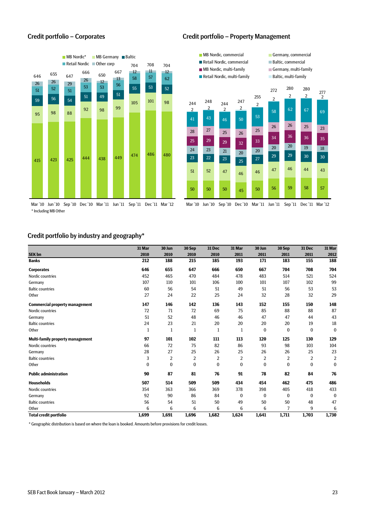

Mar '10 Jun '10 Sep '10 Dec '10 Mar '11 Jun '11 Sep '11 Dec '11 Mar '12 \* Including MB Other

#### Credit portfolio – Corporates Credit portfolio – Property Management



#### Credit portfolio by industry and geography\*

|                                         | 31 Mar   | 30 Jun         | 30 Sep         | 31 Dec   | 31 Mar         | 30 Jun         | 30 Sep       | 31 Dec         | 31 Mar         |
|-----------------------------------------|----------|----------------|----------------|----------|----------------|----------------|--------------|----------------|----------------|
| <b>SEK bn</b>                           | 2010     | 2010           | 2010           | 2010     | 2011           | 2011           | 2011         | 2011           | 2012           |
| <b>Banks</b>                            | 212      | 188            | 215            | 185      | 193            | 171            | 183          | 155            | 188            |
| <b>Corporates</b>                       | 646      | 655            | 647            | 666      | 650            | 667            | 704          | 708            | 704            |
| Nordic countries                        | 452      | 465            | 470            | 484      | 478            | 483            | 514          | 521            | 524            |
| Germany                                 | 107      | 110            | 101            | 106      | 100            | 101            | 107          | 102            | 99             |
| <b>Baltic countries</b>                 | 60       | 56             | 54             | 51       | 49             | 51             | 56           | 53             | 53             |
| Other                                   | 27       | 24             | 22             | 25       | 24             | 32             | 28           | 32             | 29             |
| <b>Commercial property management</b>   | 147      | 146            | 142            | 136      | 143            | 152            | 155          | 150            | 148            |
| Nordic countries                        | 72       | 71             | 72             | 69       | 75             | 85             | 88           | 88             | 87             |
| Germany                                 | 51       | 52             | 48             | 46       | 46             | 47             | 47           | 44             | 43             |
| <b>Baltic countries</b>                 | 24       | 23             | 21             | 20       | 20             | 20             | 20           | 19             | 18             |
| Other                                   | 1        | 1              | 1              | 1        | 1              | $\bf{0}$       | $\bf{0}$     | $\bf{0}$       | $\mathbf{0}$   |
| <b>Multi-family property management</b> | 97       | 101            | 102            | 111      | 113            | 120            | 125          | 130            | 129            |
| Nordic countries                        | 66       | 72             | 75             | 82       | 86             | 93             | 98           | 103            | 104            |
| Germany                                 | 28       | 27             | 25             | 26       | 25             | 26             | 26           | 25             | 23             |
| <b>Baltic countries</b>                 | 3        | $\overline{2}$ | $\overline{2}$ | 2        | $\overline{2}$ | $\overline{2}$ | 2            | $\overline{2}$ | $\overline{2}$ |
| Other                                   | $\bf{0}$ | $\bf{0}$       | $\bf{0}$       | $\bf{0}$ | $\mathbf{0}$   | $\bf{0}$       | $\mathbf{0}$ | $\mathbf{0}$   | $\bf{0}$       |
| <b>Public administration</b>            | 90       | 87             | 81             | 76       | 91             | 78             | 82           | 84             | 76             |
| <b>Households</b>                       | 507      | 514            | 509            | 509      | 434            | 454            | 462          | 475            | 486            |
| Nordic countries                        | 354      | 363            | 366            | 369      | 378            | 398            | 405          | 418            | 433            |
| Germany                                 | 92       | 90             | 86             | 84       | $\Omega$       | $\bf{0}$       | $\theta$     | $\bf{0}$       | $\bf{0}$       |
| <b>Baltic countries</b>                 | 56       | 54             | 51             | 50       | 49             | 50             | 50           | 48             | 47             |
| Other                                   | 6        | 6              | 6              | 6        | 6              | 6              | 7            | 9              | 6              |
| <b>Total credit portfolio</b>           | 1,699    | 1,691          | 1,696          | 1,682    | 1,624          | 1,641          | 1,711        | 1,703          | 1,730          |

\* Geographic distribution is based on where the loan is booked. Amounts before provisions for credit losses.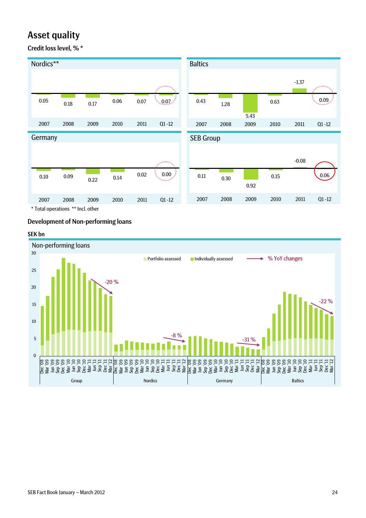# Asset quality

Credit loss level, % \*



# Development of Non-performing loans

#### SEK bn

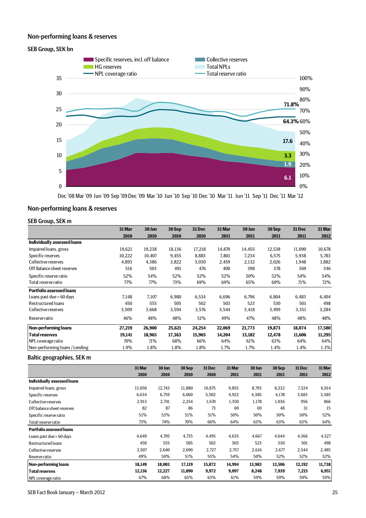### Non-performing loans & reserves

#### SEB Group, SEK bn



Dec '08 Mar '09 Jun '09 Sep '09 Dec '09 Mar '10 Jun '10 Sep '10 Dec '10 Mar '11 Jun '11 Sep '11 Dec '11 Mar '12

### Non-performing loans & reserves

### SEB Group, SEK m

|                                 | 31 Mar | 30 Jun | 30 Sep | 31 Dec | 31 Mar | 30 Jun | 30 Sep | <b>31 Dec</b> | 31 Mar |
|---------------------------------|--------|--------|--------|--------|--------|--------|--------|---------------|--------|
|                                 | 2010   | 2010   | 2010   | 2010   | 2011   | 2011   | 2011   | 2011          | 2012   |
| Individually assessed loans     |        |        |        |        |        |        |        |               |        |
| Impaired loans, gross           | 19,621 | 19,238 | 18,136 | 17,218 | 14,870 | 14,455 | 12,538 | 11,090        | 10,678 |
| Specific reserves               | 10,222 | 10,407 | 9,455  | 8,883  | 7,801  | 7,234  | 6,575  | 5,938         | 5,783  |
| Collective reserves             | 4,893  | 4,386  | 3,822  | 3,030  | 2,459  | 2,132  | 2,026  | 1,948         | 1,882  |
| Off Balance sheet reserves      | 516    | 503    | 491    | 476    | 400    | 398    | 378    | 369           | 346    |
| Specific reserve ratio          | 52%    | 54%    | 52%    | 52%    | 52%    | 50%    | 52%    | 54%           | 54%    |
| Total reserve ratio             | 77%    | 77%    | 73%    | 69%    | 69%    | 65%    | 69%    | 71%           | 72%    |
| <b>Portfolio assessed loans</b> |        |        |        |        |        |        |        |               |        |
| Loans past due > 60 days        | 7,148  | 7,107  | 6,980  | 6,534  | 6,696  | 6,796  | 6,804  | 6,483         | 6,404  |
| <b>Restructured loans</b>       | 450    | 555    | 505    | 502    | 503    | 523    | 530    | 501           | 498    |
| Collective reserves             | 3,509  | 3,668  | 3,594  | 3,576  | 3,544  | 3,418  | 3,499  | 3,351         | 3,284  |
| Reserve ratio                   | 46%    | 48%    | 48%    | 51%    | 49%    | 47%    | 48%    | 48%           | 48%    |
| Non-performing loans            | 27,219 | 26,900 | 25,621 | 24,254 | 22,069 | 21,773 | 19,873 | 18,074        | 17,580 |
| <b>Total reserves</b>           | 19,141 | 18,965 | 17,363 | 15,965 | 14,204 | 13,182 | 12,478 | 11,606        | 11,295 |
| NPL coverage ratio              | 70%    | 71%    | 68%    | 66%    | 64%    | 61%    | 63%    | 64%           | 64%    |
| Non-performing loans / Lending  | 1.9%   | 1.8%   | 1.8%   | 1.8%   | 1.7%   | 1.7%   | 1.4%   | 1.4%          | 1.3%   |

#### Baltic geographies, SEK m

|                                 | 31 Mar | 30 Jun | 30 Sep | 31 Dec | 31 Mar | 30 Jun | 30 Sep | 31 Dec | 31 Mar |
|---------------------------------|--------|--------|--------|--------|--------|--------|--------|--------|--------|
|                                 | 2010   | 2010   | 2010   | 2010   | 2011   | 2011   | 2011   | 2011   | 2012   |
| Individually assessed loans     |        |        |        |        |        |        |        |        |        |
| Impaired loans, gross           | 13,050 | 12,743 | 11,880 | 10,875 | 9,855  | 8,793  | 8,332  | 7,324  | 6,914  |
| Specific reserves               | 6,634  | 6,759  | 6,060  | 5,502  | 4,922  | 4,385  | 4,178  | 3,683  | 3,585  |
| Collective reserves             | 2,913  | 2,741  | 2,254  | 1,670  | 1,350  | 1,178  | 1,036  | 956    | 866    |
| Off balance sheet reserves      | 82     | 87     | 86     | 73     | 69     | 69     | 48     | 31     | 15     |
| Specific reserve ratio          | 51%    | 53%    | 51%    | 51%    | 50%    | 50%    | 50%    | 50%    | 52%    |
| Total reserve ratio             | 73%    | 74%    | 70%    | 66%    | 64%    | 63%    | 63%    | 63%    | 64%    |
| <b>Portfolio assessed loans</b> |        |        |        |        |        |        |        |        |        |
| Loans past due > 60 days        | 4.649  | 4.705  | 4,735  | 4,495  | 4,635  | 4.667  | 4.644  | 4,366  | 4,327  |
| <b>Restructured loans</b>       | 450    | 555    | 505    | 502    | 503    | 523    | 530    | 501    | 498    |
| Collective reserves             | 2,507  | 2,640  | 2,690  | 2,727  | 2,757  | 2,616  | 2,677  | 2,544  | 2,485  |
| Reserve ratio                   | 49%    | 50%    | 51%    | 55%    | 54%    | 50%    | 52%    | 52%    | 52%    |
| <b>Non-performing loans</b>     | 18.149 | 18,003 | 17,119 | 15,872 | 14,994 | 13,983 | 13,506 | 12,192 | 11,738 |
| <b>Total reserves</b>           | 12,136 | 12,227 | 11,090 | 9,972  | 9,097  | 8,248  | 7,939  | 7,215  | 6,951  |
| NPL coverage ratio              | 67%    | 68%    | 65%    | 63%    | 61%    | 59%    | 59%    | 59%    | 59%    |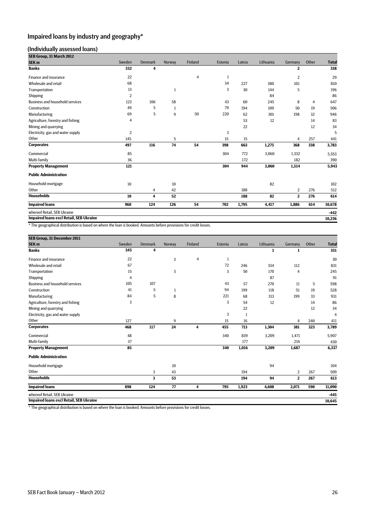# Impaired loans by industry and geography\*

#### (Individually assessed loans)

| SEB Group, 31 March 2012                                                                                           |                |                         |              |                         |              |              |              |                         |                |                |
|--------------------------------------------------------------------------------------------------------------------|----------------|-------------------------|--------------|-------------------------|--------------|--------------|--------------|-------------------------|----------------|----------------|
| SEK <sub>m</sub>                                                                                                   | Sweden         | Denmark                 | Norway       | Finland                 | Estonia      | Latvia       | Lithuania    | Germany                 | Other          | <b>Total</b>   |
| <b>Banks</b>                                                                                                       | 332            | 4                       |              |                         |              |              |              | $\overline{\mathbf{2}}$ |                | 338            |
| Finance and insurance                                                                                              | 22             |                         |              | $\overline{4}$          | $\mathbf{1}$ |              |              | $\overline{2}$          |                | 29             |
| Wholesale and retail                                                                                               | 68             |                         |              |                         | 34           | 227          | 380          | 101                     |                | 810            |
| Transportation                                                                                                     | 13             |                         | $\,1$        |                         | 3            | 30           | 144          | 5                       |                | 196            |
| Shipping                                                                                                           | $\overline{2}$ |                         |              |                         |              |              | 84           |                         |                | 86             |
| <b>Business and household services</b>                                                                             | 123            | 106                     | 58           |                         | 43           | 60           | 245          | 8                       | $\overline{4}$ | 647            |
| Construction                                                                                                       | 49             | $\mathbf 5$             | $\mathbf{1}$ |                         | 79           | 194          | 109          | 50                      | 19             | 506            |
| Manufacturing                                                                                                      | 69             | 5                       | 9            | 50                      | 220          | 62           | 301          | 198                     | 32             | 946            |
| Agriculture, forestry and fishing                                                                                  | $\overline{4}$ |                         |              |                         |              | 53           | 12           |                         | 14             | 83             |
| Mining and quarrying                                                                                               |                |                         |              |                         |              | 22           |              |                         | 12             | 34             |
| Electricity, gas and water supply                                                                                  | $\overline{2}$ |                         |              |                         | 3            |              |              |                         |                | 5              |
| Other                                                                                                              | 145            |                         | 5            |                         | 15           | 15           |              | $\overline{4}$          | 257            | 441            |
| <b>Corporates</b>                                                                                                  | 497            | 116                     | 74           | 54                      | 398          | 663          | 1,275        | 368                     | 338            | 3,783          |
| Commercial                                                                                                         | 85             |                         |              |                         | 304          | 772          | 3,060        | 1,332                   |                | 5,553          |
| Multi-family                                                                                                       | 36             |                         |              |                         |              | 172          |              | 182                     |                | 390            |
| <b>Property Management</b>                                                                                         | 121            |                         |              |                         | 304          | 944          | 3,060        | 1,514                   |                | 5,943          |
| <b>Public Administration</b>                                                                                       |                |                         |              |                         |              |              |              |                         |                |                |
| Household mortgage                                                                                                 | 10             |                         | $10\,$       |                         |              |              | 82           |                         |                | 102            |
| Other                                                                                                              |                | $\overline{4}$          | 42           |                         |              | 188          |              | $\overline{2}$          | 276            | 512            |
| <b>Households</b>                                                                                                  | 10             | 4                       | 52           |                         |              | 188          | 82           | $\mathbf 2$             | 276            | 614            |
| <b>Impaired loans</b>                                                                                              | 960            | 124                     | 126          | 54                      | 702          | 1,795        | 4,417        | 1,886                   | 614            | 10,678         |
| whereof Retail, SEB Ukraine                                                                                        |                |                         |              |                         |              |              |              |                         |                | -442           |
| <b>Impaired loans excl Retail, SEB Ukraine</b>                                                                     |                |                         |              |                         |              |              |              |                         |                | 10,236         |
| * The geographical distribution is based on where the loan is booked. Amounts before provisions for credit losses. |                |                         |              |                         |              |              |              |                         |                |                |
| SEB Group, 31 December 2011                                                                                        |                |                         |              |                         |              |              |              |                         |                |                |
| SEK <sub>m</sub>                                                                                                   | Sweden         | <b>Denmark</b>          | Norway       | Finland                 | Estonia      | Latvia       | Lithuania    | Germany                 | Other          | <b>Total</b>   |
| <b>Banks</b>                                                                                                       | 345            | $\overline{\mathbf{4}}$ |              |                         |              |              | $\mathbf{1}$ | $\mathbf{1}$            |                | 351            |
| Finance and insurance                                                                                              | 22             |                         | 3            | $\overline{4}$          | $\,1$        |              |              |                         |                | 30             |
| Wholesale and retail                                                                                               | 67             |                         |              |                         | 72           | 246          | 334          | 112                     |                | 831            |
| Transportation                                                                                                     | 15             |                         | $\sqrt{3}$   |                         | 3            | 50           | 170          | $\overline{4}$          |                | 245            |
| Shipping                                                                                                           | $\overline{4}$ |                         |              |                         |              |              | 87           |                         |                | 91             |
| <b>Business and household services</b>                                                                             | 105            | 107                     |              |                         | 43           | 57           | 270          | 11                      | 5              | 598            |
| Construction                                                                                                       | 41             | $\sqrt{5}$              | $\mathbf{1}$ |                         | 94           | 199          | 118          | 51                      | 19             | 528            |
| Manufacturing                                                                                                      | 84             | 5                       | 8            |                         | 221          | 68           | 313          | 199                     | 33             | 931            |
| Agriculture, forestry and fishing                                                                                  | 3              |                         |              |                         | 3            | 54           | 12           |                         | 14             | 86             |
| Mining and quarrying                                                                                               |                |                         |              |                         |              | 22           |              |                         | 12             | 34             |
| Electricity, gas and water supply                                                                                  |                |                         |              |                         | 3            | $\mathbf{1}$ |              |                         |                | $\overline{4}$ |
| Other                                                                                                              | 127            |                         | 9            |                         | 15           | 16           |              | $\overline{4}$          | 240            | 411            |
| <b>Corporates</b>                                                                                                  | 468            | 117                     | 24           | $\overline{\mathbf{4}}$ | 455          | 713          | 1,304        | 381                     | 323            | 3,789          |
| Commercial                                                                                                         | 48             |                         |              |                         | 340          | 839          | 3,209        | 1,471                   |                | 5,907          |
| Multi-family                                                                                                       | 37             |                         |              |                         |              | 177          |              | 216                     |                | 430            |
| <b>Property Management</b>                                                                                         | 85             |                         |              |                         | 340          | 1,016        | 3,209        | 1,687                   |                | 6,337          |
| <b>Public Administration</b>                                                                                       |                |                         |              |                         |              |              |              |                         |                |                |
| Household mortgage                                                                                                 |                |                         | 10           |                         |              |              | QA           |                         |                | 10A            |

Household mortgage 10 94 104 Other 2012 2013 2014 1948 2020 2014 2020 2020 2020 2031 2040 2020 2031 2040 2020 2031 2032 2040 2020 2031 2032 **Households 3 53 194 94 2 267 613 Impaired loans 898 124 77 4 795 1,923 4,608 2,071 590 11,090** whereof Retail, SEB Ukraine **-445**<br> **-445**<br> **Impaired loans excl Retail, SEB Ukraine - 10,6**45 **Impaired loans excl Retail, SEB Ukraine 10,645**

\* The geographical distribution is based on where the loan is booked. Amounts before provisions for credit losses.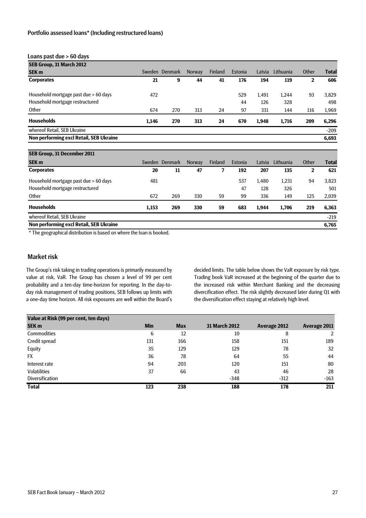#### Loans past due > 60 days

| SEB Group, 31 March 2012                |       |                |               |                |         |        |           |              |              |
|-----------------------------------------|-------|----------------|---------------|----------------|---------|--------|-----------|--------------|--------------|
| <b>SEK m</b>                            |       | Sweden Denmark | <b>Norway</b> | <b>Finland</b> | Estonia | Latvia | Lithuania | Other        | <b>Total</b> |
| <b>Corporates</b>                       | 21    | 9              | 44            | 41             | 176     | 194    | 119       | $\mathbf{2}$ | 606          |
| Household mortgage past due > 60 days   | 472   |                |               |                | 529     | 1.491  | 1,244     | 93           | 3,829        |
| Household mortgage restructured         |       |                |               |                | 44      | 126    | 328       |              | 498          |
| Other                                   | 674   | 270            | 313           | 24             | 97      | 331    | 144       | 116          | 1,969        |
| <b>Households</b>                       | 1,146 | 270            | 313           | 24             | 670     | 1,948  | 1,716     | 209          | 6,296        |
| whereof Retail, SEB Ukraine             |       |                |               |                |         |        |           |              | $-209$       |
| Non performing excl Retail, SEB Ukraine |       |                |               |                |         |        |           |              | 6,693        |
|                                         |       |                |               |                |         |        |           |              |              |
| SEB Group, 31 December 2011             |       |                |               |                |         |        |           |              |              |

| <b>SEK m</b>                            | Sweden | <b>Denmark</b> | <b>Norway</b> | <b>Finland</b> | Estonia | Latvia | Lithuania | Other | <b>Total</b> |
|-----------------------------------------|--------|----------------|---------------|----------------|---------|--------|-----------|-------|--------------|
| <b>Corporates</b>                       | 20     | 11             | 47            |                | 192     | 207    | 135       | 2     | 621          |
| Household mortgage past due > 60 days   | 481    |                |               |                | 537     | 1.480  | 1,231     | 94    | 3,823        |
| Household mortgage restructured         |        |                |               |                | 47      | 128    | 326       |       | 501          |
| Other                                   | 672    | 269            | 330           | 59             | 99      | 336    | 149       | 125   | 2,039        |
| <b>Households</b>                       | 1,153  | 269            | 330           | 59             | 683     | 1.944  | 1.706     | 219   | 6,363        |
| whereof Retail, SEB Ukraine             |        |                |               |                |         |        |           |       | $-219$       |
| Non performing excl Retail, SEB Ukraine |        |                |               |                |         |        |           |       | 6,765        |
|                                         |        |                |               |                |         |        |           |       |              |

\* The geographical distribution is based on where the loan is booked.

#### Market risk

The Group's risk taking in trading operations is primarily measured by value at risk, VaR. The Group has chosen a level of 99 per cent probability and a ten-day time-horizon for reporting. In the day-today risk management of trading positions, SEB follows up limits with a one-day time horizon. All risk exposures are well within the Board's decided limits. The table below shows the VaR exposure by risk type. Trading book VaR increased at the beginning of the quarter due to the increased risk within Merchant Banking and the decreasing divercification effect. The risk slightly decreased later during Q1 with the diversification effect staying at relatively high level.

| Value at Risk (99 per cent, ten days) |            |            |               |              |              |
|---------------------------------------|------------|------------|---------------|--------------|--------------|
| <b>SEK m</b>                          | <b>Min</b> | <b>Max</b> | 31 March 2012 | Average 2012 | Average 2011 |
| <b>Commodities</b>                    | 6          | 12         | 10            | 8            | 2            |
| Credit spread                         | 131        | 166        | 158           | 151          | 189          |
| Equity                                | 35         | 129        | 129           | 78           | 32           |
| <b>FX</b>                             | 36         | 78         | 64            | 55           | 44           |
| Interest rate                         | 94         | 203        | 120           | 151          | 80           |
| <b>Volatilities</b>                   | 37         | 66         | 43            | 46           | 28           |
| <b>Diversification</b>                |            |            | $-348$        | $-312$       | $-163$       |
| <b>Total</b>                          | 123        | 238        | 188           | 178          | 211          |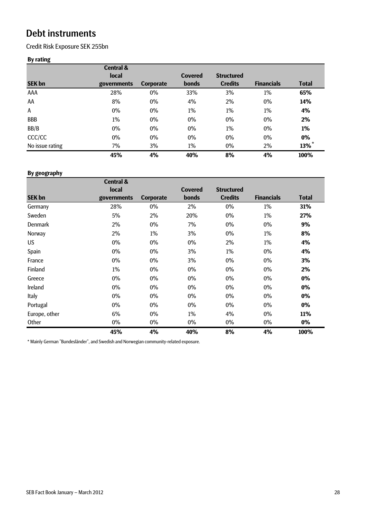# Debt instruments

Credit Risk Exposure SEK 255bn

# **By rating**

|                 | <b>Central &amp;</b> |                  |                |                   |                   |                     |
|-----------------|----------------------|------------------|----------------|-------------------|-------------------|---------------------|
|                 | local                |                  | <b>Covered</b> | <b>Structured</b> |                   |                     |
| <b>SEK bn</b>   | governments          | <b>Corporate</b> | <b>bonds</b>   | <b>Credits</b>    | <b>Financials</b> | <b>Total</b>        |
| AAA             | 28%                  | 0%               | 33%            | 3%                | 1%                | 65%                 |
| AA              | 8%                   | 0%               | 4%             | 2%                | 0%                | 14%                 |
| Α               | 0%                   | 0%               | 1%             | 1%                | 1%                | 4%                  |
| <b>BBB</b>      | 1%                   | $0\%$            | 0%             | $0\%$             | $0\%$             | 2%                  |
| BB/B            | 0%                   | 0%               | 0%             | 1%                | 0%                | 1%                  |
| CCC/CC          | 0%                   | 0%               | 0%             | 0%                | 0%                | 0%                  |
| No issue rating | 7%                   | 3%               | 1%             | $0\%$             | 2%                | $13\%$ <sup>*</sup> |
|                 | 45%                  | 4%               | 40%            | 8%                | 4%                | 100%                |

### **By geography**

|                | <b>Central &amp;</b> |                  |                |                   |                   |              |
|----------------|----------------------|------------------|----------------|-------------------|-------------------|--------------|
|                | local                |                  | <b>Covered</b> | <b>Structured</b> |                   |              |
| <b>SEK bn</b>  | governments          | <b>Corporate</b> | bonds          | <b>Credits</b>    | <b>Financials</b> | <b>Total</b> |
| Germany        | 28%                  | 0%               | 2%             | 0%                | 1%                | 31%          |
| Sweden         | 5%                   | 2%               | 20%            | 0%                | 1%                | 27%          |
| <b>Denmark</b> | 2%                   | 0%               | 7%             | 0%                | 0%                | 9%           |
| Norway         | 2%                   | 1%               | 3%             | 0%                | 1%                | 8%           |
| US.            | 0%                   | 0%               | 0%             | 2%                | 1%                | 4%           |
| Spain          | 0%                   | 0%               | 3%             | 1%                | 0%                | 4%           |
| France         | 0%                   | 0%               | 3%             | 0%                | 0%                | 3%           |
| Finland        | 1%                   | 0%               | 0%             | 0%                | $0\%$             | 2%           |
| Greece         | 0%                   | 0%               | 0%             | 0%                | $0\%$             | $0\%$        |
| Ireland        | 0%                   | 0%               | 0%             | 0%                | 0%                | $0\%$        |
| Italy          | 0%                   | 0%               | 0%             | 0%                | 0%                | 0%           |
| Portugal       | 0%                   | 0%               | 0%             | 0%                | $0\%$             | $0\%$        |
| Europe, other  | 6%                   | 0%               | 1%             | 4%                | 0%                | 11%          |
| Other          | 0%                   | 0%               | 0%             | 0%                | 0%                | 0%           |
|                | 45%                  | 4%               | 40%            | 8%                | 4%                | 100%         |

\* Mainly German "Bundesländer", and Swedish and Norwegian community-related exposure.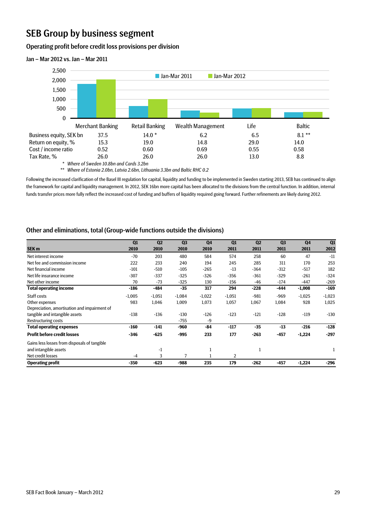# SEB Group by business segment

#### Operating profit before credit loss provisions per division



#### Jan – Mar 2012 vs. Jan – Mar 2011

*\* Where of Sweden 10.8bn and Cards 3.2bn*

*\*\* Where of Estonia 2.0bn, Latvia 2.6bn, Lithuania 3.3bn and Baltic RHC 0.2*

Following the increased clarification of the Basel III regulation for capital, liquidity and funding to be implemented in Sweden starting 2013, SEB has continued to align the framework for capital and liquidity management. In 2012, SEK 16bn more capital has been allocated to the divisions from the central function. In addition, internal funds transfer prices more fully reflect the increased cost of funding and buffers of liquidity required going forward. Further refinements are likely during 2012.

## Other and eliminations, total (Group-wide functions outside the divisions)

|                                              | Q1       | Q <sub>2</sub> | Q <sub>3</sub> | Q <sub>4</sub> | Q1       | Q <sub>2</sub> | Q <sub>3</sub> | Q <sub>4</sub> | Q1       |
|----------------------------------------------|----------|----------------|----------------|----------------|----------|----------------|----------------|----------------|----------|
| SEK <sub>m</sub>                             | 2010     | 2010           | 2010           | 2010           | 2011     | 2011           | 2011           | 2011           | 2012     |
| Net interest income                          | $-70$    | 203            | 480            | 584            | 574      | 258            | 60             | 47             | $-11$    |
| Net fee and commission income                | 222      | 233            | 240            | 194            | 245      | 285            | 311            | 170            | 253      |
| Net financial income                         | $-101$   | $-510$         | $-105$         | $-265$         | $-13$    | $-364$         | $-312$         | $-517$         | 182      |
| Net life insurance income                    | $-307$   | $-337$         | $-325$         | $-326$         | $-356$   | $-361$         | $-329$         | $-261$         | $-324$   |
| Net other income                             | 70       | $-73$          | $-325$         | 130            | $-156$   | -46            | $-174$         | $-447$         | $-269$   |
| <b>Total operating income</b>                | $-186$   | $-484$         | $-35$          | 317            | 294      | $-228$         | $-444$         | $-1,008$       | $-169$   |
| Staff costs                                  | $-1,005$ | $-1,051$       | $-1,084$       | $-1,022$       | $-1,051$ | $-981$         | $-969$         | $-1,025$       | $-1,023$ |
| Other expenses                               | 983      | 1,046          | 1,009          | 1,073          | 1,057    | 1,067          | 1,084          | 928            | 1,025    |
| Depreciation, amortisation and impairment of |          |                |                |                |          |                |                |                |          |
| tangible and intangible assets               | $-138$   | $-136$         | $-130$         | $-126$         | $-123$   | $-121$         | $-128$         | $-119$         | $-130$   |
| Restructuring costs                          |          |                | $-755$         | -9             |          |                |                |                |          |
| <b>Total operating expenses</b>              | $-160$   | -141           | -960           | $-84$          | $-117$   | $-35$          | $-13$          | $-216$         | $-128$   |
| <b>Profit before credit losses</b>           | $-346$   | $-625$         | -995           | 233            | 177      | $-263$         | $-457$         | $-1,224$       | $-297$   |
| Gains less losses from disposals of tangible |          |                |                |                |          |                |                |                |          |
| and intangible assets                        |          | $-1$           |                | 1              |          | $\mathbf{1}$   |                |                |          |
| Net credit losses                            | $-4$     | 3              | 7              |                | 2        |                |                |                |          |
| <b>Operating profit</b>                      | $-350$   | $-623$         | -988           | 235            | 179      | $-262$         | $-457$         | $-1,224$       | $-296$   |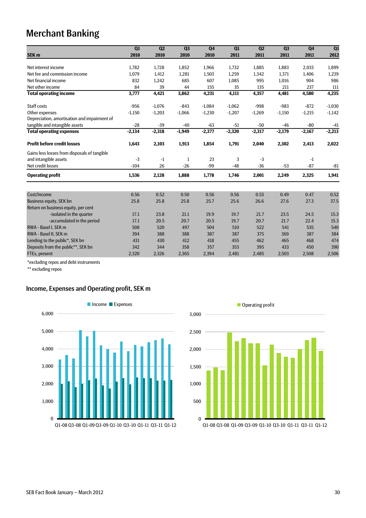# Merchant Banking

|                                              | Q1       | Q <sub>2</sub> | Q <sub>3</sub> | Q <sub>4</sub> | Q1       | Q <sub>2</sub> | Q <sub>3</sub> | Q <sub>4</sub> | Q1       |
|----------------------------------------------|----------|----------------|----------------|----------------|----------|----------------|----------------|----------------|----------|
| SEK <sub>m</sub>                             | 2010     | 2010           | 2010           | 2010           | 2011     | 2011           | 2011           | 2011           | 2012     |
| Net interest income                          | 1,782    | 1,728          | 1,852          | 1,966          | 1,732    | 1,885          | 1,883          | 2,033          | 1,899    |
| Net fee and commission income                | 1.079    | 1,412          | 1,281          | 1,503          | 1,259    | 1.342          | 1,371          | 1,406          | 1,239    |
| Net financial income                         | 832      | 1,242          | 685            | 607            | 1,085    | 995            | 1,016          | 904            | 986      |
|                                              |          |                |                |                |          |                |                |                |          |
| Net other income                             | 84       | 39             | 44             | 155            | 35       | 135            | 211            | 237            | 111      |
| <b>Total operating income</b>                | 3,777    | 4,421          | 3,862          | 4,231          | 4,111    | 4,357          | 4,481          | 4,580          | 4,235    |
| Staff costs                                  | $-956$   | $-1,076$       | $-843$         | $-1,084$       | $-1,062$ | $-998$         | $-983$         | $-872$         | $-1,030$ |
| Other expenses                               | $-1,150$ | $-1,203$       | $-1,066$       | $-1,230$       | $-1,207$ | $-1,269$       | $-1,150$       | $-1,215$       | $-1,142$ |
| Depreciation, amortisation and impairment of |          |                |                |                |          |                |                |                |          |
| tangible and intangible assets               | $-28$    | $-39$          | $-40$          | $-63$          | $-51$    | $-50$          | $-46$          | -80            | $-41$    |
| <b>Total operating expenses</b>              | $-2,134$ | $-2,318$       | $-1,949$       | $-2,377$       | $-2,320$ | $-2,317$       | $-2,179$       | $-2,167$       | $-2,213$ |
| <b>Profit before credit losses</b>           | 1,643    | 2,103          | 1,913          | 1,854          | 1,791    | 2,040          | 2,302          | 2,413          | 2,022    |
| Gains less losses from disposals of tangible |          |                |                |                |          |                |                |                |          |
| and intangible assets                        | $-3$     | $-1$           | 1              | 23             | 3        | $-3$           |                | $-1$           |          |
| Net credit losses                            | $-104$   | 26             | $-26$          | $-99$          | $-48$    | $-36$          | $-53$          | $-87$          | $-81$    |
| <b>Operating profit</b>                      | 1,536    | 2,128          | 1,888          | 1,778          | 1,746    | 2,001          | 2,249          | 2,325          | 1,941    |
|                                              |          |                |                |                |          |                |                |                |          |
| Cost/Income                                  | 0.56     | 0.52           | 0.50           | 0.56           | 0.56     | 0.53           | 0.49           | 0.47           | 0.52     |
| <b>Business equity, SEK bn</b>               | 25.8     | 25.8           | 25.8           | 25.7           | 25.6     | 26.6           | 27.6           | 27.3           | 37.5     |
| Return on business equity, per cent          |          |                |                |                |          |                |                |                |          |
| -isolated in the quarter                     | 17.1     | 23.8           | 21.1           | 19.9           | 19.7     | 21.7           | 23.5           | 24.5           | 15.3     |
| -accumulated in the period                   | 17.1     | 20.5           | 20.7           | 20.5           | 19.7     | 20.7           | 21.7           | 22.4           | 15.3     |
| RWA - Basel I. SEK m                         | 508      | 520            | 497            | 504            | 510      | 522            | 541            | 535            | 540      |
| RWA - Basel II, SEK m                        | 394      | 388            | 388            | 387            | 387      | 375            | 369            | 387            | 384      |
| Lending to the public*, SEK bn               | 431      | 430            | 412            | 418            | 455      | 462            | 465            | 468            | 474      |
| Deposits from the public**, SEK bn           | 342      | 344            | 358            | 357            | 353      | 395            | 433            | 450            | 390      |
| FTEs, present                                | 2,320    | 2,326          | 2,365          | 2,394          | 2,481    | 2,485          | 2,503          | 2,508          | 2,506    |

\*excluding repos and debt instruments

\*\* excluding repos

# Income, Expenses and Operating profit, SEK m



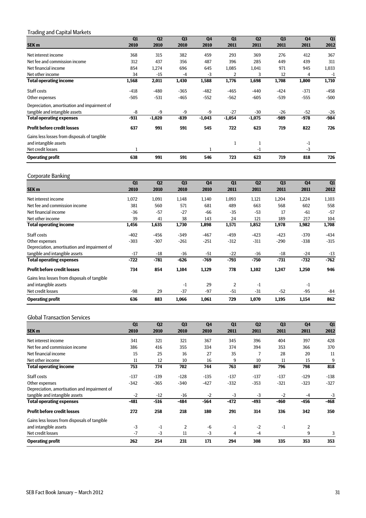### Trading and Capital Markets

|                                              | Q1     | Q <sub>2</sub> | Q <sub>3</sub> | Q <sub>4</sub> | Q1       | Q <sub>2</sub> | Q <sub>3</sub> | Q <sub>4</sub> | Q1     |
|----------------------------------------------|--------|----------------|----------------|----------------|----------|----------------|----------------|----------------|--------|
| SEK <sub>m</sub>                             | 2010   | 2010           | 2010           | 2010           | 2011     | 2011           | 2011           | 2011           | 2012   |
| Net interest income                          | 368    | 315            | 382            | 459            | 293      | 369            | 276            | 412            | 367    |
| Net fee and commission income                | 312    | 437            | 356            | 487            | 396      | 285            | 449            | 439            | 311    |
| Net financial income                         | 854    | 1,274          | 696            | 645            | 1,085    | 1,041          | 971            | 945            | 1,033  |
| Net other income                             | 34     | $-15$          | -4             | -3             | 2        | 3              | 12             | 4              | $-1$   |
| <b>Total operating income</b>                | 1,568  | 2,011          | 1,430          | 1,588          | 1,776    | 1,698          | 1,708          | 1,800          | 1,710  |
| Staff costs                                  | $-418$ | $-480$         | $-365$         | $-482$         | $-465$   | $-440$         | $-424$         | $-371$         | $-458$ |
| Other expenses                               | $-505$ | $-531$         | $-465$         | $-552$         | $-562$   | $-605$         | $-539$         | $-555$         | $-500$ |
| Depreciation, amortisation and impairment of |        |                |                |                |          |                |                |                |        |
| tangible and intangible assets               | -8     | $-9$           | -9             | $-9$           | $-27$    | $-30$          | $-26$          | $-52$          | $-26$  |
| <b>Total operating expenses</b>              | -931   | $-1,020$       | -839           | $-1,043$       | $-1,054$ | $-1,075$       | -989           | -978           | $-984$ |
| <b>Profit before credit losses</b>           | 637    | 991            | 591            | 545            | 722      | 623            | 719            | 822            | 726    |
| Gains less losses from disposals of tangible |        |                |                |                |          |                |                |                |        |
| and intangible assets                        |        |                |                |                | 1        | 1              |                | $-1$           |        |
| Net credit losses                            |        |                |                | 1              |          | $-1$           |                | $-3$           |        |
| <b>Operating profit</b>                      | 638    | 991            | 591            | 546            | 723      | 623            | 719            | 818            | 726    |

#### Corporate Banking

| . .<br>ັ                                     | Q1     | Q <sub>2</sub> | Q <sub>3</sub> | Q <sub>4</sub> | Q1     | Q <sub>2</sub> | Q <sub>3</sub> | Q <sub>4</sub> | Q1     |
|----------------------------------------------|--------|----------------|----------------|----------------|--------|----------------|----------------|----------------|--------|
| SEK <sub>m</sub>                             | 2010   | 2010           | 2010           | 2010           | 2011   | 2011           | 2011           | 2011           | 2012   |
| Net interest income                          | 1,072  | 1,091          | 1,148          | 1,140          | 1,093  | 1,121          | 1,204          | 1,224          | 1,103  |
| Net fee and commission income                | 381    | 560            | 571            | 681            | 489    | 663            | 568            | 602            | 558    |
| Net financial income                         | $-36$  | $-57$          | $-27$          | $-66$          | $-35$  | $-53$          | 17             | $-61$          | $-57$  |
| Net other income                             | 39     | 41             | 38             | 143            | 24     | 121            | 189            | 217            | 104    |
| <b>Total operating income</b>                | 1,456  | 1,635          | 1,730          | 1,898          | 1,571  | 1,852          | 1,978          | 1,982          | 1,708  |
| Staff costs                                  | $-402$ | $-456$         | $-349$         | $-467$         | $-459$ | $-423$         | $-423$         | $-370$         | $-434$ |
| Other expenses                               | $-303$ | $-307$         | $-261$         | $-251$         | $-312$ | $-311$         | $-290$         | $-338$         | $-315$ |
| Depreciation, amortisation and impairment of |        |                |                |                |        |                |                |                |        |
| tangible and intangible assets               | $-17$  | -18            | -16            | $-51$          | $-22$  | -16            | $-18$          | $-24$          | $-13$  |
| <b>Total operating expenses</b>              | $-722$ | $-781$         | $-626$         | $-769$         | $-793$ | $-750$         | $-731$         | $-732$         | $-762$ |
| <b>Profit before credit losses</b>           | 734    | 854            | 1,104          | 1,129          | 778    | 1,102          | 1,247          | 1,250          | 946    |
| Gains less losses from disposals of tangible |        |                |                |                |        |                |                |                |        |
| and intangible assets                        |        |                | $-1$           | 29             | 2      | -1             |                | $-1$           |        |
| Net credit losses                            | $-98$  | 29             | $-37$          | $-97$          | $-51$  | $-31$          | $-52$          | $-95$          | $-84$  |
| <b>Operating profit</b>                      | 636    | 883            | 1,066          | 1,061          | 729    | 1,070          | 1,195          | 1,154          | 862    |

#### Global Transaction Services

|                                              | Q1     | Q <sub>2</sub> | Q <sub>3</sub> | Q <sub>4</sub> | Q1     | Q <sub>2</sub> | Q <sub>3</sub> | Q <sub>4</sub> | Q1     |
|----------------------------------------------|--------|----------------|----------------|----------------|--------|----------------|----------------|----------------|--------|
| SEK <sub>m</sub>                             | 2010   | 2010           | 2010           | 2010           | 2011   | 2011           | 2011           | 2011           | 2012   |
| Net interest income                          | 341    | 321            | 321            | 367            | 345    | 396            | 404            | 397            | 428    |
| Net fee and commission income                | 386    | 416            | 355            | 334            | 374    | 394            | 353            | 366            | 370    |
| Net financial income                         | 15     | 25             | 16             | 27             | 35     |                | 28             | 20             | 11     |
| Net other income                             | 11     | 12             | 10             | 16             | 9      | 10             | 11             | 15             | 9      |
| <b>Total operating income</b>                | 753    | 774            | 702            | 744            | 763    | 807            | 796            | 798            | 818    |
| Staff costs                                  | $-137$ | $-139$         | $-128$         | $-135$         | $-137$ | $-137$         | $-137$         | $-129$         | $-138$ |
| Other expenses                               | $-342$ | $-365$         | $-340$         | $-427$         | $-332$ | $-353$         | $-321$         | $-323$         | $-327$ |
| Depreciation, amortisation and impairment of |        |                |                |                |        |                |                |                |        |
| tangible and intangible assets               | $-2$   | $-12$          | -16            | $-2$           | $-3$   | $-3$           | $-2$           | -4             | $-3$   |
| <b>Total operating expenses</b>              | $-481$ | $-516$         | $-484$         | $-564$         | $-472$ | -493           | $-460$         | $-456$         | $-468$ |
| <b>Profit before credit losses</b>           | 272    | 258            | 218            | 180            | 291    | 314            | 336            | 342            | 350    |
| Gains less losses from disposals of tangible |        |                |                |                |        |                |                |                |        |
| and intangible assets                        | $-3$   | $-1$           | $\overline{2}$ | -6             | $-1$   | $-2$           | -1             | $\overline{2}$ |        |
| Net credit losses                            | $-7$   | $-3$           | 11             | $-3$           | 4      | -4             |                | 9              |        |
| <b>Operating profit</b>                      | 262    | 254            | 231            | 171            | 294    | 308            | 335            | 353            | 353    |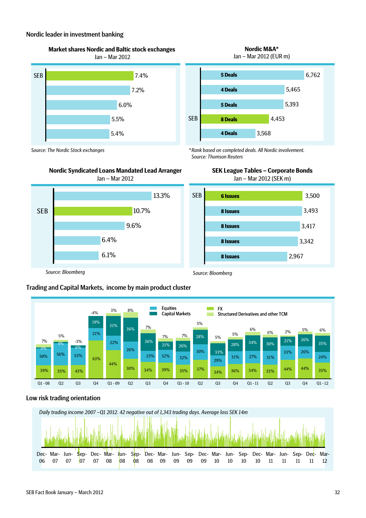#### Nordic leader in investment banking

**Market shares Nordic and Baltic stock exchanges** 



**Nordic M&A\*** Jan – Mar 2012 (EUR m)



*\* Rank based on completed deals. All Nordic involvement. Source: Thomson Reuters*







Jan – Mar 2012 (SEK m)



*Source: Bloomberg*

*Source: The Nordic Stock exchanges*

*Source: Bloomberg*





## Low risk trading orientation

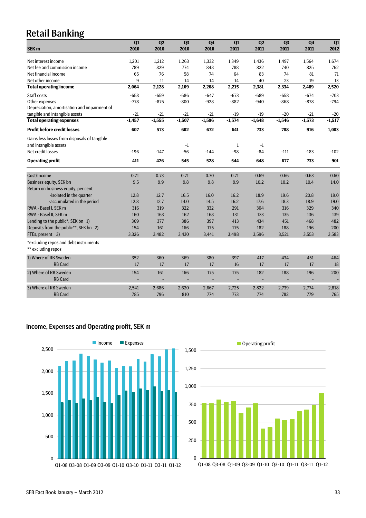# Retail Banking

|                                                             | Q1       | Q2       | Q3       | Q4       | Q1           | Q2       | Q <sub>3</sub> | Q4       | Q1       |
|-------------------------------------------------------------|----------|----------|----------|----------|--------------|----------|----------------|----------|----------|
| SEK <sub>m</sub>                                            | 2010     | 2010     | 2010     | 2010     | 2011         | 2011     | 2011           | 2011     | 2012     |
|                                                             |          |          |          |          |              |          |                |          |          |
| Net interest income                                         | 1,201    | 1,212    | 1,263    | 1,332    | 1,349        | 1,436    | 1,497          | 1,564    | 1,674    |
| Net fee and commission income                               | 789      | 829      | 774      | 848      | 788          | 822      | 740            | 825      | 762      |
| Net financial income                                        | 65       | 76       | 58       | 74       | 64           | 83       | 74             | 81       | 71       |
| Net other income                                            | 9        | 11       | 14       | 14       | 14           | 40       | 23             | 19       | 13       |
| <b>Total operating income</b>                               | 2,064    | 2,128    | 2,109    | 2,268    | 2,215        | 2,381    | 2,334          | 2,489    | 2,520    |
| Staff costs                                                 | $-658$   | $-659$   | $-686$   | $-647$   | $-673$       | $-689$   | $-658$         | $-674$   | $-703$   |
| Other expenses                                              | $-778$   | $-875$   | $-800$   | $-928$   | $-882$       | $-940$   | $-868$         | $-878$   | $-794$   |
| Depreciation, amortisation and impairment of                |          |          |          |          |              |          |                |          |          |
| tangible and intangible assets                              | $-21$    | $-21$    | $-21$    | $-21$    | $-19$        | $-19$    | $-20$          | $-21$    | $-20$    |
| <b>Total operating expenses</b>                             | $-1,457$ | $-1,555$ | $-1,507$ | $-1,596$ | $-1,574$     | $-1,648$ | $-1,546$       | $-1,573$ | $-1,517$ |
| <b>Profit before credit losses</b>                          | 607      | 573      | 602      | 672      | 641          | 733      | 788            | 916      | 1,003    |
| Gains less losses from disposals of tangible                |          |          |          |          |              |          |                |          |          |
| and intangible assets                                       |          |          | $-1$     |          | $\mathbf{1}$ | $-1$     |                |          |          |
| Net credit losses                                           | $-196$   | $-147$   | $-56$    | $-144$   | $-98$        | $-84$    | $-111$         | $-183$   | $-102$   |
| <b>Operating profit</b>                                     | 411      | 426      | 545      | 528      | 544          | 648      | 677            | 733      | 901      |
| Cost/Income                                                 | 0.71     | 0.73     | 0.71     | 0.70     | 0.71         | 0.69     | 0.66           | 0.63     | 0.60     |
| <b>Business equity, SEK bn</b>                              | 9.5      | 9.9      | 9.8      | 9.8      | 9.9          | 10.2     | 10.2           | 10.4     | 14.0     |
| Return on business equity, per cent                         |          |          |          |          |              |          |                |          |          |
| -isolated in the quarter                                    | 12.8     | 12.7     | 16.5     | 16.0     | 16.2         | 18.9     | 19.6           | 20.8     | 19.0     |
| -accumulated in the period                                  | 12.8     | 12.7     | 14.0     | 14.5     | 16.2         | 17.6     | 18.3           | 18.9     | 19.0     |
| RWA - Basel I. SEK m                                        | 316      | 319      | 322      | 332      | 291          | 304      | 316            | 329      | 340      |
| RWA - Basel II, SEK m                                       | 160      | 163      | 162      | 168      | 131          | 133      | 135            | 136      | 139      |
| Lending to the public*, SEK bn 1)                           | 369      | 377      | 386      | 397      | 413          | 434      | 451            | 468      | 482      |
|                                                             | 154      | 161      | 166      | 175      | 175          | 182      | 188            | 196      | 200      |
| Deposits from the public**, SEK bn 2)                       | 3,326    | 3,482    | 3,430    | 3,441    | 3,498        | 3,596    | 3,521          | 3,553    | 3,583    |
| FTEs, present 3)                                            |          |          |          |          |              |          |                |          |          |
| *excluding repos and debt instruments<br>** excluding repos |          |          |          |          |              |          |                |          |          |
| 1) Where of RB Sweden                                       | 352      | 360      | 369      | 380      | 397          | 417      | 434            | 451      | 464      |
| <b>RB Card</b>                                              | 17       | 17       | 17       | 17       | 16           | 17       | 17             | 17       | 18       |
| 2) Where of RB Sweden                                       | 154      | 161      | 166      | 175      | 175          | 182      | 188            | 196      | 200      |
| <b>RB Card</b>                                              |          |          |          |          |              |          |                |          |          |
| 3) Where of RB Sweden                                       | 2,541    | 2,686    | 2,620    | 2,667    | 2,725        | 2,822    | 2,739          | 2,774    | 2,818    |
| <b>RB Card</b>                                              | 785      | 796      | 810      | 774      | 773          | 774      | 782            | 779      | 765      |
|                                                             |          |          |          |          |              |          |                |          |          |

# Income, Expenses and Operating profit, SEK m



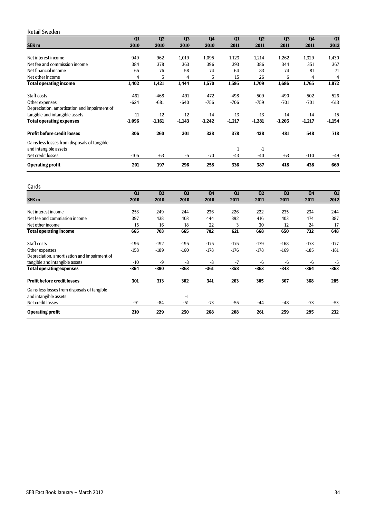#### Retail Sweden

|                                              | Q1       | Q <sub>2</sub> | Q <sub>3</sub> | Q <sub>4</sub> | Q1       | Q <sub>2</sub> | Q <sub>3</sub> | Q <sub>4</sub> | Q1       |
|----------------------------------------------|----------|----------------|----------------|----------------|----------|----------------|----------------|----------------|----------|
| SEK <sub>m</sub>                             | 2010     | 2010           | 2010           | 2010           | 2011     | 2011           | 2011           | 2011           | 2012     |
|                                              |          |                |                |                |          |                |                |                |          |
| Net interest income                          | 949      | 962            | 1,019          | 1,095          | 1,123    | 1,214          | 1,262          | 1,329          | 1,430    |
| Net fee and commission income                | 384      | 378            | 363            | 396            | 393      | 386            | 344            | 351            | 367      |
| Net financial income                         | 65       | 76             | 58             | 74             | 64       | 83             | 74             | 81             | 71       |
| Net other income                             | 4        | 5              | 4              | 5              | 15       | 26             | 6              | 4              | 4        |
| <b>Total operating income</b>                | 1,402    | 1,421          | 1,444          | 1,570          | 1,595    | 1,709          | 1,686          | 1,765          | 1,872    |
| Staff costs                                  | $-461$   | $-468$         | $-491$         | $-472$         | $-498$   | $-509$         | $-490$         | $-502$         | $-526$   |
| Other expenses                               | $-624$   | $-681$         | $-640$         | $-756$         | $-706$   | $-759$         | $-701$         | $-701$         | $-613$   |
| Depreciation, amortisation and impairment of |          |                |                |                |          |                |                |                |          |
| tangible and intangible assets               | $-11$    | $-12$          | $-12$          | $-14$          | $-13$    | $-13$          | $-14$          | $-14$          | $-15$    |
| <b>Total operating expenses</b>              | $-1,096$ | $-1,161$       | $-1,143$       | $-1,242$       | $-1,217$ | $-1,281$       | $-1,205$       | $-1,217$       | $-1,154$ |
| <b>Profit before credit losses</b>           | 306      | 260            | 301            | 328            | 378      | 428            | 481            | 548            | 718      |
| Gains less losses from disposals of tangible |          |                |                |                |          |                |                |                |          |
| and intangible assets                        |          |                |                |                | 1        | -1             |                |                |          |
| Net credit losses                            | $-105$   | $-63$          | $-5$           | $-70$          | $-43$    | $-40$          | $-63$          | $-110$         | $-49$    |
| <b>Operating profit</b>                      | 201      | 197            | 296            | 258            | 336      | 387            | 418            | 438            | 669      |

#### Cards

|                                              | Q1     | Q <sub>2</sub> | Q <sub>3</sub> | Q <sub>4</sub> | Q1     | Q <sub>2</sub> | Q <sub>3</sub> | <b>Q4</b> | Q1     |
|----------------------------------------------|--------|----------------|----------------|----------------|--------|----------------|----------------|-----------|--------|
| <b>SEK m</b>                                 | 2010   | 2010           | 2010           | 2010           | 2011   | 2011           | 2011           | 2011      | 2012   |
|                                              |        |                |                |                |        |                |                |           |        |
| Net interest income                          | 253    | 249            | 244            | 236            | 226    | 222            | 235            | 234       | 244    |
| Net fee and commission income                | 397    | 438            | 403            | 444            | 392    | 416            | 403            | 474       | 387    |
| Net other income                             | 15     | 16             | 18             | 22             | 3      | 30             | 12             | 24        | 17     |
| <b>Total operating income</b>                | 665    | 703            | 665            | 702            | 621    | 668            | 650            | 732       | 648    |
| Staff costs                                  | $-196$ | $-192$         | $-195$         | $-175$         | $-175$ | $-179$         | $-168$         | $-173$    | $-177$ |
| Other expenses                               | $-158$ | $-189$         | $-160$         | $-178$         | $-176$ | $-178$         | $-169$         | $-185$    | $-181$ |
| Depreciation, amortisation and impairment of |        |                |                |                |        |                |                |           |        |
| tangible and intangible assets               | $-10$  | $-9$           | -8             | -8             | $-7$   | -6             | $-6$           | $-6$      | $-5$   |
| <b>Total operating expenses</b>              | $-364$ | $-390$         | $-363$         | $-361$         | $-358$ | $-363$         | $-343$         | $-364$    | $-363$ |
| <b>Profit before credit losses</b>           | 301    | 313            | 302            | 341            | 263    | 305            | 307            | 368       | 285    |
| Gains less losses from disposals of tangible |        |                |                |                |        |                |                |           |        |
| and intangible assets                        |        |                | $-1$           |                |        |                |                |           |        |
| Net credit losses                            | -91    | -84            | $-51$          | $-73$          | $-55$  | -44            | -48            | -73       | $-53$  |
| <b>Operating profit</b>                      | 210    | 229            | 250            | 268            | 208    | 261            | 259            | 295       | 232    |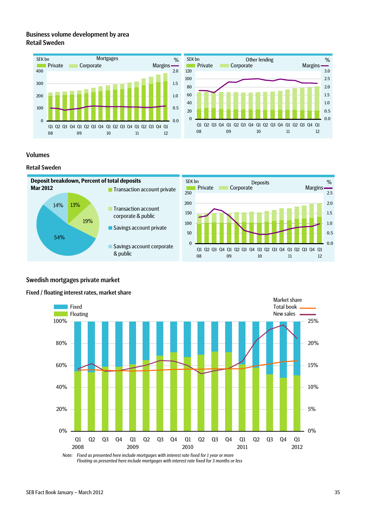### Business volume development by area Retail Sweden





### Volumes

#### Retail Sweden



## Swedish mortgages private market

#### Fixed / floating interest rates, market share



*Note: Fixed as presented here include mortgages with interest rate fixed for 1 year or more Floating as presented here include mortgages with interest rate fixed for 3 months or less*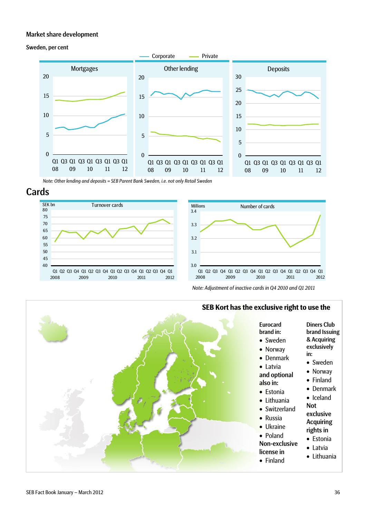#### Market share development

#### Sweden, per cent



*Note: Other lending and deposits = SEB Parent Bank Sweden, i.e. not only Retail Sweden*

# Cards





*Note: Adjustment of inactive cards in Q4 2010 and Q1 2011* 



# **SEB Kort has the exclusive right to use the**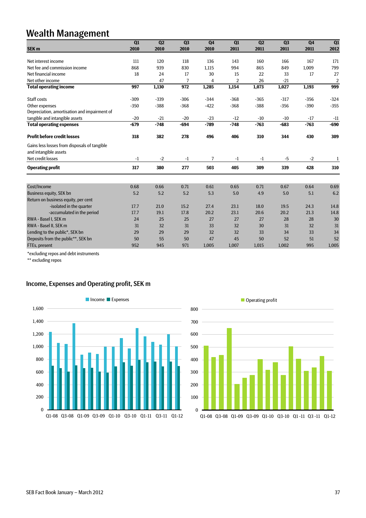# Wealth Management

|                                                                       | Q1     | Q <sub>2</sub> | Q <sub>3</sub>   | Q <sub>4</sub> | Q1             | Q2     | Q <sub>3</sub> | Q <sub>4</sub> | Q1             |
|-----------------------------------------------------------------------|--------|----------------|------------------|----------------|----------------|--------|----------------|----------------|----------------|
| <b>SEK m</b>                                                          | 2010   | 2010           | 2010             | 2010           | 2011           | 2011   | 2011           | 2011           | 2012           |
|                                                                       |        |                |                  |                |                |        |                |                |                |
| Net interest income                                                   | 111    | 120            | 118              | 136            | 143            | 160    | 166            | 167            | 171            |
| Net fee and commission income                                         | 868    | 939            | 830              | 1,115          | 994            | 865    | 849            | 1,009          | 799            |
| Net financial income                                                  | 18     | 24             | 17               | 30             | 15             | 22     | 33             | 17             | 27             |
| Net other income                                                      |        | 47             | $\overline{7}$   | 4              | $\overline{2}$ | 26     | $-21$          |                | $\overline{2}$ |
| <b>Total operating income</b>                                         | 997    | 1,130          | $\overline{972}$ | 1,285          | 1,154          | 1,073  | 1,027          | 1,193          | 999            |
| Staff costs                                                           | $-309$ | $-339$         | $-306$           | $-344$         | $-368$         | $-365$ | $-317$         | $-356$         | $-324$         |
| Other expenses                                                        | $-350$ | $-388$         | $-368$           | $-422$         | $-368$         | $-388$ | $-356$         | $-390$         | $-355$         |
| Depreciation, amortisation and impairment of                          |        |                |                  |                |                |        |                |                |                |
| tangible and intangible assets                                        | $-20$  | $-21$          | $-20$            | $-23$          | $-12$          | $-10$  | $-10$          | $-17$          | $-11$          |
| <b>Total operating expenses</b>                                       | $-679$ | $-748$         | $-694$           | $-789$         | $-748$         | $-763$ | $-683$         | $-763$         | $-690$         |
| <b>Profit before credit losses</b>                                    | 318    | 382            | 278              | 496            | 406            | 310    | 344            | 430            | 309            |
| Gains less losses from disposals of tangible<br>and intangible assets |        |                |                  |                |                |        |                |                |                |
| Net credit losses                                                     | $-1$   | $-2$           | -1               | 7              | -1             | -1     | $-5$           | $-2$           | $\mathbf{1}$   |
| <b>Operating profit</b>                                               | 317    | 380            | 277              | 503            | 405            | 309    | 339            | 428            | 310            |
|                                                                       |        |                |                  |                |                |        |                |                |                |
| Cost/Income                                                           | 0.68   | 0.66           | 0.71             | 0.61           | 0.65           | 0.71   | 0.67           | 0.64           | 0.69           |
| Business equity, SEK bn                                               | 5.2    | 5.2            | 5.2              | 5.3            | 5.0            | 4.9    | 5.0            | 5.1            | 6.2            |
| Return on business equity, per cent                                   |        |                |                  |                |                |        |                |                |                |
| -isolated in the quarter                                              | 17.7   | 21.0           | 15.2             | 27.4           | 23.1           | 18.0   | 19.5           | 24.3           | 14.8           |
| -accumulated in the period                                            | 17.7   | 19.1           | 17.8             | 20.2           | 23.1           | 20.6   | 20.2           | 21.3           | 14.8           |
| RWA - Basel I, SEK m                                                  | 24     | 25             | 25               | 27             | 27             | 27     | 28             | 28             | 30             |
| RWA - Basel II, SEK m                                                 | 31     | 32             | 31               | 33             | 32             | 30     | 31             | 32             | 31             |
| Lending to the public*, SEK bn                                        | 29     | 29             | 29               | 32             | 32             | 33     | 34             | 33             | 34             |
| Deposits from the public**, SEK bn                                    | 50     | 55             | 50               | 47             | 45             | 50     | 52             | 51             | 52             |
| FTEs, present                                                         | 952    | 945            | 971              | 1,005          | 1,007          | 1,015  | 1,002          | 995            | 1,005          |

\*excluding repos and debt instruments

\*\* excluding repos

## Income, Expenses and Operating profit, SEK m



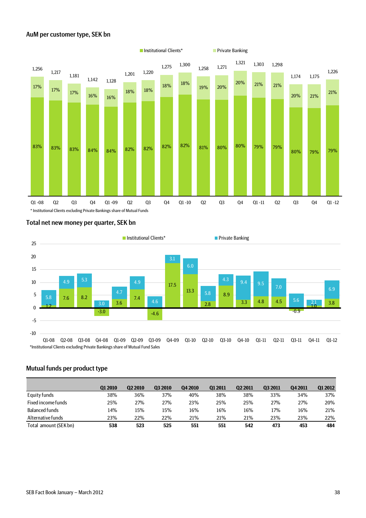#### AuM per customer type, SEK bn



#### Total net new money per quarter, SEK bn



#### Mutual funds per product type

|                       | Q1 2010 | <b>Q2 2010</b> | 03 2010 | Q4 2010 | <b>Q1 2011</b> | <b>Q2 2011</b> | <b>Q3 2011</b> | 04 2011 | 01 2012 |
|-----------------------|---------|----------------|---------|---------|----------------|----------------|----------------|---------|---------|
| Equity funds          | 38%     | 36%            | 37%     | 40%     | 38%            | 38%            | 33%            | 34%     | 37%     |
| Fixed income funds    | 25%     | 27%            | 27%     | 23%     | 25%            | 25%            | 27%            | 27%     | 20%     |
| <b>Balanced funds</b> | 14%     | 15%            | 15%     | 16%     | 16%            | 16%            | 17%            | 16%     | 21%     |
| Alternative funds     | 23%     | 22%            | 22%     | 21%     | 21%            | 21%            | 23%            | 23%     | 22%     |
| Total amount (SEK bn) | 538     | 523            | 525     | 551     | 551            | 542            | 473            | 453     | 484     |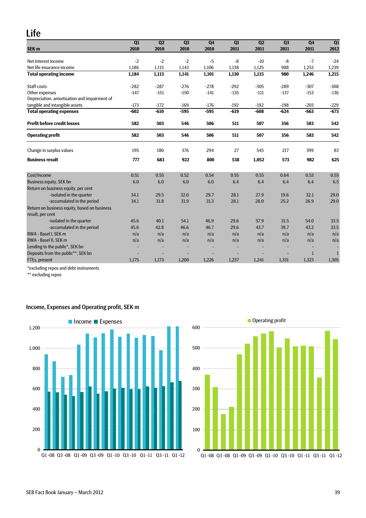# Life

|                                              | $\overline{Q1}$ | Q2     | Q3     | Q <sub>4</sub> | Q1     | Q2     | Q3     | Q <sub>4</sub> | Q1     |
|----------------------------------------------|-----------------|--------|--------|----------------|--------|--------|--------|----------------|--------|
| SEK <sub>m</sub>                             | 2010            | 2010   | 2010   | 2010           | 2011   | 2011   | 2011   | 2011           | 2012   |
| Net interest income                          | $-2$            | $-2$   | $-2$   | $-5$           | $-8$   | $-10$  | -8     | $-7$           | $-24$  |
| Net life insurance income                    | 1,186           | 1,115  | 1,143  | 1,106          | 1,138  | 1,125  | 988    | 1,253          | 1,239  |
| <b>Total operating income</b>                | 1,184           | 1,113  | 1,141  | 1,101          | 1,130  | 1,115  | 980    | 1,246          | 1,215  |
| Staff costs                                  | $-282$          | $-287$ | $-276$ | $-278$         | $-292$ | $-305$ | $-289$ | $-307$         | $-308$ |
| Other expenses                               | $-147$          | $-151$ | $-150$ | $-141$         | $-135$ | $-111$ | $-137$ | $-153$         | $-136$ |
| Depreciation, amortisation and impairment of |                 |        |        |                |        |        |        |                |        |
| tangible and intangible assets               | $-173$          | $-172$ | $-169$ | $-176$         | $-192$ | $-192$ | $-198$ | $-203$         | $-229$ |
| <b>Total operating expenses</b>              | $-602$          | $-610$ | $-595$ | $-595$         | $-619$ | $-608$ | $-624$ | $-663$         | $-673$ |
| <b>Profit before credit losses</b>           | 582             | 503    | 546    | 506            | 511    | 507    | 356    | 583            | 542    |
| <b>Operating profit</b>                      | 582             | 503    | 546    | 506            | 511    | 507    | 356    | 583            | 542    |
| Change in surplus values                     | 195             | 180    | 376    | 294            | 27     | 545    | 217    | 399            | 83     |
| <b>Business result</b>                       | 777             | 683    | 922    | 800            | 538    | 1.052  | 573    | 982            | 625    |
| Cost/Income                                  | 0.51            | 0.55   | 0.52   | 0.54           | 0.55   | 0.55   | 0.64   | 0.53           | 0.55   |
| <b>Business equity, SEK bn</b>               | 6.0             | 6.0    | 6.0    | 6.0            | 6.4    | 6.4    | 6.4    | 6.4            | 6.5    |
| Return on business equity, per cent          |                 |        |        |                |        |        |        |                |        |
| -isolated in the quarter                     | 34.1            | 29.5   | 32.0   | 29.7           | 28.1   | 27.9   | 19.6   | 32.1           | 29.0   |
| -accumulated in the period                   | 34.1            | 31.8   | 31.9   | 31.3           | 28.1   | 28.0   | 25.2   | 26.9           | 29.0   |
| Return on business equity, based on business |                 |        |        |                |        |        |        |                |        |
| result, per cent                             |                 |        |        |                |        |        |        |                |        |
| -isolated in the quarter                     | 45.6            | 40.1   | 54.1   | 46.9           | 29.6   | 57.9   | 31.5   | 54.0           | 33.5   |
| -accumulated in the period                   | 45.6            | 42.8   | 46.6   | 46.7           | 29.6   | 43.7   | 39.7   | 43.2           | 33.5   |
| RWA - Basel I. SEK m                         | n/a             | n/a    | n/a    | n/a            | n/a    | n/a    | n/a    | n/a            | n/a    |
| RWA - Basel II, SEK m                        | n/a             | n/a    | n/a    | n/a            | n/a    | n/a    | n/a    | n/a            | n/a    |
| Lending to the public*, SEK bn               |                 |        |        |                |        |        |        |                |        |
| Deposits from the public**, SEK bn           |                 |        |        |                |        |        |        | $\mathbf{1}$   |        |
| FTEs, present                                | 1,175           | 1,173  | 1,200  | 1,226          | 1,237  | 1,241  | 1,331  | 1,323          | 1,305  |

\*excluding repos and debt instruments

\*\* excluding repos

# Income, Expenses and Operating profit, SEK m



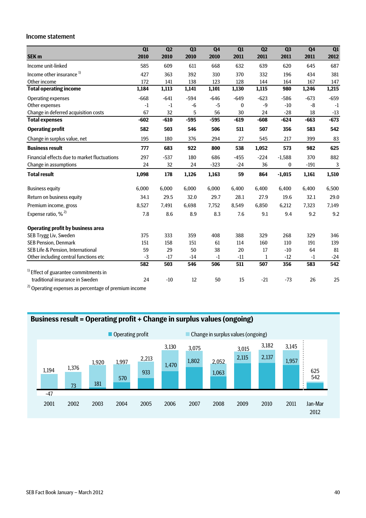#### Income statement

|                                                                           | Q1     | Q2     | Q <sub>3</sub> | Q <sub>4</sub> | Q1     | Q2           | Q <sub>3</sub> | Q <sub>4</sub> | Q1           |
|---------------------------------------------------------------------------|--------|--------|----------------|----------------|--------|--------------|----------------|----------------|--------------|
| SEK <sub>m</sub>                                                          | 2010   | 2010   | 2010           | 2010           | 2011   | 2011         | 2011           | 2011           | 2012         |
| Income unit-linked                                                        | 585    | 609    | 611            | 668            | 632    | 639          | 620            | 645            | 687          |
| Income other insurance <sup>1)</sup>                                      | 427    | 363    | 392            | 310            | 370    | 332          | 196            | 434            | 381          |
| Other income                                                              | 172    | 141    | 138            | 123            | 128    | 144          | 164            | 167            | 147          |
| <b>Total operating income</b>                                             | 1,184  | 1,113  | 1,141          | 1,101          | 1,130  | 1,115        | 980            | 1,246          | 1,215        |
| Operating expenses                                                        | $-668$ | $-641$ | $-594$         | $-646$         | $-649$ | $-623$       | $-586$         | $-673$         | $-659$       |
| Other expenses                                                            | $-1$   | $-1$   | -6             | $-5$           | 0      | $-9$         | $-10$          | -8             | $-1$         |
| Change in deferred acquisition costs                                      | 67     | 32     | 5              | 56             | 30     | 24           | $-28$          | 18             | $-13$        |
| <b>Total expenses</b>                                                     | $-602$ | $-610$ | $-595$         | $-595$         | $-619$ | $-608$       | $-624$         | $-663$         | $-673$       |
| <b>Operating profit</b>                                                   | 582    | 503    | 546            | 506            | 511    | 507          | 356            | 583            | 542          |
| Change in surplus value, net                                              | 195    | 180    | 376            | 294            | 27     | 545          | 217            | 399            | 83           |
| <b>Business result</b>                                                    | 777    | 683    | 922            | 800            | 538    | 1,052        | 573            | 982            | 625          |
| Financial effects due to market fluctuations                              | 297    | $-537$ | 180            | 686            | $-455$ | $-224$       | $-1,588$       | 370            | 882          |
| Change in assumptions                                                     | 24     | 32     | 24             | $-323$         | $-24$  | 36           | 0              | $-191$         | $\mathbf{3}$ |
| <b>Total result</b>                                                       | 1,098  | 178    | 1,126          | 1,163          | 59     | 864          | $-1,015$       | 1,161          | 1,510        |
| <b>Business equity</b>                                                    | 6,000  | 6,000  | 6,000          | 6,000          | 6,400  | 6,400        | 6,400          | 6,400          | 6,500        |
| Return on business equity                                                 | 34.1   | 29.5   | 32.0           | 29.7           | 28.1   | 27.9         | 19.6           | 32.1           | 29.0         |
| Premium income, gross                                                     | 8,527  | 7,491  | 6,698          | 7,752          | 8,549  | 6,850        | 6,212          | 7,323          | 7,149        |
| Expense ratio, % <sup>2)</sup>                                            | 7.8    | 8.6    | 8.9            | 8.3            | 7.6    | 9.1          | 9.4            | 9.2            | 9.2          |
| <b>Operating profit by business area</b>                                  |        |        |                |                |        |              |                |                |              |
| SEB Trygg Liv, Sweden                                                     | 375    | 333    | 359            | 408            | 388    | 329          | 268            | 329            | 346          |
| <b>SEB Pension, Denmark</b>                                               | 151    | 158    | 151            | 61             | 114    | 160          | 110            | 191            | 139          |
| SEB Life & Pension, International                                         | 59     | 29     | 50             | 38             | 20     | 17           | $-10$          | 64             | 81           |
| Other including central functions etc                                     | $-3$   | $-17$  | $-14$          | $-1$           | $-11$  | $\mathbf{1}$ | $-12$          | $-1$           | $-24$        |
|                                                                           | 582    | 503    | 546            | 506            | 511    | 507          | 356            | 583            | 542          |
| $1$ Effect of guarantee commitments in<br>traditional insurance in Sweden | 24     | $-10$  | 12             | 50             | 15     | $-21$        | $-73$          | 26             | 25           |
| $2)$ $\sim$<br>$\epsilon$ .                                               |        |        |                |                |        |              |                |                |              |

 $^{2)}$  Operating expenses as percentage of premium income

# **Business result = Operating profit + Change in surplus values (ongoing)**

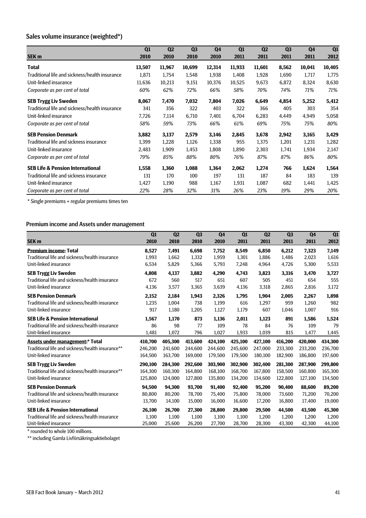# Sales volume insurance (weighted\*)

|                                                | Q1     | Q <sub>2</sub> | Q <sub>3</sub> | Q <sub>4</sub> | Q <sub>1</sub> | Q <sub>2</sub> | Q <sub>3</sub> | Q <sub>4</sub> | Q <sub>1</sub> |
|------------------------------------------------|--------|----------------|----------------|----------------|----------------|----------------|----------------|----------------|----------------|
| SEK <sub>m</sub>                               | 2010   | 2010           | 2010           | 2010           | 2011           | 2011           | 2011           | 2011           | 2012           |
| Total                                          | 13,507 | 11,967         | 10,699         | 12,314         | 11,933         | 11,601         | 8,562          | 10,041         | 10,405         |
| Traditional life and sickness/health insurance | 1,871  | 1,754          | 1,548          | 1,938          | 1,408          | 1,928          | 1,690          | 1,717          | 1,775          |
| Unit-linked insurance                          | 11,636 | 10,213         | 9,151          | 10,376         | 10,525         | 9,673          | 6,872          | 8,324          | 8,630          |
| Corporate as per cent of total                 | 60%    | 62%            | 72%            | 66%            | 58%            | 70%            | 74%            | 71%            | 71%            |
| <b>SEB Trygg Liv Sweden</b>                    | 8,067  | 7,470          | 7,032          | 7,804          | 7,026          | 6,649          | 4,854          | 5,252          | 5,412          |
| Traditional life and sickness/health insurance | 341    | 356            | 322            | 403            | 322            | 366            | 405            | 303            | 354            |
| Unit-linked insurance                          | 7,726  | 7,114          | 6,710          | 7,401          | 6,704          | 6,283          | 4,449          | 4,949          | 5,058          |
| Corporate as per cent of total                 | 58%    | 59%            | 73%            | 66%            | 61%            | 69%            | 75%            | 75%            | 80%            |
| <b>SEB Pension Denmark</b>                     | 3,882  | 3,137          | 2,579          | 3,146          | 2,845          | 3,678          | 2,942          | 3,165          | 3,429          |
| Traditional life and sickness insurance        | 1,399  | 1,228          | 1,126          | 1,338          | 955            | 1,375          | 1,201          | 1,231          | 1,282          |
| Unit-linked insurance                          | 2,483  | 1,909          | 1,453          | 1,808          | 1,890          | 2,303          | 1,741          | 1,934          | 2,147          |
| Corporate as per cent of total                 | 79%    | 85%            | 88%            | 80%            | 76%            | 87%            | 87%            | 86%            | 80%            |
| <b>SEB Life &amp; Pension International</b>    | 1,558  | 1,360          | 1,088          | 1,364          | 2,062          | 1,274          | 766            | 1,624          | 1,564          |
| Traditional life and sickness insurance        | 131    | 170            | 100            | 197            | 131            | 187            | 84             | 183            | 139            |
| Unit-linked insurance                          | 1,427  | 1,190          | 988            | 1,167          | 1,931          | 1,087          | 682            | 1,441          | 1,425          |
| Corporate as per cent of total                 | 22%    | 28%            | 32%            | 31%            | 26%            | 23%            | 19%            | 29%            | 20%            |

\* Single premiums + regular premiums times ten

### Premium income and Assets under management

|                                                  | Q1      | Q2      | Q <sub>3</sub> | Q <sub>4</sub> | Q1      | Q <sub>2</sub> | Q <sub>3</sub> | Q <sub>4</sub> | Q1      |
|--------------------------------------------------|---------|---------|----------------|----------------|---------|----------------|----------------|----------------|---------|
| SEK <sub>m</sub>                                 | 2010    | 2010    | 2010           | 2010           | 2011    | 2011           | 2011           | 2011           | 2012    |
| <b>Premium income: Total</b>                     | 8,527   | 7,491   | 6,698          | 7,752          | 8,549   | 6,850          | 6,212          | 7,323          | 7,149   |
| Traditional life and sickness/health insurance   | 1,993   | 1,662   | 1,332          | 1,959          | 1,301   | 1,886          | 1,486          | 2,023          | 1,616   |
| Unit-linked insurance                            | 6,534   | 5,829   | 5,366          | 5,793          | 7,248   | 4,964          | 4,726          | 5,300          | 5,533   |
| <b>SEB Trygg Liv Sweden</b>                      | 4,808   | 4,137   | 3,882          | 4,290          | 4,743   | 3,823          | 3,316          | 3,470          | 3,727   |
| Traditional life and sickness/health insurance   | 672     | 560     | 517            | 651            | 607     | 505            | 451            | 654            | 555     |
| Unit-linked insurance                            | 4,136   | 3,577   | 3,365          | 3,639          | 4,136   | 3,318          | 2,865          | 2,816          | 3,172   |
| <b>SEB Pension Denmark</b>                       | 2,152   | 2,184   | 1,943          | 2,326          | 1,795   | 1,904          | 2,005          | 2,267          | 1,898   |
| Traditional life and sickness/health insurance   | 1,235   | 1,004   | 738            | 1,199          | 616     | 1,297          | 959            | 1,260          | 982     |
| Unit-linked insurance                            | 917     | 1,180   | 1,205          | 1,127          | 1,179   | 607            | 1,046          | 1,007          | 916     |
| <b>SEB Life &amp; Pension International</b>      | 1,567   | 1,170   | 873            | 1,136          | 2,011   | 1,123          | 891            | 1,586          | 1,524   |
| Traditional life and sickness/health insurance   | 86      | 98      | 77             | 109            | 78      | 84             | 76             | 109            | 79      |
| Unit-linked insurance                            | 1,481   | 1,072   | 796            | 1,027          | 1,933   | 1,039          | 815            | 1,477          | 1,445   |
| <b>Assets under management:* Total</b>           | 410,700 | 405,300 | 413,600        | 424,100        | 425,100 | 427,100        | 416,200        | 420,000        | 434,300 |
| Traditional life and sickness/health insurance** | 246,200 | 241,600 | 244.600        | 244,600        | 245,600 | 247,000        | 233,300        | 233,200        | 236,700 |
| Unit-linked insurance                            | 164,500 | 163,700 | 169,000        | 179,500        | 179,500 | 180,100        | 182,900        | 186,800        | 197,600 |
| <b>SEB Trygg Liv Sweden</b>                      | 290,100 | 284,300 | 292,600        | 303,900        | 302,900 | 302,400        | 281,300        | 287,900        | 299,800 |
| Traditional life and sickness/health insurance** | 164,300 | 160,300 | 164.800        | 168.100        | 168,700 | 167.800        | 158.500        | 160,800        | 165,300 |
| Unit-linked insurance                            | 125.800 | 124,000 | 127,800        | 135,800        | 134,200 | 134,600        | 122,800        | 127,100        | 134,500 |
| <b>SEB Pension Denmark</b>                       | 94,500  | 94,300  | 93,700         | 91,400         | 92,400  | 95,200         | 90,400         | 88,600         | 89,200  |
| Traditional life and sickness/health insurance   | 80.800  | 80,200  | 78,700         | 75,400         | 75,800  | 78,000         | 73.600         | 71,200         | 70,200  |
| Unit-linked insurance                            | 13,700  | 14,100  | 15,000         | 16,000         | 16,600  | 17,200         | 16,800         | 17,400         | 19,000  |
| <b>SEB Life &amp; Pension International</b>      | 26,100  | 26,700  | 27,300         | 28,800         | 29,800  | 29,500         | 44,500         | 43,500         | 45,300  |
| Traditional life and sickness/health insurance   | 1,100   | 1,100   | 1,100          | 1,100          | 1,100   | 1,200          | 1,200          | 1,200          | 1,200   |
| Unit-linked insurance                            | 25.000  | 25.600  | 26.200         | 27.700         | 28.700  | 28.300         | 43.300         | 42.300         | 44,100  |

\* rounded to whole 100 millions.

\*\* including Gamla Livförsäkringsaktiebolaget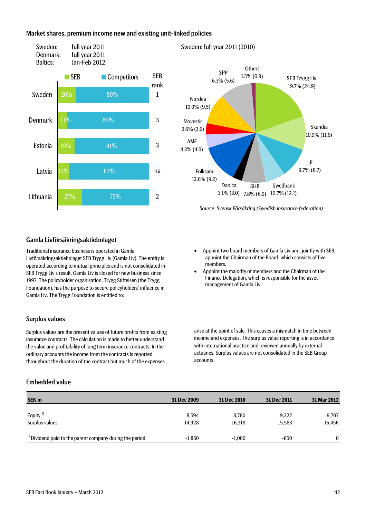#### Market shares, premium income new and existing unit-linked policies



#### Sweden: full year 2011 (2010)



*Source: Svensk Försäkring (Swedish insurance federation)*

### Gamla Livförsäkringsaktiebolaget

Traditional insurance business is operated in Gamla Livförsäkringsaktiebolaget SEB Trygg Liv (Gamla Liv). The entity is operated according to mutual principles and is not consolidated in SEB Trygg Liv's result. Gamla Liv is closed for new business since 1997. The policyholder organisation, Trygg Stiftelsen (the Trygg Foundation), has the purpose to secure policyholders' influence in Gamla Liv. The Trygg Foundation is entitled to:

#### Surplus values

Surplus values are the present values of future profits from existing insurance contracts. The calculation is made to better understand the value and profitability of long term insurance contracts. In the ordinary accounts the income from the contracts is reported throughout the duration of the contract but much of the expenses

## Embedded value

- Appoint two board members of Gamla Liv and, jointly with SEB, appoint the Chairman of the Board, which consists of five members.
- Appoint the majority of members and the Chairman of the Finance Delegation, which is responsible for the asset management of Gamla Liv.

arise at the point of sale. This causes a mismatch in time between income and expenses. The surplus value reporting is in accordance with international practice and reviewed annually by external actuaries. Surplus values are not consolidated in the SEB Group accounts.

| SEK <sub>m</sub>                                                    | 31 Dec 2009 | 31 Dec 2010 | 31 Dec 2011 | 31 Mar 2012 |
|---------------------------------------------------------------------|-------------|-------------|-------------|-------------|
| Equity <sup>1)</sup>                                                | 8.594       | 8.780       | 9.322       | 9,707       |
| Surplus values                                                      | 14.928      | 16,318      | 15,583      | 16,456      |
| <sup>1)</sup> Dividend paid to the parent company during the period | $-1.850$    | $-1.000$    | $-850$      | 0           |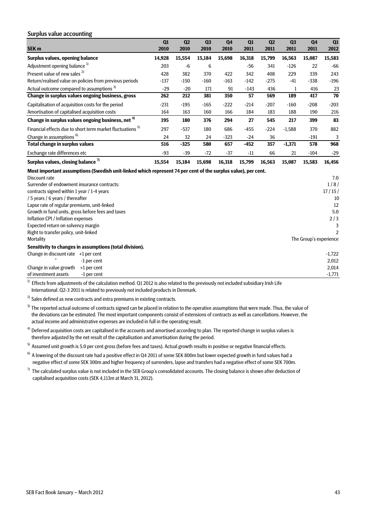#### Surplus value accounting

|                                                                                                              | Q1     | Q2     | Q <sub>3</sub> | Q <sub>4</sub> | Q1     | Q2     | Q <sub>3</sub> | Q <sub>4</sub>         | Q1             |
|--------------------------------------------------------------------------------------------------------------|--------|--------|----------------|----------------|--------|--------|----------------|------------------------|----------------|
| <b>SEK m</b>                                                                                                 | 2010   | 2010   | 2010           | 2010           | 2011   | 2011   | 2011           | 2011                   | 2012           |
| Surplus values, opening balance                                                                              | 14,928 | 15,554 | 15,184         | 15,698         | 16,318 | 15,799 | 16,563         | 15,087                 | 15,583         |
| Adjustment opening balance <sup>1)</sup>                                                                     | 203    | $-6$   | 6              |                | $-56$  | 341    | $-126$         | 22                     | $-66$          |
| Present value of new sales <sup>2)</sup>                                                                     | 428    | 382    | 370            | 422            | 342    | 408    | 229            | 339                    | 243            |
| Return/realised value on policies from previous periods                                                      | $-137$ | $-150$ | $-160$         | $-163$         | $-142$ | $-275$ | $-41$          | $-338$                 | $-196$         |
| Actual outcome compared to assumptions <sup>3)</sup>                                                         | $-29$  | $-20$  | 171            | 91             | $-143$ | 436    | 1              | 416                    | 23             |
| Change in surplus values ongoing business, gross                                                             | 262    | 212    | 381            | 350            | 57     | 569    | 189            | 417                    | 70             |
| Capitalisation of acquisition costs for the period                                                           | $-231$ | $-195$ | $-165$         | $-222$         | $-214$ | $-207$ | $-160$         | $-208$                 | $-203$         |
| Amortisation of capitalised acquisition costs                                                                | 164    | 163    | 160            | 166            | 184    | 183    | 188            | 190                    | 216            |
| Change in surplus values ongoing business, net <sup>4)</sup>                                                 | 195    | 180    | 376            | 294            | 27     | 545    | 217            | 399                    | 83             |
| Financial effects due to short term market fluctuations <sup>5)</sup>                                        | 297    | $-537$ | 180            | 686            | $-455$ | $-224$ | $-1,588$       | 370                    | 882            |
| Change in assumptions <sup>6)</sup>                                                                          | 24     | 32     | 24             | $-323$         | $-24$  | 36     |                | $-191$                 | 3              |
| Total change in surplus values                                                                               | 516    | $-325$ | 580            | 657            | $-452$ | 357    | $-1,371$       | 578                    | 968            |
| Exchange rate differences etc                                                                                | $-93$  | $-39$  | $-72$          | $-37$          | $-11$  | 66     | 21             | $-104$                 | $-29$          |
| Surplus values, closing balance <sup>7)</sup>                                                                | 15,554 | 15,184 | 15,698         | 16,318         | 15,799 | 16,563 | 15,087         | 15,583                 | 16,456         |
| Most important assumptions (Swedish unit-linked which represent 74 per cent of the surplus value), per cent. |        |        |                |                |        |        |                |                        |                |
| Discount rate                                                                                                |        |        |                |                |        |        |                |                        | 7.0            |
| Surrender of endowment insurance contracts:                                                                  |        |        |                |                |        |        |                |                        | 1/8/           |
| contracts signed within 1 year / 1-4 years                                                                   |        |        |                |                |        |        |                |                        | 17/15/         |
| / 5 years / 6 years / thereafter                                                                             |        |        |                |                |        |        |                |                        | 10             |
| Lapse rate of regular premiums, unit-linked                                                                  |        |        |                |                |        |        |                |                        | 12             |
| Growth in fund units, gross before fees and taxes                                                            |        |        |                |                |        |        |                |                        | 5.0            |
| Inflation CPI / Inflation expenses                                                                           |        |        |                |                |        |        |                |                        | 2/3            |
| Expected return on solvency margin                                                                           |        |        |                |                |        |        |                |                        | 3              |
| Right to transfer policy, unit-linked                                                                        |        |        |                |                |        |        |                |                        | $\mathfrak{p}$ |
| Mortality                                                                                                    |        |        |                |                |        |        |                | The Group's experience |                |

**Sensitivity to changes in assumptions (total division).** Change in discount rate  $+1$  per cent  $-1,722$ 

" -1 per cent 2,012 Change in value growth +1 per cent 2,014 of investment assets  $-1$  per cent  $-1,771$ 

 $1)$  Effects from adjustments of the calculation method. Q1 2012 is also related to the previously not included subsidiary Irish Life International. Q2-3 2011 is related to previously not included products in Denmark.

 $^{2)}$  Sales defined as new contracts and extra premiums in existing contracts.

<sup>3)</sup> The reported actual outcome of contracts signed can be placed in relation to the operative assumptions that were made. Thus, the value of the deviations can be estimated. The most important components consist of extensions of contracts as well as cancellations. However, the actual income and administrative expenses are included in full in the operating result.

 $4)$  Deferred acquisition costs are capitalised in the accounts and amortised according to plan. The reported change in surplus values is therefore adjusted by the net result of the capitalisation and amortisation during the period.

<sup>5)</sup> Assumed unit growth is 5.0 per cent gross (before fees and taxes). Actual growth results in positive or negative financial effects.

 $6)$  A lowering of the discount rate had a positive effect in Q4 2011 of some SEK 800m but lower expected growth in fund values had a negative effect of some SEK 300m and higher frequency of surrenders, lapse and transfers had a negative effect of some SEK 700m.

 $7)$  The calculated surplus value is not included in the SEB Group's consolidated accounts. The closing balance is shown after deduction of capitalised acquisition costs (SEK 4,113m at March 31, 2012).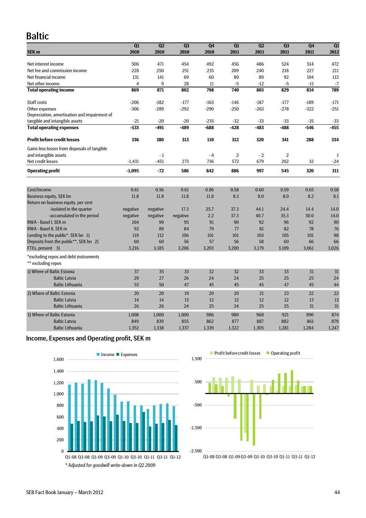# Baltic

|                                                             | Q1             | Q2       | Q <sub>3</sub> | Q4     | Q1             | Q2     | Q <sub>3</sub> | Q4     | Q1     |
|-------------------------------------------------------------|----------------|----------|----------------|--------|----------------|--------|----------------|--------|--------|
| SEK <sub>m</sub>                                            | 2010           | 2010     | 2010           | 2010   | 2011           | 2011   | 2011           | 2011   | 2012   |
| Net interest income                                         | 506            | 471      | 454            | 492    | 456            | 486    | 524            | 514    | 472    |
| Net fee and commission income                               | 228            | 250      | 251            | 235    | 209            | 240    | 218            | 227    | 211    |
| Net financial income                                        | 131            | 141      | 69             | 60     | 80             | 89     | 92             | 104    | 113    |
| Net other income                                            | $\overline{4}$ | 9        | 28             | 11     | $-5$           | $-12$  | $-5$           | $-11$  | $-7$   |
| <b>Total operating income</b>                               | 869            | 871      | 802            | 798    | 740            | 803    | 829            | 834    | 789    |
| Staff costs                                                 | $-206$         | $-182$   | $-177$         | $-163$ | $-146$         | $-187$ | $-177$         | $-189$ | $-171$ |
| Other expenses                                              | $-306$         | $-289$   | $-292$         | $-290$ | $-250$         | $-263$ | $-278$         | $-322$ | $-251$ |
| Depreciation, amortisation and impairment of                |                |          |                |        |                |        |                |        |        |
| tangible and intangible assets                              | $-21$          | $-20$    | $-20$          | $-235$ | $-32$          | $-33$  | $-33$          | $-35$  | $-33$  |
| <b>Total operating expenses</b>                             | $-533$         | $-491$   | $-489$         | $-688$ | $-428$         | $-483$ | $-488$         | $-546$ | $-455$ |
| <b>Profit before credit losses</b>                          | 336            | 380      | 313            | 110    | 312            | 320    | 341            | 288    | 334    |
| Gains less losses from disposals of tangible                |                |          |                |        |                |        |                |        |        |
| and intangible assets                                       |                | $-1$     |                | $-4$   | $\overline{2}$ | $-2$   | $\overline{2}$ |        | 1      |
| Net credit losses                                           | $-1,431$       | $-451$   | 273            | 736    | 572            | 679    | 202            | 32     | $-24$  |
| <b>Operating profit</b>                                     | $-1,095$       | $-72$    | 586            | 842    | 886            | 997    | 545            | 320    | 311    |
|                                                             |                |          |                |        |                |        |                |        |        |
| Cost/Income                                                 | 0.61           | 0.56     | 0.61           | 0.86   | 0.58           | 0.60   | 0.59           | 0.65   | 0.58   |
| Business equity, SEK bn                                     | 11.8           | 11.8     | 11.8           | 11.8   | 8.3            | 8.0    | 8.0            | 8.2    | 8.1    |
| Return on business equity, per cent                         |                |          |                |        |                |        |                |        |        |
| -isolated in the quarter                                    | negative       | negative | 17.3           | 25.7   | 37.3           | 44.1   | 24.4           | 14.4   | 14.0   |
| -accumulated in the period                                  | negative       | negative | negative       | 2.2    | 37.3           | 40.7   | 35.3           | 30.0   | 14.0   |
| RWA - Basel I, SEK m                                        | 104            | 99       | 95             | 91     | 90             | 92     | 96             | 92     | 90     |
| RWA - Basel II. SEK m                                       | 92             | 89       | 84             | 79     | 77             | 81     | 82             | 78     | 76     |
| Lending to the public*, SEK bn 1)                           | 119            | 112      | 106            | 101    | 101            | 103    | 105            | 101    | 98     |
| Deposits from the public**, SEK bn 2)                       | 60             | 60       | 56             | 57     | 56             | 58     | 60             | 66     | 66     |
| FTEs, present 3)                                            | 3.216          | 3.185    | 3,206          | 3,203  | 3,200          | 3,179  | 3,109          | 3,061  | 3.026  |
| *excluding repos and debt instruments<br>** excluding repos |                |          |                |        |                |        |                |        |        |
| 1) Where of Baltic Estonia                                  | 37             | 35       | 33             | 32     | 32             | 33     | 33             | 31     | 31     |
| <b>Baltic Latvia</b>                                        | 29             | 27       | 26             | 24     | 24             | 25     | 25             | 25     | 24     |
| <b>Baltic Lithuania</b>                                     | 53             | 50       | 47             | 45     | 45             | 45     | 47             | 45     | 44     |
| 2) Where of Baltic Estonia                                  | 20             | 20       | 19             | 20     | 20             | 21     | 23             | 22     | 22     |
| <b>Baltic Latvia</b>                                        | 14             | 14       | 13             | 12     | 12             | 12     | 12             | 13     | 13     |
| <b>Baltic Lithuania</b>                                     | 26             | 26       | 24             | 25     | 24             | 25     | 25             | 31     | 31     |
| 3) Where of Baltic Estonia                                  | 1.008          | 1.000    | 1.000          | 986    | 980            | 968    | 921            | 890    | 874    |
| <b>Baltic Latvia</b>                                        | 849            | 839      | 855            | 862    | 877            | 887    | 882            | 861    | 879    |
| <b>Baltic Lithuania</b>                                     | 1.352          | 1.338    | 1.337          | 1.339  | 1.322          | 1,305  | 1.281          | 1.284  | 1,247  |

# Income, Expenses and Operating profit, SEK m



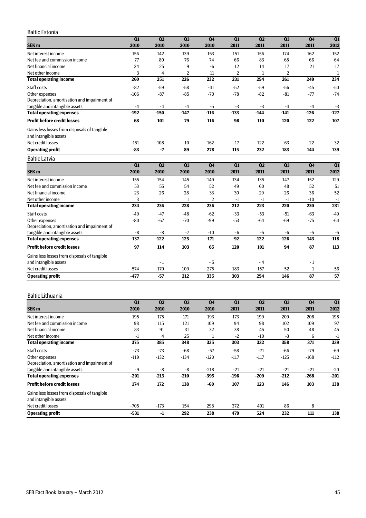#### Baltic Estonia

|                                              | $\overline{Q1}$ | Q2     | Q <sub>3</sub> | Q <sub>4</sub> | Q1             | Q2     | Q3             | Q <sub>4</sub> | Q1     |
|----------------------------------------------|-----------------|--------|----------------|----------------|----------------|--------|----------------|----------------|--------|
| SEK <sub>m</sub>                             | 2010            | 2010   | 2010           | 2010           | 2011           | 2011   | 2011           | 2011           | 2012   |
| Net interest income                          | 156             | 142    | 139            | 153            | 151            | 156    | 174            | 162            | 152    |
| Net fee and commission income                | 77              | 80     | 76             | 74             | 66             | 83     | 68             | 66             | 64     |
| Net financial income                         | 24              | 25     | 9              | $-6$           | 12             | 14     | 17             | 21             | 17     |
| Net other income                             | 3               | 4      | 2              | 11             | $\overline{2}$ | 1      | $\overline{2}$ |                | 1      |
| <b>Total operating income</b>                | 260             | 251    | 226            | 232            | 231            | 254    | 261            | 249            | 234    |
| Staff costs                                  | $-82$           | $-59$  | $-58$          | $-41$          | $-52$          | $-59$  | $-56$          | $-45$          | $-50$  |
| Other expenses                               | $-106$          | $-87$  | $-85$          | $-70$          | $-78$          | $-82$  | $-81$          | $-77$          | $-74$  |
| Depreciation, amortisation and impairment of |                 |        |                |                |                |        |                |                |        |
| tangible and intangible assets               | $-4$            | $-4$   | $-4$           | $-5$           | $-3$           | $-3$   | $-4$           | $-4$           | $-3$   |
| <b>Total operating expenses</b>              | $-192$          | $-150$ | $-147$         | $-116$         | $-133$         | $-144$ | $-141$         | $-126$         | $-127$ |
| <b>Profit before credit losses</b>           | 68              | 101    | 79             | 116            | 98             | 110    | 120            | 122            | 107    |
| Gains less losses from disposals of tangible |                 |        |                |                |                |        |                |                |        |
| and intangible assets                        |                 |        |                |                |                |        |                |                |        |
| Net credit losses                            | $-151$          | $-108$ | 10             | 162            | 17             | 122    | 63             | 22             | 32     |
| <b>Operating profit</b>                      | $-83$           | $-7$   | 89             | 278            | 115            | 232    | 183            | 144            | 139    |
| <b>Baltic Latvia</b>                         |                 |        |                |                |                |        |                |                |        |
|                                              | $\overline{Q1}$ | Q2     | Q3             | Q <sub>4</sub> | Q1             | Q2     | Q3             | Q4             | Q1     |
| SEK <sub>m</sub>                             | 2010            | 2010   | 2010           | 2010           | 2011           | 2011   | 2011           | 2011           | 2012   |
| Net interest income                          | 155             | 154    | 145            | 149            | 134            | 135    | 147            | 152            | 129    |
| Net fee and commission income                | 53              | 55     | 54             | 52             | 49             | 60     | 48             | 52             | 51     |
| Net financial income                         | 23              | 26     | 28             | 33             | 30             | 29     | 26             | 36             | 52     |
| Net other income                             | 3               | 1      | 1              | $\overline{2}$ | $-1$           | $-1$   | $-1$           | $-10$          | $-1$   |
| <b>Total operating income</b>                | 234             | 236    | 228            | 236            | 212            | 223    | 220            | 230            | 231    |
| Staff costs                                  | $-49$           | $-47$  | $-48$          | $-62$          | $-33$          | $-53$  | $-51$          | $-63$          | $-49$  |
| Other expenses                               | $-80$           | $-67$  | $-70$          | $-99$          | $-53$          | $-64$  | $-69$          | $-75$          | $-64$  |
| Depreciation, amortisation and impairment of |                 |        |                |                |                |        |                |                |        |
| tangible and intangible assets               | -8              | -8     | $-7$           | $-10$          | $-6$           | $-5$   | $-6$           | $-5$           | $-5$   |
| <b>Total operating expenses</b>              | $-137$          | $-122$ | $-125$         | $-171$         | $-92$          | $-122$ | $-126$         | $-143$         | $-118$ |
| <b>Profit before credit losses</b>           | 97              | 114    | 103            | 65             | 120            | 101    | 94             | 87             | 113    |
| Gains less losses from disposals of tangible |                 |        |                |                |                |        |                |                |        |
| and intangible assets                        |                 | $-1$   |                | $-5$           |                | $-4$   |                | $-1$           |        |
| Net credit losses                            | $-574$          | $-170$ | 109            | 275            | 183            | 157    | 52             | $\mathbf{1}$   | $-56$  |
| <b>Operating profit</b>                      | $-477$          | $-57$  | 212            | 335            | 303            | 254    | 146            | 87             | 57     |

#### Baltic Lithuania

|                                              | Q1     | Q <sub>2</sub> | Q <sub>3</sub> | Q <sub>4</sub> | Q1     | Q <sub>2</sub> | Q <sub>3</sub> | Q <sub>4</sub> | Q1     |
|----------------------------------------------|--------|----------------|----------------|----------------|--------|----------------|----------------|----------------|--------|
| SEK <sub>m</sub>                             | 2010   | 2010           | 2010           | 2010           | 2011   | 2011           | 2011           | 2011           | 2012   |
| Net interest income                          | 195    | 175            | 171            | 193            | 173    | 199            | 209            | 208            | 198    |
| Net fee and commission income                | 98     | 115            | 121            | 109            | 94     | 98             | 102            | 109            | 97     |
| Net financial income                         | 83     | 91             | 31             | 32             | 38     | 45             | 50             | 48             | 45     |
| Net other income                             | $-1$   | 4              | 25             | 1              | $-2$   | $-10$          | $-3$           | 6              | $-1$   |
| <b>Total operating income</b>                | 375    | 385            | 348            | 335            | 303    | 332            | 358            | 371            | 339    |
| Staff costs                                  | $-73$  | $-73$          | $-68$          | $-57$          | $-58$  | $-71$          | $-66$          | $-79$          | $-69$  |
| Other expenses                               | $-119$ | $-132$         | $-134$         | $-120$         | $-117$ | $-117$         | $-125$         | $-168$         | $-112$ |
| Depreciation, amortisation and impairment of |        |                |                |                |        |                |                |                |        |
| tangible and intangible assets               | -9     | -8             | -8             | $-218$         | $-21$  | $-21$          | $-21$          | $-21$          | $-20$  |
| <b>Total operating expenses</b>              | $-201$ | $-213$         | $-210$         | -395           | -196   | $-209$         | $-212$         | -268           | $-201$ |
| <b>Profit before credit losses</b>           | 174    | 172            | 138            | -60            | 107    | 123            | 146            | 103            | 138    |
| Gains less losses from disposals of tangible |        |                |                |                |        |                |                |                |        |
| and intangible assets                        |        |                |                |                |        |                |                |                |        |
| Net credit losses                            | $-705$ | $-173$         | 154            | 298            | 372    | 401            | 86             | 8              |        |
| <b>Operating profit</b>                      | $-531$ | -1             | 292            | 238            | 479    | 524            | 232            | 111            | 138    |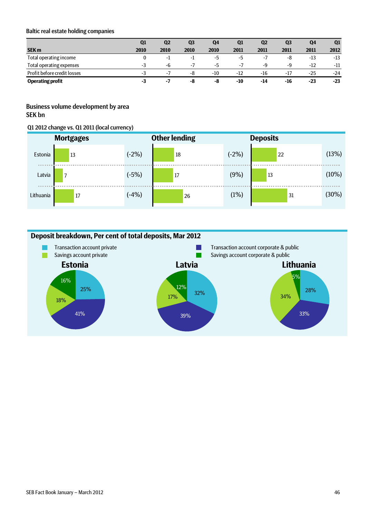#### Baltic real estate holding companies

|                             | Q1   | Q2               | Q3   | Q4    | Q1    | Q <sub>2</sub> | Q <sub>3</sub> | Q4    | Q1    |
|-----------------------------|------|------------------|------|-------|-------|----------------|----------------|-------|-------|
| <b>SEK m</b>                | 2010 | 2010             | 2010 | 2010  | 2011  | 2011           | 2011           | 2011  | 2012  |
| Total operating income      |      | ÷1.              | ΞĪ.  | -5    | -5    | $-1$           | -8             | -13   | $-13$ |
| Total operating expenses    | - <  | -6               | $-1$ | -5    | $-1$  | -9             | -9             | $-12$ | -11   |
| Profit before credit losses | -3   | $\sim$ $\lambda$ | -8   | $-10$ | $-12$ | $-16$          | $-17$          | $-25$ | $-24$ |
| <b>Operating profit</b>     | -3   | - 1              | -8   | -8    | -10   | -14            | -16            | $-23$ | $-23$ |

## Business volume development by area SEK bn

#### Q1 2012 change vs. Q1 2011 (local currency)

|           | <b>Mortgages</b> | <b>Other lending</b> |    | <b>Deposits</b> |    |       |  |  |
|-----------|------------------|----------------------|----|-----------------|----|-------|--|--|
| Estonia   | 13               | $(-2%)$              | 18 | $(-2%)$         | 22 | (13%) |  |  |
| Latvia    | 7                | $(-5%)$              | 17 | (9%)            | 13 | (10%) |  |  |
| Lithuania | 17               | $(-4%)$              | 26 | (1%)            | 31 | (30%) |  |  |

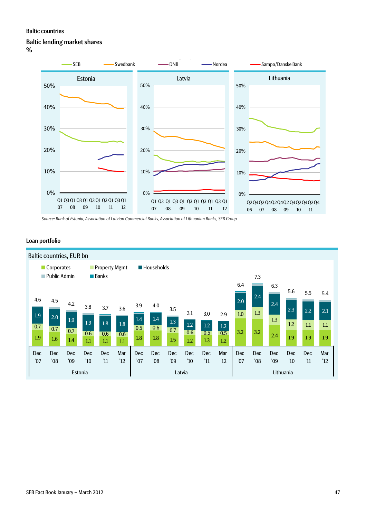### Baltic countries

#### Baltic lending market shares

%



*Source: Bank of Estonia, Association of Latvian Commercial Banks, Association of Lithuanian Banks, SEB Group*

# Loan portfolio

| Baltic countries, EUR bn |                                   |                   |                   |                                              |            |                   |                           |            |                   |                   |            |                   |            |                   |                   |                   |            |
|--------------------------|-----------------------------------|-------------------|-------------------|----------------------------------------------|------------|-------------------|---------------------------|------------|-------------------|-------------------|------------|-------------------|------------|-------------------|-------------------|-------------------|------------|
|                          | Corporates<br><b>Public Admin</b> |                   |                   | <b>Property Mgmt</b><br>$\blacksquare$ Banks |            |                   | $\blacksquare$ Households |            |                   |                   |            |                   | 7.3        |                   |                   |                   |            |
|                          |                                   |                   |                   |                                              |            |                   |                           |            |                   |                   |            | 6.4               | 2.4        | 6.3               | 5.6               | 5.5               | 5.4        |
| 4.6<br>1.9               | 4.5                               | 4.2               | 3.8               | 3.7                                          | 3.6        | 3.9               | 4.0                       | 3.5        | 3.1               | 3.0               | 2.9        | 2.0<br>1.0        | 1.3        | 2.4               | 2.3               | 2.2               | 2.1        |
| 0.7                      | 2.0<br>0.7                        | 1.9<br>0.7        | 1.9               | 1.8                                          | 1.8        | 1.4<br>0.5        | $1.4\,$<br>0.6            | 1.3<br>0.7 | 1.2<br>0.6        | 1.2<br>0.5        | 1.2<br>0.5 | 3.2               | 3.2        | 1.3               | 1.2               | 1.1               | 1.1        |
| 1.9                      | 1.6                               | 1.4               | 0.6<br>1.1        | 0.6<br>1.1                                   | 0.6<br>1.1 | 1.8               | $1.8\phantom{0}$          | 1.5        | 1.2               | 1.3               | 1.2        |                   |            | 2.4               | 1.9               | 1.9               | 1.9        |
| <b>Dec</b><br>'07        | <b>Dec</b><br>08'                 | <b>Dec</b><br>'09 | <b>Dec</b><br>'10 | <b>Dec</b><br>'11                            | Mar<br>'12 | <b>Dec</b><br>'07 | <b>Dec</b><br>08'         | Dec<br>'09 | <b>Dec</b><br>'10 | <b>Dec</b><br>'11 | Mar<br>'12 | <b>Dec</b><br>'07 | Dec<br>'08 | <b>Dec</b><br>'09 | <b>Dec</b><br>'10 | <b>Dec</b><br>'11 | Mar<br>'12 |
|                          |                                   |                   | Estonia           |                                              |            |                   | Latvia                    |            |                   |                   |            | Lithuania         |            |                   |                   |                   |            |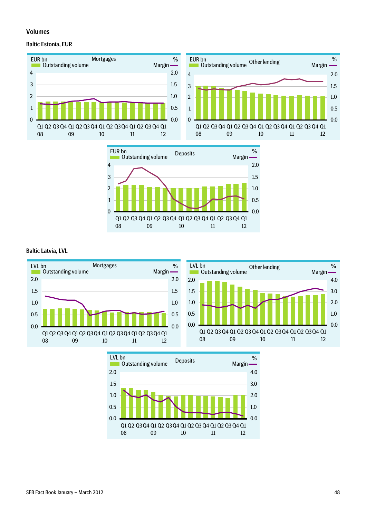#### Volumes

#### Baltic Estonia, EUR







#### Baltic Latvia, LVL



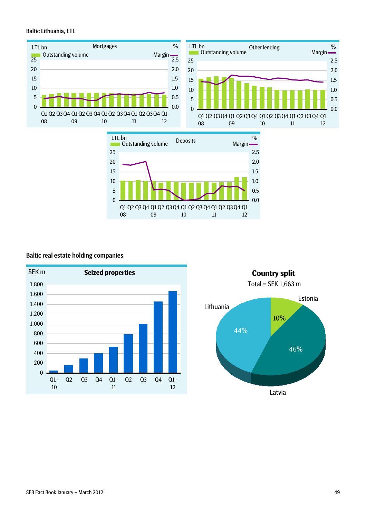#### Baltic Lithuania, LTL







### Baltic real estate holding companies



10% 46% 44% Estonia Lithuania Total = SEK 1,663 m

Latvia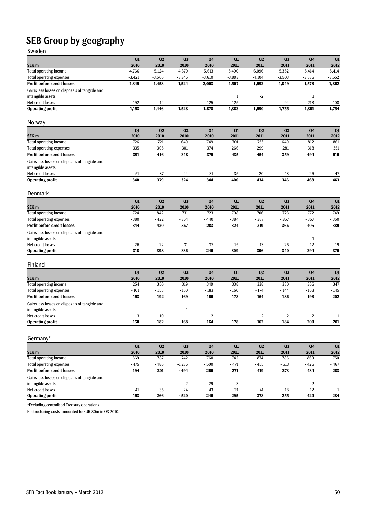# SEB Group by geography

| Sweden                                         |          |          |                |                |              |                |                |                |          |
|------------------------------------------------|----------|----------|----------------|----------------|--------------|----------------|----------------|----------------|----------|
|                                                | Q1       | Q2       | Q <sub>3</sub> | Q <sub>4</sub> | Q1           | Q2             | Q <sub>3</sub> | Q4             | Q1       |
| SEK <sub>m</sub>                               | 2010     | 2010     | 2010           | 2010           | 2011         | 2011           | 2011           | 2011           | 2012     |
| Total operating income                         | 4,766    | 5,124    | 4,870          | 5,613          | 5,400        | 6,096          | 5,352          | 5,414          | 5,414    |
| <b>Total operating expenses</b>                | $-3,421$ | $-3,666$ | $-3,346$       | $-3,610$       | $-3,893$     | $-4,104$       | $-3,503$       | $-3,836$       | $-3,552$ |
| <b>Profit before credit losses</b>             | 1,345    | 1,458    | 1,524          | 2,003          | 1,507        | 1,992          | 1,849          | 1,578          | 1,862    |
| Gains less losses on disposals of tangible and |          |          |                |                |              |                |                |                |          |
| intangible assets                              |          |          |                |                | $\mathbf{1}$ | $-2$           |                | $\mathbf{1}$   |          |
| Net credit losses                              | $-192$   | $-12$    | 4              | $-125$         | $-125$       |                | $-94$          | $-218$         | $-108$   |
| <b>Operating profit</b>                        | 1,153    | 1,446    | 1,528          | 1,878          | 1,383        | 1,990          | 1,755          | 1,361          | 1,754    |
| Norway                                         |          |          |                |                |              |                |                |                |          |
|                                                | Q1       | Q2       | Q <sub>3</sub> | Q <sub>4</sub> | Q1           | Q2             | Q <sub>3</sub> | Q <sub>4</sub> | Q1       |
| SEK <sub>m</sub>                               | 2010     | 2010     | 2010           | 2010           | 2011         | 2011           | 2011           | 2011           | 2012     |
| <b>Total operating income</b>                  | 726      | 721      | 649            | 749            | 701          | 753            | 640            | 812            | 861      |
| <b>Total operating expenses</b>                | $-335$   | $-305$   | $-301$         | $-374$         | $-266$       | $-299$         | $-281$         | $-318$         | $-351$   |
| <b>Profit before credit losses</b>             | 391      | 416      | 348            | 375            | 435          | 454            | 359            | 494            | 510      |
| Gains less losses on disposals of tangible and |          |          |                |                |              |                |                |                |          |
| intangible assets                              |          |          |                |                |              |                |                |                |          |
| Net credit losses                              | $-51$    | $-37$    | $-24$          | $-31$          | $-35$        | $-20$          | $-13$          | $-26$          | $-47$    |
| <b>Operating profit</b>                        | 340      | 379      | 324            | 344            | 400          | 434            | 346            | 468            | 463      |
|                                                |          |          |                |                |              |                |                |                |          |
| Denmark                                        |          |          |                |                |              |                |                |                |          |
|                                                | Q1       | Q2       | Q <sub>3</sub> | Q <sub>4</sub> | Q1           | Q <sub>2</sub> | Q <sub>3</sub> | Q <sub>4</sub> | Q1       |
| SEK <sub>m</sub>                               | 2010     | 2010     | 2010           | 2010           | 2011         | 2011           | 2011           | 2011           | 2012     |
| Total operating income                         | 724      | 842      | 731            | 723            | 708          | 706            | 723            | 772            | 749      |
| <b>Total operating expenses</b>                | $-380$   | $-422$   | $-364$         | $-440$         | $-384$       | $-387$         | $-357$         | $-367$         | $-360$   |
| <b>Profit before credit losses</b>             | 344      | 420      | 367            | 283            | 324          | 319            | 366            | 405            | 389      |
| Gains less losses on disposals of tangible and |          |          |                |                |              |                |                |                |          |
| intangible assets                              |          |          |                |                |              |                |                | $\mathbf{1}$   |          |
| Net credit losses                              | $-26$    | $-22$    | $-31$          | $-37$          | $-15$        | $-13$          | $-26$          | $-12$          | $-19$    |
| <b>Operating profit</b>                        | 318      | 398      | 336            | 246            | 309          | 306            | 340            | 394            | 370      |
| Finland                                        |          |          |                |                |              |                |                |                |          |
|                                                | Q1       | Q2       | Q <sub>3</sub> | Q <sub>4</sub> | Q1           | Q <sub>2</sub> | Q <sub>3</sub> | Q <sub>4</sub> | Q1       |
| SEK <sub>m</sub>                               | 2010     | 2010     | 2010           | 2010           | 2011         | 2011           | 2011           | 2011           | 2012     |
| <b>Total operating income</b>                  | 254      | 350      | 319            | 349            | 338          | 338            | 330            | 366            | 347      |
| <b>Total operating expenses</b>                | $-101$   | $-158$   | $-150$         | $-183$         | $-160$       | $-174$         | $-144$         | $-168$         | $-145$   |
| <b>Profit before credit losses</b>             | 153      | 192      | 169            | 166            | 178          | 164            | 186            | 198            | 202      |
| Gains less losses on disposals of tangible and |          |          |                |                |              |                |                |                |          |
| intangible assets                              |          |          | $-1$           |                |              |                |                |                |          |
| Net credit losses                              | $-3$     | $-10$    |                | $-2$           |              | $-2$           | $-2$           | 2              | $-1$     |
| <b>Operating profit</b>                        | 150      | 182      | 168            | 164            | 178          | 162            | 184            | 200            | 201      |
| Germany*                                       |          |          |                |                |              |                |                |                |          |
|                                                | Q1       | Q2       | Q <sub>3</sub> | Q <sub>4</sub> | Q1           | Q2             | Q <sub>3</sub> | Q <sub>4</sub> | Q1       |
| SEK <sub>m</sub>                               | 2010     | 2010     | 2010           | 2010           | 2011         | 2011           | 2011           | 2011           | 2012     |
| <b>Total operating income</b>                  | 669      | 787      | 742            | 760            | 742          | 874            | 786            | 860            | 750      |
| <b>Total operating expenses</b>                | $-475$   | $-486$   | $-1236$        | - 500          | $-471$       | $-455$         | $-513$         | $-426$         | $-467$   |
| <b>Profit before credit losses</b>             | 194      | 301      | - 494          | 260            | 271          | 419            | 273            | 434            | 283      |
| Gains less losses on disposals of tangible and |          |          |                |                |              |                |                |                |          |
| intangible assets                              |          |          | $-2$           | 29             | 3            |                |                | $-2$           |          |

Net credit losses - 41 - 35 - 24 - 43 21 - 41 - 18 - 12 1 **Operating profit** 153 266 - 520 246 295 378 255 420 284

\*Excluding centralised Treasury operations

Restructuring costs amounted to EUR 80m in Q3 2010.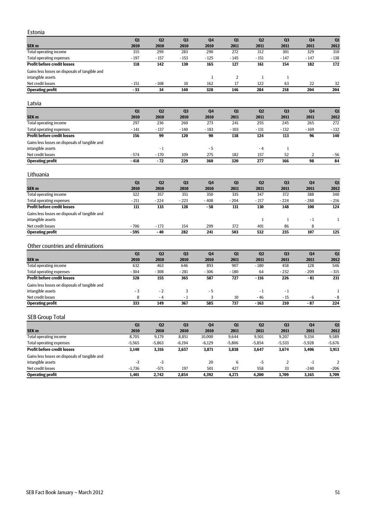| Estonia |  |
|---------|--|
| $- - -$ |  |

|                                                | Q1              | Q <sub>2</sub>  | Q <sub>3</sub> | Q4                  | Q1                   | Q2                  | Q <sub>3</sub>         | Q <sub>4</sub> | Q1             |
|------------------------------------------------|-----------------|-----------------|----------------|---------------------|----------------------|---------------------|------------------------|----------------|----------------|
| SEK <sub>m</sub>                               | 2010            | 2010            | 2010           | 2010                | 2011                 | 2011                | 2011                   | 2011           | 2012           |
| <b>Total operating income</b>                  | 315             | 299             | 283            | 290                 | 272                  | 312                 | 301                    | 329            | 310            |
| <b>Total operating expenses</b>                | $-197$          | $-157$          | $-153$         | $-125$              | $-145$               | $-151$              | $-147$                 | $-147$         | $-138$         |
| <b>Profit before credit losses</b>             | 118             | 142             | 130            | 165                 | 127                  | 161                 | 154                    | 182            | 172            |
| Gains less losses on disposals of tangible and |                 |                 |                |                     |                      |                     |                        |                |                |
| intangible assets<br>Net credit losses         | $-151$          | $-108$          | 10             | $\mathbf{1}$<br>162 | $\overline{2}$<br>17 | $\mathbf{1}$<br>122 | $\mathbf{1}$<br>63     | 22             |                |
| <b>Operating profit</b>                        | $-33$           | 34              | 140            | 328                 | 146                  | 284                 | 218                    | 204            | 32<br>204      |
|                                                |                 |                 |                |                     |                      |                     |                        |                |                |
| Latvia                                         |                 |                 |                |                     |                      |                     |                        |                |                |
|                                                | Q1              | Q2              | Q <sub>3</sub> | Q4                  | Q1                   | Q2                  | Q <sub>3</sub>         | Q4             | Q1             |
| SEK <sub>m</sub>                               | 2010            | 2010            | 2010           | 2010                | 2011                 | 2011                | 2011                   | 2011           | 2012           |
| <b>Total operating income</b>                  | 297             | 236             | 260            | 273                 | 241                  | 255                 | 245                    | 265            | 272            |
| <b>Total operating expenses</b>                | $-141$          | $-137$          | $-140$         | $-183$              | $-103$               | $-131$              | $-132$                 | $-169$         | $-132$         |
| <b>Profit before credit losses</b>             | 156             | 99              | 120            | 90                  | 138                  | 124                 | 113                    | 96             | 140            |
| Gains less losses on disposals of tangible and |                 |                 |                |                     |                      |                     |                        |                |                |
| intangible assets                              |                 | $-1$            |                | - 5                 |                      | $-4$                | $\mathbf{1}$           |                |                |
| Net credit losses<br><b>Operating profit</b>   | - 574<br>$-418$ | $-170$<br>$-72$ | 109<br>229     | 275<br>360          | 182<br>320           | 157<br>277          | 52<br>166              | 2<br>98        | - 56<br>84     |
|                                                |                 |                 |                |                     |                      |                     |                        |                |                |
| Lithuania                                      |                 |                 |                |                     |                      |                     |                        |                |                |
|                                                | Q1              | Q <sub>2</sub>  | Q <sub>3</sub> | Q <sub>4</sub>      | Q1                   | Q2                  | Q <sub>3</sub>         | Q4             | Q1             |
| SEK <sub>m</sub>                               | 2010            | 2010            | 2010           | 2010                | 2011                 | 2011                | 2011                   | 2011           | 2012           |
| <b>Total operating income</b>                  | 322             | 357             | 351            | 350                 | 335                  | 347                 | 372                    | 388            | 340            |
| <b>Total operating expenses</b>                | $-211$          | $-224$          | $-223$         | $-408$              | $-204$               | $-217$              | $-224$                 | $-288$         | $-216$         |
| <b>Profit before credit losses</b>             | 111             | 133             | 128            | - 58                | 131                  | 130                 | 148                    | 100            | 124            |
| Gains less losses on disposals of tangible and |                 |                 |                |                     |                      |                     |                        |                |                |
| intangible assets                              |                 |                 |                |                     |                      | $\mathbf{1}$        | $\mathbf{1}$           | $-1$           | $\mathbf{1}$   |
| Net credit losses                              | $-706$          | $-173$          | 154            | 299                 | 372                  | 401                 | 86                     | 8              |                |
| <b>Operating profit</b>                        | $-595$          | $-40$           | 282            | 241                 | 503                  | 532                 | 235                    | 107            | 125            |
| Other countries and eliminations               |                 |                 |                |                     |                      |                     |                        |                |                |
|                                                | Q1              | Q2              | Q <sub>3</sub> | Q <sub>4</sub>      | Q1                   | Q2                  | Q <sub>3</sub>         | Q <sub>4</sub> | Q1             |
| SEK <sub>m</sub>                               | 2010            | 2010            | 2010           | 2010                | 2011                 | 2011                | 2011                   | 2011           | 2012           |
| <b>Total operating income</b>                  | 632             | 463             | 646            | 893                 | 907                  | $-180$              | 458                    | 128            | 546            |
| <b>Total operating expenses</b>                | $-304$          | $-308$          | $-281$         | $-306$              | $-180$               | 64                  | $-232$                 | $-209$         | $-315$         |
| <b>Profit before credit losses</b>             | 328             | 155             | 365            | 587                 | 727                  | $-116$              | 226                    | $-81$          | 231            |
| Gains less losses on disposals of tangible and |                 |                 |                |                     |                      |                     |                        |                |                |
| intangible assets                              | - 3             | $-2$            | 3              | - 5                 |                      | $-1$                | $-1$                   |                | $\mathbf{1}$   |
| Net credit losses                              | 8               | $-4$            | $-1$           | 3                   | 10                   | - 46                | $-15$                  | - 6            | $-8$           |
| <b>Operating profit</b>                        | 333             | 149             | 367            | 585                 | 737                  | $-163$              | 210                    | $-87$          | 224            |
| <b>SEB Group Total</b>                         |                 |                 |                |                     |                      |                     |                        |                |                |
|                                                |                 |                 |                |                     |                      |                     |                        |                |                |
| SEK <sub>m</sub>                               | Q1<br>2010      | Q2<br>2010      | Q3<br>2010     | Q4<br>2010          | Q1<br>2011           | Q2<br>2011          | Q <sub>3</sub><br>2011 | Q4<br>2011     | Q1<br>2012     |
| Total operating income                         | 8,705           | 9,179           | 8,851          | 10,000              | 9,644                | 9,501               | 9,207                  | 9,334          | 9,589          |
| <b>Total operating expenses</b>                | $-5,565$        | $-5,863$        | $-6,194$       | $-6,129$            | $-5,806$             | $-5,854$            | $-5,533$               | $-5,928$       | $-5,676$       |
| <b>Profit before credit losses</b>             | 3,140           | 3,316           | 2,657          | 3,871               | 3,838                | 3,647               | 3,674                  | 3,406          | 3,913          |
| Gains less losses on disposals of tangible and |                 |                 |                |                     |                      |                     |                        |                |                |
| intangible assets                              | $-3$            | $-3$            |                | 20                  | 6                    | $-5$                | $\overline{2}$         | $-1$           | $\overline{2}$ |
| Net credit losses                              | $-1,736$        | $-571$          | 197            | 501                 | 427                  | 558                 | 33                     | $-240$         | $-206$         |
| <b>Operating profit</b>                        | 1,401           | 2,742           | 2,854          | 4,392               | 4,271                | 4,200               | 3,709                  | 3,165          | 3,709          |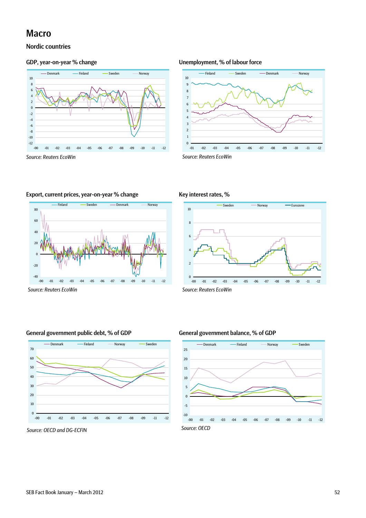# Macro

## Nordic countries

![](_page_51_Figure_3.jpeg)

*Source: Reuters EcoWin Source: Reuters EcoWin* 

#### GDP, year-on-year % change Unemployment, % of labour force

![](_page_51_Figure_6.jpeg)

Export, current prices, year-on-year % change

![](_page_51_Figure_8.jpeg)

#### Key interest rates, %

![](_page_51_Figure_11.jpeg)

#### General government public debt, % of GDP General government balance, % of GDP

![](_page_51_Figure_14.jpeg)

*Source: OECD and DG-ECFIN Source: OECD*

![](_page_51_Figure_17.jpeg)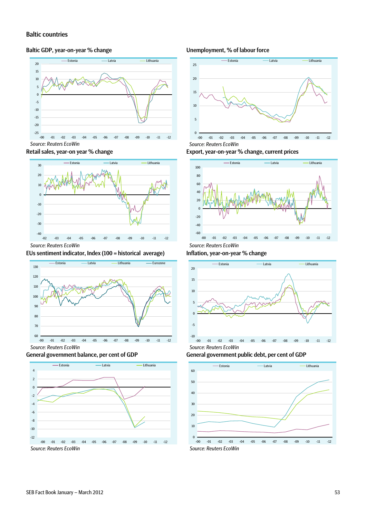#### Baltic countries

#### Baltic GDP, year-on-year % change

![](_page_52_Figure_2.jpeg)

![](_page_52_Figure_3.jpeg)

#### EUs sentiment indicator, Index (100 = historical average)

![](_page_52_Figure_6.jpeg)

![](_page_52_Figure_7.jpeg)

![](_page_52_Figure_8.jpeg)

#### Unemployment, % of labour force

![](_page_52_Figure_10.jpeg)

Export, year-on-year % change, current prices

![](_page_52_Figure_12.jpeg)

Inflation, year-on-year % change

![](_page_52_Figure_14.jpeg)

General government public debt, per cent of GDP

![](_page_52_Figure_16.jpeg)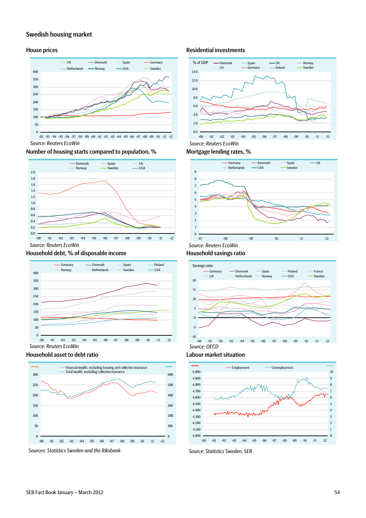#### Swedish housing market

![](_page_53_Figure_2.jpeg)

Number of housing starts compared to population, % Mortgage lending rates, %

![](_page_53_Figure_4.jpeg)

#### Household debt, % of disposable income

![](_page_53_Figure_6.jpeg)

#### Household asset to debt ratio Labour market situation

![](_page_53_Figure_8.jpeg)

![](_page_53_Figure_9.jpeg)

#### House prices **Residential investments**

![](_page_53_Figure_11.jpeg)

![](_page_53_Figure_13.jpeg)

#### Household savings ratio

![](_page_53_Figure_15.jpeg)

![](_page_53_Figure_16.jpeg)

![](_page_53_Figure_17.jpeg)

![](_page_53_Figure_18.jpeg)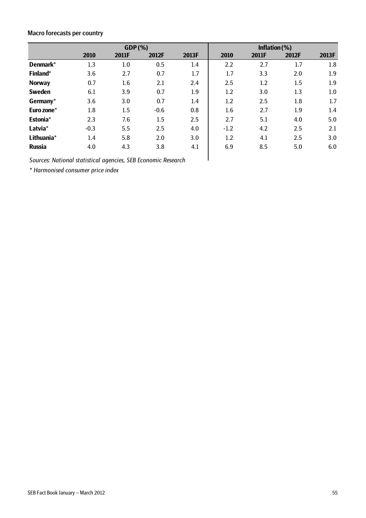# Macro forecasts per country

|               | GDP(%) |       |        |       | Inflation $(\%)$ |       |       |         |
|---------------|--------|-------|--------|-------|------------------|-------|-------|---------|
|               | 2010   | 2011F | 2012F  | 2013F | 2010             | 2011F | 2012F | 2013F   |
| Denmark*      | 1.3    | 1.0   | 0.5    | 1.4   | $2.2\,$          | 2.7   | 1.7   | 1.8     |
| Finland*      | 3.6    | 2.7   | 0.7    | 1.7   | 1.7              | 3.3   | 2.0   | 1.9     |
| <b>Norway</b> | 0.7    | 1.6   | 2.1    | 2.4   | 2.5              | 1.2   | 1.5   | 1.9     |
| <b>Sweden</b> | 6.1    | 3.9   | 0.7    | 1.9   | $1.2\,$          | 3.0   | 1.3   | $1.0\,$ |
| Germany*      | 3.6    | 3.0   | 0.7    | 1.4   | 1.2              | 2.5   | 1.8   | 1.7     |
| Euro zone*    | 1.8    | 1.5   | $-0.6$ | 0.8   | 1.6              | 2.7   | 1.9   | 1.4     |
| Estonia*      | 2.3    | 7.6   | 1.5    | 2.5   | 2.7              | 5.1   | 4.0   | 5.0     |
| Latvia*       | $-0.3$ | 5.5   | 2.5    | 4.0   | $-1.2$           | 4.2   | 2.5   | 2.1     |
| Lithuania*    | 1.4    | 5.8   | 2.0    | 3.0   | 1.2              | 4.1   | 2.5   | 3.0     |
| <b>Russia</b> | 4.0    | 4.3   | 3.8    | 4.1   | 6.9              | 8.5   | 5.0   | 6.0     |

*Sources: National statistical agencies, SEB Economic Research* 

*\* Harmonised consumer price index*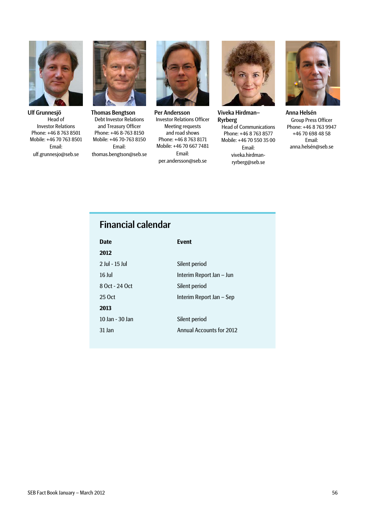![](_page_55_Picture_0.jpeg)

Ulf Grunnesjö Head of Investor Relations Phone: +46 8 763 8501 Mobile: +46 70 763 8501 Email: ulf.grunnesjo@seb.se

![](_page_55_Picture_2.jpeg)

Thomas Bengtson Debt Investor Relations and Treasury Officer Phone: +46 8-763 8150 Mobile: +46 70-763 8150 Email: thomas.bengtson@seb.se

![](_page_55_Picture_4.jpeg)

Per Andersson Investor Relations Officer Meeting requests and road shows Phone: +46 8 763 8171 Mobile: +46 70 667 7481 Email: per.andersson@seb.se

![](_page_55_Picture_6.jpeg)

Viveka Hirdman– Ryrberg

Head of Communications Phone: +46 8 763 8577 Mobile: +46 70 550 35 00 Email: viveka.hirdmanryrberg@seb.se

![](_page_55_Picture_9.jpeg)

Anna Helsén Group Press Officer Phone: +46 8 763 9947 +46 70 698 48 58 Email: anna.helsén@seb.se

# Financial calendar

| <b>Date</b>     | <b>Event</b>             |
|-----------------|--------------------------|
| 2012            |                          |
| 2 Iul - 15 Iul  | Silent period            |
| 16 lul          | Interim Report Jan – Jun |
| 8 Oct - 24 Oct  | Silent period            |
| 25 Oct          | Interim Report Jan – Sep |
| 2013            |                          |
| 10 Jan - 30 Jan | Silent period            |
| 31 Jan          | Annual Accounts for 2012 |
|                 |                          |